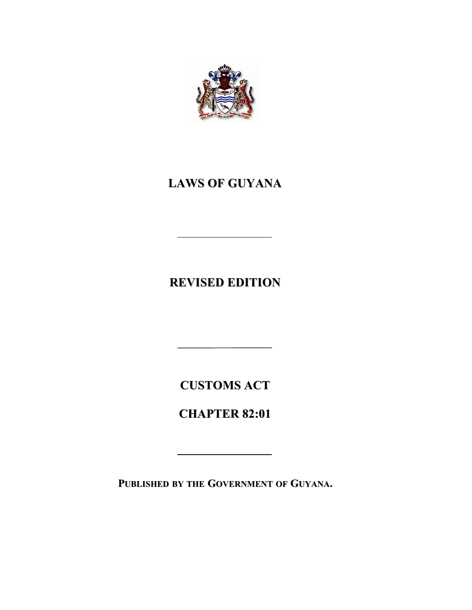

**REVISED EDITION**

**CUSTOMS ACT**

<u> 1989 - Johann Barbara, martxa a</u>

 $\overline{\phantom{a}}$ 

**CHAPTER 82:01**

**PUBLISHED BY THE GOVERNMENT OF GUYANA.**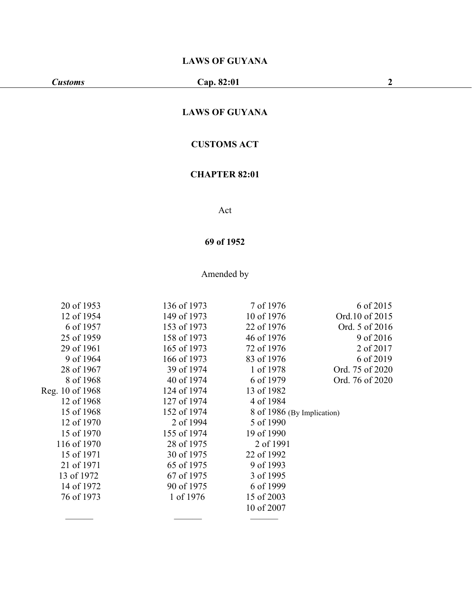# **LAWS OF GUYANA**

# **CUSTOMS ACT**

# **CHAPTER 82:01**

Act

# **of 1952**

# Amended by

|                 |             | 10 of 2007                 |                 |  |
|-----------------|-------------|----------------------------|-----------------|--|
| 76 of 1973      | 1 of 1976   | 15 of 2003                 |                 |  |
| 14 of 1972      | 90 of 1975  | 6 of 1999                  |                 |  |
| 13 of 1972      | 67 of 1975  | 3 of 1995                  |                 |  |
| 21 of 1971      | 65 of 1975  | 9 of 1993                  |                 |  |
| 15 of 1971      | 30 of 1975  | 22 of 1992                 |                 |  |
| 116 of 1970     | 28 of 1975  | 2 of 1991                  |                 |  |
| 15 of 1970      | 155 of 1974 | 19 of 1990                 |                 |  |
| 12 of 1970      | 2 of 1994   | 5 of 1990                  |                 |  |
| 15 of 1968      | 152 of 1974 | 8 of 1986 (By Implication) |                 |  |
| 12 of 1968      | 127 of 1974 | 4 of 1984                  |                 |  |
| Reg. 10 of 1968 | 124 of 1974 | 13 of 1982                 |                 |  |
| 8 of 1968       | 40 of 1974  | 6 of 1979                  | Ord. 76 of 2020 |  |
| 28 of 1967      | 39 of 1974  | 1 of 1978                  | Ord. 75 of 2020 |  |
| 9 of 1964       | 166 of 1973 | 83 of 1976                 | 6 of 2019       |  |
| 29 of 1961      | 165 of 1973 | 72 of 1976                 | 2 of 2017       |  |
| 25 of 1959      | 158 of 1973 | 46 of 1976                 | 9 of 2016       |  |
| 6 of 1957       | 153 of 1973 | 22 of 1976                 | Ord. 5 of 2016  |  |
| 12 of 1954      | 149 of 1973 | 10 of 1976                 | Ord.10 of 2015  |  |
| 20 of 1953      | 136 of 1973 | 7 of 1976                  | 6 of 2015       |  |
|                 |             |                            |                 |  |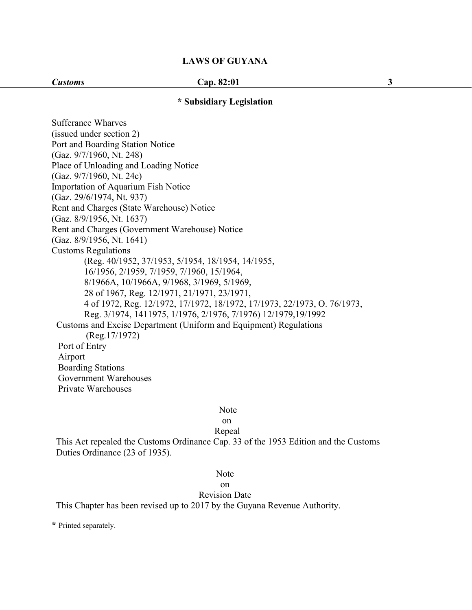*Customs* **Cap. 82:01 3**

# **\* Subsidiary Legislation**

Sufferance Wharves (issued under section 2) Port and Boarding Station Notice (Gaz. 9/7/1960, Nt. 248) Place of Unloading and Loading Notice (Gaz. 9/7/1960, Nt. 24c) Importation of Aquarium Fish Notice (Gaz. 29/6/1974, Nt. 937) Rent and Charges (State Warehouse) Notice (Gaz. 8/9/1956, Nt. 1637) Rent and Charges (Government Warehouse) Notice (Gaz. 8/9/1956, Nt. 1641) Customs Regulations (Reg. 40/1952, 37/1953, 5/1954, 18/1954, 14/1955, 16/1956, 2/1959, 7/1959, 7/1960, 15/1964, 8/1966A, 10/1966A, 9/1968, 3/1969, 5/1969, 28 of 1967, Reg. 12/1971, 21/1971, 23/1971, 4 of 1972, Reg. 12/1972, 17/1972, 18/1972, 17/1973, 22/1973, O. 76/1973, Reg. 3/1974, 1411975, 1/1976, 2/1976, 7/1976) 12/1979,19/1992 Customs and Excise Department (Uniform and Equipment) Regulations (Reg.17/1972) Port of Entry Airport Boarding Stations Government Warehouses Private Warehouses

#### Note

# on

#### Repeal

This Act repealed the Customs Ordinance Cap. 33 of the 1953 Edition and the Customs Duties Ordinance (23 of 1935).

#### Note

#### on

# Revision Date

This Chapter has been revised up to 2017 by the Guyana Revenue Authority.

**\*** Printed separately.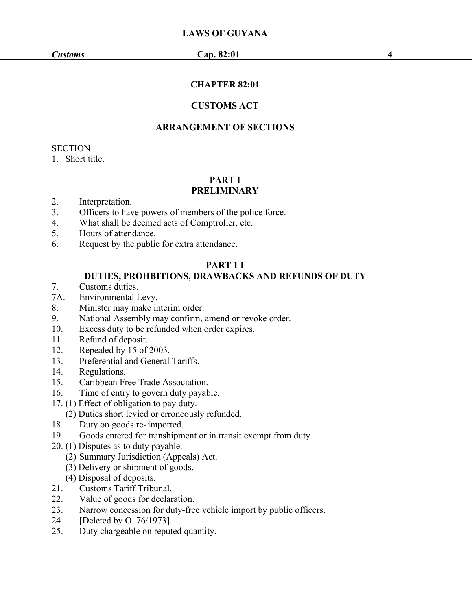# **CHAPTER 82:01**

# **CUSTOMS ACT**

# **ARRANGEMENT OF SECTIONS**

## **SECTION**

1. Short title.

# **PART I PRELIMINARY**

## 2. Interpretation.

- 3. Officers to have powers of members of the police force.
- 4. What shall be deemed acts of Comptroller, etc.
- 5. Hours of attendance.
- 6. Request by the public for extra attendance.

#### **PART 1 I**

# **DUTIES, PROHBITIONS, DRAWBACKS AND REFUNDS OF DUTY**

- 7. Customs duties.
- 7A. Environmental Levy.
- 8. Minister may make interim order.
- 9. National Assembly may confirm, amend or revoke order.
- 10. Excess duty to be refunded when order expires.
- 11. Refund of deposit.
- 12. Repealed by 15 of 2003.
- 13. Preferential and General Tariffs.
- 14. Regulations.
- 15. Caribbean Free Trade Association.
- 16. Time of entry to govern duty payable.
- 17. (1) Effect of obligation to pay duty.
	- (2) Duties short levied or erroneously refunded.
- 18. Duty on goods re-imported.
- 19. Goods entered for transhipment or in transit exempt from duty.
- 20. (1) Disputes as to duty payable.
	- (2) Summary Jurisdiction (Appeals) Act.
	- (3) Delivery or shipment of goods.
- (4) Disposal of deposits.<br>21. Customs Tariff Tribu
- 21. Customs Tariff Tribunal.
- 22. Value of goods for declaration.
- 23. Narrow concession for duty-free vehicle import by public officers.
- 24. [Deleted by O. 76/1973].
- 25. Duty chargeable on reputed quantity.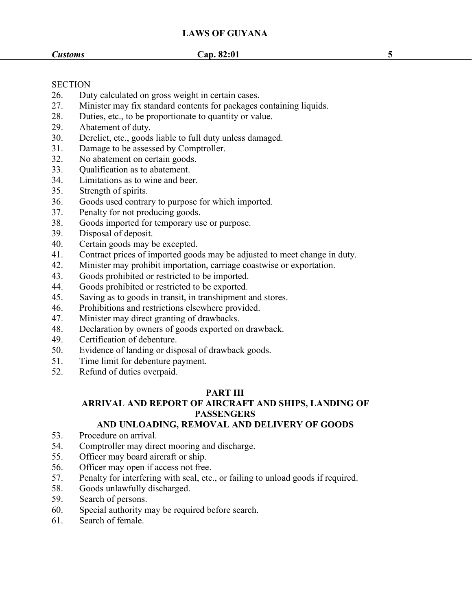# **SECTION**

- 26. Duty calculated on gross weight in certain cases.
- 27. Minister may fix standard contents for packages containing liquids.
- 28. Duties, etc., to be proportionate to quantity or value.
- 29. Abatement of duty.
- 30. Derelict, etc., goods liable to full duty unless damaged.
- 31. Damage to be assessed by Comptroller.
- 32. No abatement on certain goods.
- 33. Qualification as to abatement.
- 34. Limitations as to wine and beer.
- 35. Strength of spirits.
- 36. Goods used contrary to purpose for which imported.
- 37. Penalty for not producing goods.
- 38. Goods imported for temporary use or purpose.
- 39. Disposal of deposit.
- 40. Certain goods may be excepted.
- 41. Contract prices of imported goods may be adjusted to meet change in duty.
- 42. Minister may prohibit importation, carriage coastwise or exportation.
- 43. Goods prohibited or restricted to be imported.
- 44. Goods prohibited or restricted to be exported.
- 45. Saving as to goods in transit, in transhipment and stores.
- 46. Prohibitions and restrictions elsewhere provided.
- 47. Minister may direct granting of drawbacks.
- 48. Declaration by owners of goods exported on drawback.
- 49. Certification of debenture.
- 50. Evidence of landing or disposal of drawback goods.
- 51. Time limit for debenture payment.
- 52. Refund of duties overpaid.

#### **PART III**

# **ARRIVAL AND REPORT OF AIRCRAFT AND SHIPS, LANDING OF PASSENGERS**

#### **AND UNLOADING, REMOVAL AND DELIVERY OF GOODS**

- 53. Procedure on arrival.
- 54. Comptroller may direct mooring and discharge.
- 55. Officer may board aircraft or ship.
- 56. Officer may open if access not free.
- 57. Penalty for interfering with seal, etc., or failing to unload goods if required.
- 58. Goods unlawfully discharged.
- 59. Search of persons.
- 60. Special authority may be required before search.
- 61. Search of female.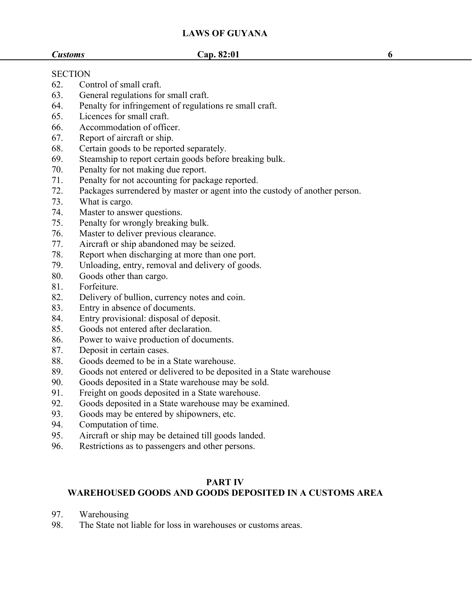# *Customs* **Cap. 82:01 6**

# **SECTION**

- 62. Control of small craft.
- 63. General regulations for small craft.
- 64. Penalty for infringement of regulations re small craft.
- 65. Licences for small craft.
- 66. Accommodation of officer.
- 67. Report of aircraft or ship.
- 68. Certain goods to be reported separately.
- 69. Steamship to report certain goods before breaking bulk.
- 70. Penalty for not making due report.
- 71. Penalty for not accounting for package reported.
- 72. Packages surrendered by master or agent into the custody of another person.
- 
- 73. What is cargo.<br>74. Master to answer questions.
- 75. Penalty for wrongly breaking bulk.
- 76. Master to deliver previous clearance.
- 77. Aircraft or ship abandoned may be seized.
- 78. Report when discharging at more than one port.
- 79. Unloading, entry, removal and delivery of goods.
- 80. Goods other than cargo.
- 81. Forfeiture.
- 82. Delivery of bullion, currency notes and coin.
- 83. Entry in absence of documents.
- 84. Entry provisional: disposal of deposit.
- 85. Goods not entered after declaration.
- 86. Power to waive production of documents.
- 87. Deposit in certain cases.
- 88. Goods deemed to be in a State warehouse.
- 89. Goods not entered or delivered to be deposited in a State warehouse
- 90. Goods deposited in a State warehouse may be sold.
- 91. Freight on goods deposited in a State warehouse.
- 92. Goods deposited in a State warehouse may be examined.
- 93. Goods may be entered by shipowners, etc.
- 94. Computation of time.
- 95. Aircraft or ship may be detained till goods landed.
- 96. Restrictions as to passengers and other persons.

# **PART IV**

# **WAREHOUSED GOODS AND GOODS DEPOSITED IN A CUSTOMS AREA**

- 97. Warehousing
- 98. The State not liable for loss in warehouses or customs areas.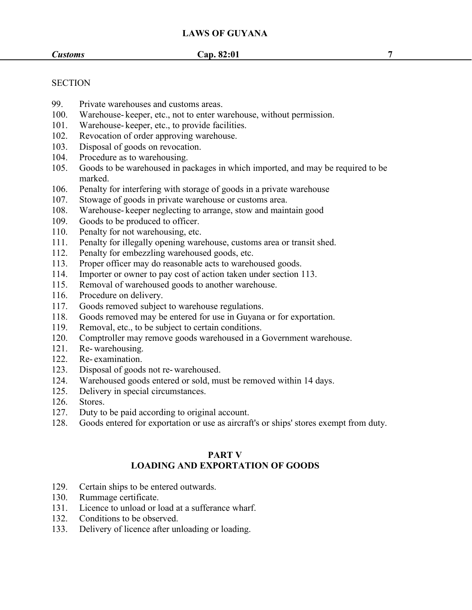## **SECTION**

- 99. Private warehouses and customs areas.
- 100. Warehouse- keeper, etc., not to enter warehouse, without permission.
- 101. Warehouse- keeper, etc., to provide facilities.
- 102. Revocation of order approving warehouse.
- 103. Disposal of goods on revocation.
- 104. Procedure as to warehousing.
- 105. Goods to be warehoused in packages in which imported, and may be required to be marked.
- 106. Penalty for interfering with storage of goods in a private warehouse
- 107. Stowage of goods in private warehouse or customs area.
- 108. Warehouse- keeper neglecting to arrange, stow and maintain good
- 109. Goods to be produced to officer.
- 110. Penalty for not warehousing, etc.
- 111. Penalty for illegally opening warehouse, customs area or transit shed.
- 112. Penalty for embezzling warehoused goods, etc.
- 113. Proper officer may do reasonable acts to warehoused goods.
- 114. Importer or owner to pay cost of action taken under section 113.
- 115. Removal of warehoused goods to another warehouse.
- 116. Procedure on delivery.
- 117. Goods removed subject to warehouse regulations.
- 118. Goods removed may be entered for use in Guyana or for exportation.
- 119. Removal, etc., to be subject to certain conditions.
- 120. Comptroller may remove goods warehoused in a Government warehouse.
- 121. Re- warehousing.
- 122. Re- examination.
- 123. Disposal of goods not re- warehoused.
- 124. Warehoused goods entered or sold, must be removed within 14 days.
- 125. Delivery in special circumstances.
- 126. Stores.
- 127. Duty to be paid according to original account.
- 128. Goods entered for exportation or use as aircraft's or ships' stores exempt from duty.

#### **PART V**

## **LOADING AND EXPORTATION OF GOODS**

- 129. Certain ships to be entered outwards.
- 130. Rummage certificate.
- 131. Licence to unload or load at a sufferance wharf.
- 132. Conditions to be observed.
- 133. Delivery of licence after unloading or loading.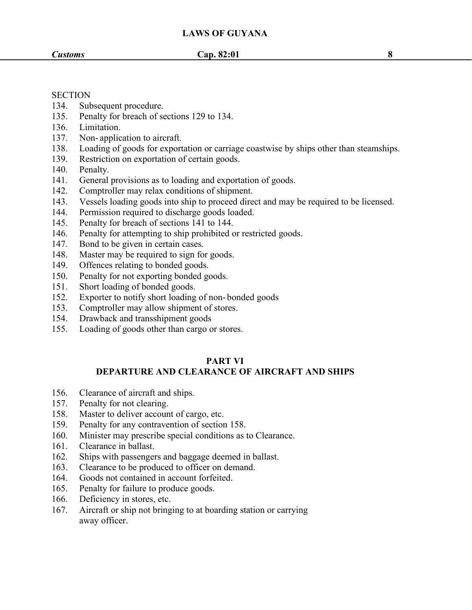#### *Customs* **Cap. 82:01 8**

- 134. Subsequent procedure.
- 135. Penalty for breach of sections 129 to 134.
- 136. Limitation.
- 137. Non- application to aircraft.
- 138. Loading of goods for exportation or carriage coastwise by ships other than steamships.
- 139. Restriction on exportation of certain goods.
- 140. Penalty.
- 141. General provisions as to loading and exportation of goods.
- 142. Comptroller may relax conditions of shipment.
- 143. Vessels loading goods into ship to proceed direct and may be required to be licensed.
- 144. Permission required to discharge goods loaded.
- 145. Penalty for breach of sections 141 to 144.
- 146. Penalty for attempting to ship prohibited or restricted goods.
- 147. Bond to be given in certain cases.
- 148. Master may be required to sign for goods.
- 149. Offences relating to bonded goods.
- 150. Penalty for not exporting bonded goods.
- 151. Short loading of bonded goods.
- 152. Exporter to notify short loading of non-bonded goods
- 153. Comptroller may allow shipment of stores.
- 154. Drawback and transshipment goods
- 155. Loading of goods other than cargo or stores.

## **PART VI**

#### **DEPARTURE AND CLEARANCE OF AIRCRAFT AND SHIPS**

- 156. Clearance of aircraft and ships.
- 157. Penalty for not clearing.
- 158. Master to deliver account of cargo, etc.
- 159. Penalty for any contravention of section 158.
- 160. Minister may prescribe special conditions as to Clearance.
- 161. Clearance in ballast.
- 162. Ships with passengers and baggage deemed in ballast.
- 163. Clearance to be produced to officer on demand.
- 164. Goods not contained in account forfeited.
- 165. Penalty for failure to produce goods.
- 166. Deficiency in stores, etc.
- 167. Aircraft or ship not bringing to at boarding station or carrying away officer.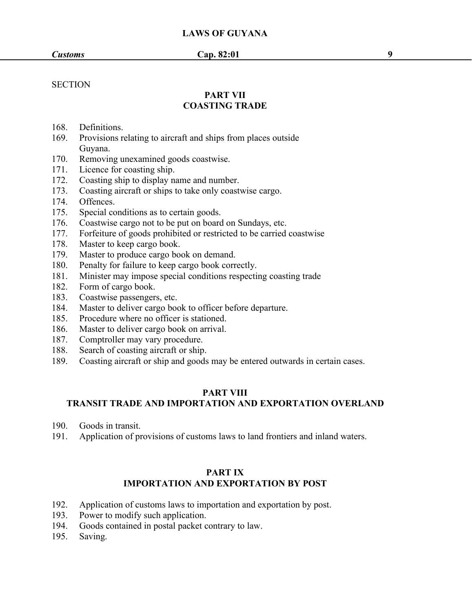#### **SECTION**

# **PART VII COASTING TRADE**

- 168. Definitions.
- 169. Provisions relating to aircraft and ships from places outside Guyana.
- 170. Removing unexamined goods coastwise.
- 171. Licence for coasting ship.
- 172. Coasting ship to display name and number.
- 173. Coasting aircraft or ships to take only coastwise cargo.
- 174. Offences.
- 175. Special conditions as to certain goods.
- 176. Coastwise cargo not to be put on board on Sundays, etc.
- 177. Forfeiture of goods prohibited or restricted to be carried coastwise
- 178. Master to keep cargo book.
- 179. Master to produce cargo book on demand.
- 180. Penalty for failure to keep cargo book correctly.
- 181. Minister may impose special conditions respecting coasting trade
- 182. Form of cargo book.
- 183. Coastwise passengers, etc.
- 184. Master to deliver cargo book to officer before departure.
- 185. Procedure where no officer is stationed.
- 186. Master to deliver cargo book on arrival.
- 187. Comptroller may vary procedure.
- 188. Search of coasting aircraft or ship.
- 189. Coasting aircraft or ship and goods may be entered outwards in certain cases.

#### **PART VIII**

## **TRANSIT TRADE AND IMPORTATION AND EXPORTATION OVERLAND**

- 190. Goods in transit.
- 191. Application of provisions of customs laws to land frontiers and inland waters.

# **PART IX IMPORTATION AND EXPORTATION BY POST**

- 192. Application of customs laws to importation and exportation by post.
- 193. Power to modify such application.
- 194. Goods contained in postal packet contrary to law.
- 195. Saving.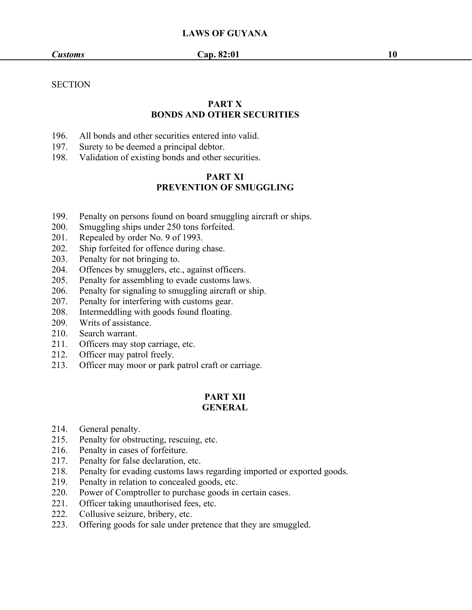## **PART X BONDS AND OTHER SECURITIES**

- 196. All bonds and other securities entered into valid.
- 197. Surety to be deemed a principal debtor.
- 198. Validation of existing bonds and other securities.

# **PART XI PREVENTION OF SMUGGLING**

- 199. Penalty on persons found on board smuggling aircraft or ships.
- 200. Smuggling ships under 250 tons forfeited.
- 201. Repealed by order No. 9 of 1993.
- 202. Ship forfeited for offence during chase.
- 203. Penalty for not bringing to.
- 204. Offences by smugglers, etc., against officers.
- 205. Penalty for assembling to evade customs laws.
- 206. Penalty for signaling to smuggling aircraft or ship.
- 207. Penalty for interfering with customs gear.
- 208. Intermeddling with goods found floating.
- 209. Writs of assistance.
- 210. Search warrant.
- 211. Officers may stop carriage, etc.
- 212. Officer may patrol freely.
- 213. Officer may moor or park patrol craft or carriage.

#### **PART XII GENERAL**

- 214. General penalty.
- 215. Penalty for obstructing, rescuing, etc.
- 216. Penalty in cases of forfeiture.
- 217. Penalty for false declaration, etc.
- 218. Penalty for evading customs laws regarding imported or exported goods.
- 219. Penalty in relation to concealed goods, etc.
- 220. Power of Comptroller to purchase goods in certain cases.
- 221. Officer taking unauthorised fees, etc.
- 222. Collusive seizure, bribery, etc.
- 223. Offering goods for sale under pretence that they are smuggled.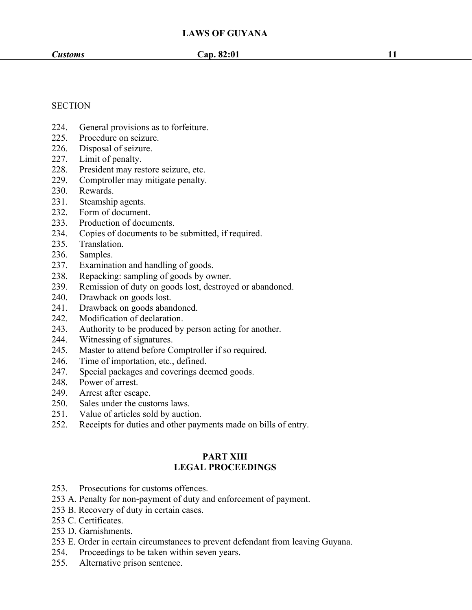#### **SECTION**

- 224. General provisions as to forfeiture.
- 225. Procedure on seizure.
- 226. Disposal of seizure.
- 227. Limit of penalty.
- 228. President may restore seizure, etc.
- 229. Comptroller may mitigate penalty.
- 230. Rewards.
- 231. Steamship agents.
- 232. Form of document.
- 233. Production of documents.
- 234. Copies of documents to be submitted, if required.
- 235. Translation.
- 236. Samples.
- 237. Examination and handling of goods.
- 238. Repacking: sampling of goods by owner.
- 239. Remission of duty on goods lost, destroyed or abandoned.
- 240. Drawback on goods lost.
- 241. Drawback on goods abandoned.
- 242. Modification of declaration.
- 243. Authority to be produced by person acting for another.
- 244. Witnessing of signatures.
- 245. Master to attend before Comptroller if so required.
- 246. Time of importation, etc., defined.
- 247. Special packages and coverings deemed goods.
- 248. Power of arrest.
- 249. Arrest after escape.
- 250. Sales under the customs laws.
- 251. Value of articles sold by auction.
- 252. Receipts for duties and other payments made on bills of entry.

## **PART XIII LEGAL PROCEEDINGS**

- 253. Prosecutions for customs offences.
- 253 A. Penalty for non-payment of duty and enforcement of payment.
- 253 B. Recovery of duty in certain cases.
- 253 C. Certificates.
- 253 D. Garnishments.
- 253 E. Order in certain circumstances to prevent defendant from leaving Guyana.
- 254. Proceedings to be taken within seven years.
- 255. Alternative prison sentence.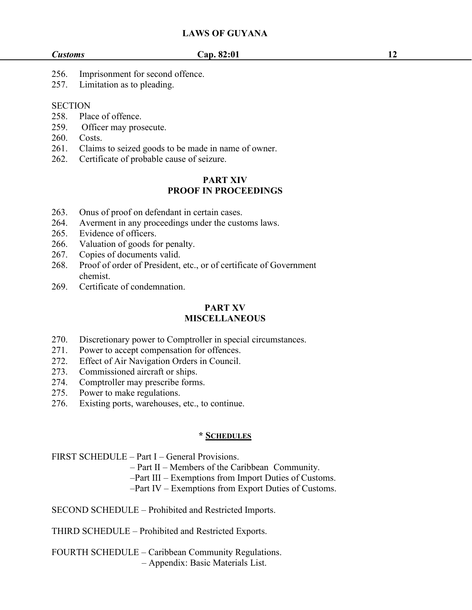- 256. Imprisonment for second offence.
- 257. Limitation as to pleading.

## **SECTION**

- 258. Place of offence.
- 259. Officer may prosecute.
- 260. Costs.
- 261. Claims to seized goods to be made in name of owner.
- 262. Certificate of probable cause of seizure.

# **PART XIV PROOF IN PROCEEDINGS**

- 263. Onus of proof on defendant in certain cases.
- 264. Averment in any proceedings under the customs laws.
- 265. Evidence of officers.
- 266. Valuation of goods for penalty.
- 267. Copies of documents valid.
- 268. Proof of order of President, etc., or of certificate of Government chemist.
- 269. Certificate of condemnation.

# **PART XV MISCELLANEOUS**

- 270. Discretionary power to Comptroller in special circumstances.
- 271. Power to accept compensation for offences.
- 272. Effect of Air Navigation Orders in Council.
- 273. Commissioned aircraft or ships.
- 274. Comptroller may prescribe forms.
- 275. Power to make regulations.
- 276. Existing ports, warehouses, etc., to continue.

#### **\* SCHEDULES**

#### FIRST SCHEDULE – Part I – General Provisions.

- $-$  Part II Members of the Caribbean Community.
- $-$ Part III Exemptions from Import Duties of Customs.
- –Part IV Exemptions from Export Duties of Customs.

SECOND SCHEDULE – Prohibited and Restricted Imports.

THIRD SCHEDULE – Prohibited and Restricted Exports.

FOURTH SCHEDULE – Caribbean Community Regulations. – Appendix: Basic Materials List.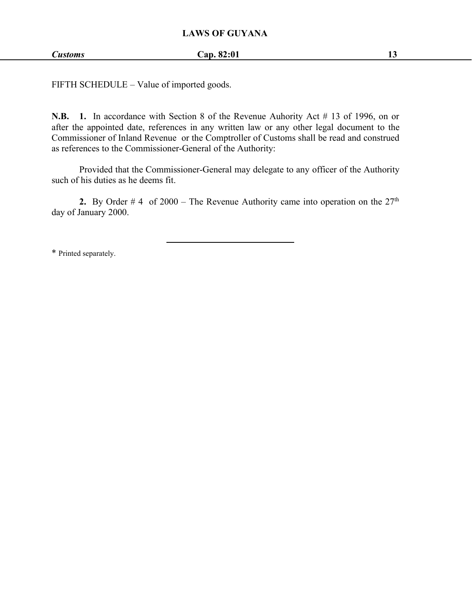FIFTH SCHEDULE – Value of imported goods.

**N.B. 1.** In accordance with Section 8 of the Revenue Auhority Act # 13 of 1996, on or after the appointed date, references in any written law or any other legal document to the Commissioner of Inland Revenue or the Comptroller of Customs shall be read and construed as references to the Commissioner-General of the Authority:

Provided that the Commissioner-General may delegate to any officer of the Authority such of his duties as he deems fit.

**2.** By Order  $#$  4 of 2000 – The Revenue Authority came into operation on the  $27<sup>th</sup>$ day of January 2000.

\* Printed separately.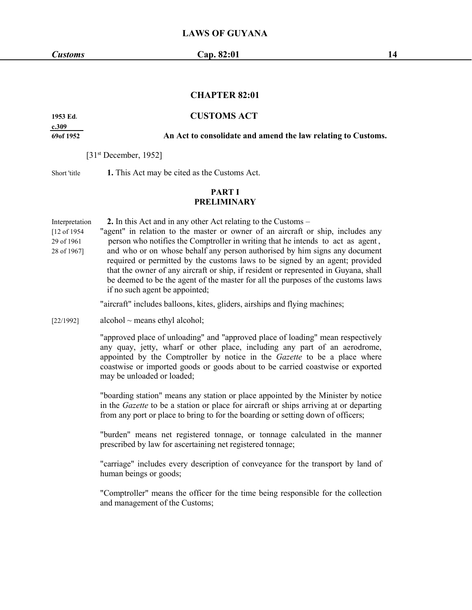#### **CHAPTER 82:01**

# **1953 Ed**. **CUSTOMS ACT**

**c.309**

**69of 1952 An Act to consolidate and amend the law relating to Customs.**

[31 st December, 1952]

Short 'title **1.** This Act may be cited as the Customs Act.

#### **PART I PRELIMINARY**

Interpretation **2.** In this Act and in any other Act relating to the Customs –

[12 of 1954 "agent" in relation to the master or owner of an aircraft or ship, includes any 29 of 1961 person who notifies the Comptroller in writing that he intends to act as agent, 28 of 1967] and who oron whose behalf any person authorised by him signs any document required or permitted by the customs laws to be signed by an agent; provided that the owner of any aircraft or ship, if resident or represented in Guyana, shall be deemed to be the agent of the master for all the purposes of the customs laws if no such agent be appointed;

"aircraft" includes balloons, kites, gliders, airships and flying machines;

 $[22/1992]$  alcohol ~ means ethyl alcohol;

"approved place of unloading" and "approved place of loading" mean respectively any quay, jetty, wharf or other place, including any part of an aerodrome, appointed by the Comptroller by notice in the *Gazette* to be a place where coastwise or imported goods or goods about to be carried coastwise or exported may be unloaded or loaded;<br>"boarding station" means any station or place appointed by the Minister by notice

in the *Gazette* to be a station or place for aircraft or ships arriving at or departing from any port or place to bring to for the boarding or setting down of officers;

"burden" means net registered tonnage, or tonnage calculated in the manner prescribed by law for ascertaining net registered tonnage;

"carriage" includes every description of conveyance for the transport by land of human beings or goods;

"Comptroller" means the officer for the time being responsible for the collection and management of the Customs;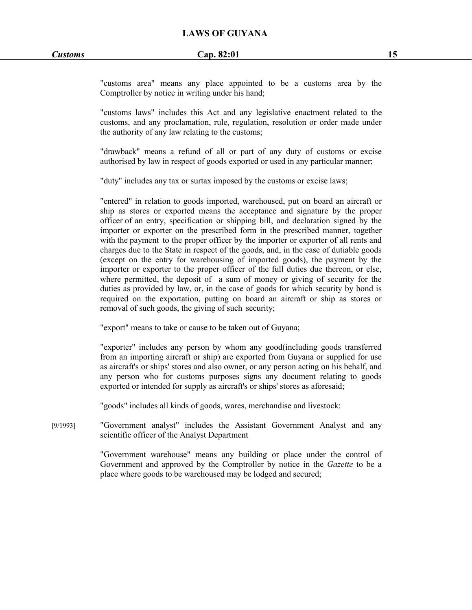"customs area" means any place appointed to be a customs area by the Comptroller by notice in writing under his hand;

"customs laws" includes this Act and any legislative enactment related to the customs, and any proclamation, rule, regulation, resolution or order made under the authority of any law relating to the customs;

"drawback" means a refund of all or part of any duty of customs or excise authorised by law in respect of goods exported or used in any particular manner;

"duty" includes any tax or surtax imposed by the customs orexcise laws;

"entered" in relation to goods imported, warehoused, put on board an aircraft or ship as stores or exported means the acceptance and signature by the proper officer of an entry, specification or shipping bill, and declaration signed by the importer or exporter on the prescribed form in the prescribed manner, together with the payment to the proper officer by the importer or exporter of all rents and charges due to the State in respect of the goods, and, in the case of dutiable goods (except on the entry for warehousing of imported goods), the payment by the importer or exporter to the proper officer of the full duties due thereon, or else, where permitted, the deposit of a sum of money or giving of security for the duties as provided by law, or, in the case of goods for which security by bond is required on the exportation, putting on board an aircraft or ship as stores or removal of such goods, the giving of such security;

"export" means to take or cause to be taken out of Guyana;

"exporter" includes any person by whom any good(including goods transferred from an importing aircraft or ship) are exported from Guyana or supplied for use as aircraft's orships' stores and also owner, or any person acting on his behalf, and any person who for customs purposes signs any document relating to goods exported or intended for supply as aircraft's or ships' stores as aforesaid;

"goods" includes all kinds of goods, wares, merchandise and livestock:

[9/1993] "Government analyst" includes the Assistant Government Analyst and any scientific officer of the Analyst Department

> "Government warehouse" means any building or place under the control of Government and approved by the Comptroller by notice in the *Gazette* to be a place where goods to be warehoused may be lodged and secured;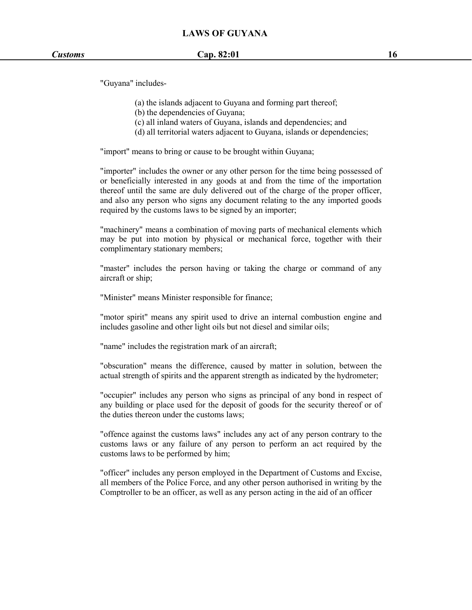"Guyana" includes-

- (a) the islands adjacent to Guyana and forming part thereof;
- (b) the dependencies of Guyana;
- (c) all inland waters of Guyana, islands and dependencies: and
- (d) all territorial waters adjacent to Guyana, islands or dependencies;

"import" means to bring or cause to be brought within Guyana;

"importer" includes the owner or any other person for the time being possessed of or beneficially interested in any goods at and from the time of the importation thereof until the same are duly delivered out of the charge of the proper officer, and also any person who signs any document relating to the any imported goods required by the customs laws to be signed by an importer;

"machinery" means a combination of moving parts of mechanical elements which may be put into motion by physical or mechanical force, together with their complimentary stationary members;

"master" includes the person having or taking the charge or command of any aircraft or ship;

"Minister" means Minister responsible for finance;

"motor spirit" means any spirit used to drive an internal combustion engine and includes gasoline and other light oils but not diesel and similar oils;

"name" includes the registration mark of an aircraft;

"obscuration" means the difference, caused by matter in solution, between the actual strength of spirits and the apparent strength as indicated by the hydrometer;

"occupier" includes any person who signs as principal of any bond in respect of any building or place used for the deposit of goods for the security thereof or of the duties thereon under the customs laws;

"offence against the customs laws" includes any act of any person contrary to the customs laws or any failure of any person to perform an act required by the customs laws to be performed by him;

"officer" includes any person employed in the Department of Customs and Excise, all members of the Police Force, and any other person authorised in writing by the Comptroller to be an officer, as well as any person acting in the aid of an officer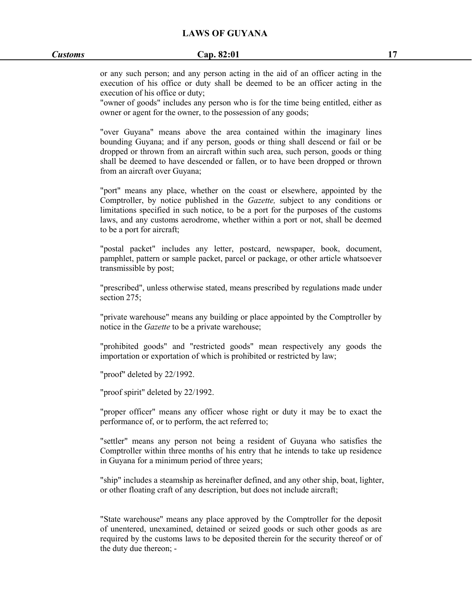#### *Customs* **Cap. 82:01 17**

or any such person; and any person acting in the aid of an officer acting in the execution of his office or duty shall be deemed to be an officer acting in the execution of his office or duty;

"owner of goods" includes any person who is for the time being entitled, either as owner or agent for the owner, to the possession of any goods;

"over Guyana" means above the area contained within the imaginary lines bounding Guyana; and if any person, goods or thing shall descend or fail or be dropped or thrown from an aircraft within such area, such person, goods or thing shall be deemed to have descended or fallen, or to have been dropped or thrown from an aircraft over Guyana;

"port" means any place, whether on the coast or elsewhere, appointed by the Comptroller, by notice published in the *Gazette,* subject to any conditions or limitations specified in such notice, to be a port for the purposes of the customs laws, and any customs aerodrome, whether within a port or not, shall be deemed to be a port for aircraft;

"postal packet" includes any letter, postcard, newspaper, book, document, pamphlet, pattern or sample packet, parcel or package, or other article whatsoever transmissible by post;

"prescribed", unless otherwise stated, means prescribed by regulations made under section 275;

"private warehouse" means any building or place appointed by the Comptroller by notice in the *Gazette* to be a private warehouse;

"prohibited goods" and "restricted goods" mean respectively any goods the importation or exportation of which is prohibited or restricted by law;

"proof" deleted by 22/1992.

"proof spirit" deleted by 22/1992.

"proper officer" means any officer whose right or duty it may be to exact the performance of, or to perform, the act referred to;

"settler" means any person not being a resident of Guyana who satisfies the Comptroller within three months of his entry that he intends to take up residence in Guyana for a minimum period of three years;

"ship" includes a steamship as hereinafter defined, and any other ship, boat, lighter, or other floating craft of any description, but does not include aircraft;

"State warehouse" means any place approved by the Comptroller for the deposit of unentered, unexamined, detained or seized goods or such other goods as are required by the customs laws to be deposited therein for the security thereof or of the duty due thereon; -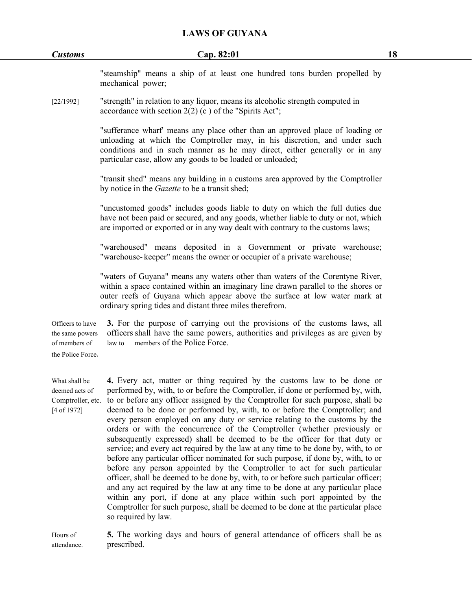Hours of**5.** The working days and hours of general attendance of officers shall be as attendance. prescribed.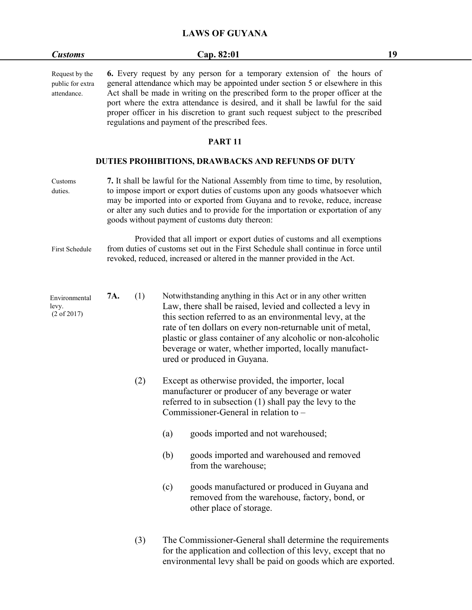| <b>Customs</b>                                    |                                                                                                                                                                                                                                                                                                                                                                                                                                                                                 |     |     | Cap. 82:01                                                                                                                                                                                                                                                                                                                                                                                                     | 19 |
|---------------------------------------------------|---------------------------------------------------------------------------------------------------------------------------------------------------------------------------------------------------------------------------------------------------------------------------------------------------------------------------------------------------------------------------------------------------------------------------------------------------------------------------------|-----|-----|----------------------------------------------------------------------------------------------------------------------------------------------------------------------------------------------------------------------------------------------------------------------------------------------------------------------------------------------------------------------------------------------------------------|----|
| Request by the<br>public for extra<br>attendance. | <b>6.</b> Every request by any person for a temporary extension of the hours of<br>general attendance which may be appointed under section 5 or elsewhere in this<br>Act shall be made in writing on the prescribed form to the proper officer at the<br>port where the extra attendance is desired, and it shall be lawful for the said<br>proper officer in his discretion to grant such request subject to the prescribed<br>regulations and payment of the prescribed fees. |     |     |                                                                                                                                                                                                                                                                                                                                                                                                                |    |
|                                                   |                                                                                                                                                                                                                                                                                                                                                                                                                                                                                 |     |     | <b>PART 11</b>                                                                                                                                                                                                                                                                                                                                                                                                 |    |
|                                                   |                                                                                                                                                                                                                                                                                                                                                                                                                                                                                 |     |     | DUTIES PROHIBITIONS, DRAWBACKS AND REFUNDS OF DUTY                                                                                                                                                                                                                                                                                                                                                             |    |
| Customs<br>duties.                                |                                                                                                                                                                                                                                                                                                                                                                                                                                                                                 |     |     | 7. It shall be lawful for the National Assembly from time to time, by resolution,<br>to impose import or export duties of customs upon any goods whatsoever which<br>may be imported into or exported from Guyana and to revoke, reduce, increase<br>or alter any such duties and to provide for the importation or exportation of any<br>goods without payment of customs duty thereon:                       |    |
| First Schedule                                    |                                                                                                                                                                                                                                                                                                                                                                                                                                                                                 |     |     | Provided that all import or export duties of customs and all exemptions<br>from duties of customs set out in the First Schedule shall continue in force until<br>revoked, reduced, increased or altered in the manner provided in the Act.                                                                                                                                                                     |    |
| Environmental<br>levy.<br>$(2 \text{ of } 2017)$  | 7A.                                                                                                                                                                                                                                                                                                                                                                                                                                                                             | (1) |     | Notwithstanding anything in this Act or in any other written<br>Law, there shall be raised, levied and collected a levy in<br>this section referred to as an environmental levy, at the<br>rate of ten dollars on every non-returnable unit of metal,<br>plastic or glass container of any alcoholic or non-alcoholic<br>beverage or water, whether imported, locally manufact-<br>ured or produced in Guyana. |    |
|                                                   |                                                                                                                                                                                                                                                                                                                                                                                                                                                                                 | (2) |     | Except as otherwise provided, the importer, local<br>manufacturer or producer of any beverage or water<br>referred to in subsection $(1)$ shall pay the levy to the<br>Commissioner-General in relation to –                                                                                                                                                                                                   |    |
|                                                   |                                                                                                                                                                                                                                                                                                                                                                                                                                                                                 |     | (a) | goods imported and not warehoused;                                                                                                                                                                                                                                                                                                                                                                             |    |
|                                                   |                                                                                                                                                                                                                                                                                                                                                                                                                                                                                 |     | (b) | goods imported and warehoused and removed<br>from the warehouse;                                                                                                                                                                                                                                                                                                                                               |    |
|                                                   |                                                                                                                                                                                                                                                                                                                                                                                                                                                                                 |     | (c) | goods manufactured or produced in Guyana and<br>removed from the warehouse, factory, bond, or<br>other place of storage.                                                                                                                                                                                                                                                                                       |    |
|                                                   |                                                                                                                                                                                                                                                                                                                                                                                                                                                                                 | (3) |     | The Commissioner-General shall determine the requirements<br>for the application and collection of this levy, except that no<br>environmental levy shall be paid on goods which are exported.                                                                                                                                                                                                                  |    |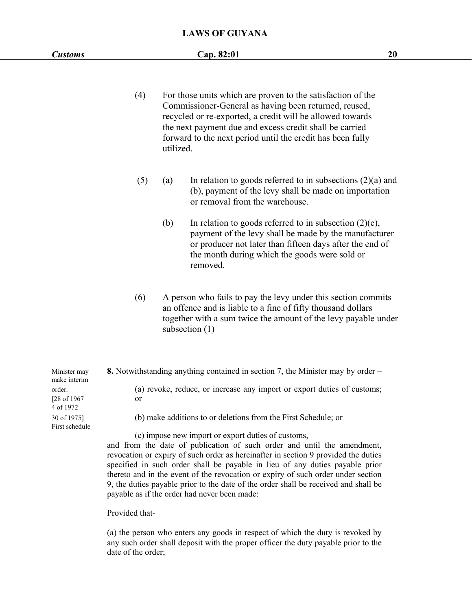- (4) For those units which are proven to the satisfaction of the Commissioner-General as having been returned, reused, recycled or re-exported, a credit will be allowed towards the next payment due and excess credit shall be carried forward to the next period until the credit has been fully utilized.
- (5) (a) In relation to goods referred to in subsections  $(2)(a)$  and (b), payment of the levy shall be made on importation or removal from the warehouse.
	- (b) In relation to goods referred to in subsection  $(2)(c)$ , payment of the levy shall be made by the manufacturer or producer not later than fifteen daysafter the end of the month during which the goods were sold or removed.
- (6) A person who fails to pay the levy under this section commits an offence and is liable to a fine of fifty thousand dollars together with a sum twice the amount of the levy payable under subsection (1)

| Minister may<br>make interim  | 8. Notwithstanding anything contained in section 7, the Minister may by order – |
|-------------------------------|---------------------------------------------------------------------------------|
| order.                        | (a) revoke, reduce, or increase any import or export duties of customs;         |
| [28 of 1967]<br>4 of 1972     | <sub>or</sub>                                                                   |
| 30 of 1975]<br>First schedule | (b) make additions to or deletions from the First Schedule; or                  |
|                               | (c) impose new import or export duties of customs,                              |
|                               | and from the date of publication of such order and until the amendment,         |

revocation or expiry of such order as hereinafter in section 9 provided the duties specified in such order shall be payable in lieu of any duties payable prior thereto and in the event of the revocation or expiry of such order under section 9, the duties payable prior to the date of the order shall be received and shall be payable as if the order had never been made:

Provided that-

(a) the person who enters any goods in respect of which the duty is revoked by any such order shall deposit with the proper officer the duty payable prior to the date of the order;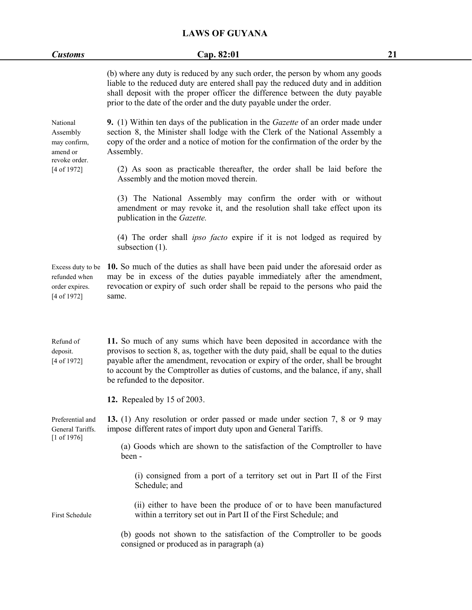| <b>Customs</b>                                                                   | Cap. 82:01                                                                                                                                                                                                                                                                                                                                                                  | 21 |
|----------------------------------------------------------------------------------|-----------------------------------------------------------------------------------------------------------------------------------------------------------------------------------------------------------------------------------------------------------------------------------------------------------------------------------------------------------------------------|----|
|                                                                                  | (b) where any duty is reduced by any such order, the person by whom any goods<br>liable to the reduced duty are entered shall pay the reduced duty and in addition<br>shall deposit with the proper officer the difference between the duty payable<br>prior to the date of the order and the duty payable under the order.                                                 |    |
| National<br>Assembly<br>may confirm,<br>amend or<br>revoke order.<br>[4 of 1972] | 9. (1) Within ten days of the publication in the Gazette of an order made under<br>section 8, the Minister shall lodge with the Clerk of the National Assembly a<br>copy of the order and a notice of motion for the confirmation of the order by the<br>Assembly.                                                                                                          |    |
|                                                                                  | (2) As soon as practicable thereafter, the order shall be laid before the<br>Assembly and the motion moved therein.                                                                                                                                                                                                                                                         |    |
|                                                                                  | (3) The National Assembly may confirm the order with or without<br>amendment or may revoke it, and the resolution shall take effect upon its<br>publication in the Gazette.                                                                                                                                                                                                 |    |
|                                                                                  | (4) The order shall <i>ipso facto</i> expire if it is not lodged as required by<br>subsection $(1)$ .                                                                                                                                                                                                                                                                       |    |
| Excess duty to be<br>refunded when<br>order expires.<br>[4 of 1972]              | 10. So much of the duties as shall have been paid under the aforesaid order as<br>may be in excess of the duties payable immediately after the amendment,<br>revocation or expiry of such order shall be repaid to the persons who paid the<br>same.                                                                                                                        |    |
| Refund of<br>deposit.<br>[4 of 1972]                                             | 11. So much of any sums which have been deposited in accordance with the<br>provisos to section 8, as, together with the duty paid, shall be equal to the duties<br>payable after the amendment, revocation or expiry of the order, shall be brought<br>to account by the Comptroller as duties of customs, and the balance, if any, shall<br>be refunded to the depositor. |    |
|                                                                                  | <b>12.</b> Repealed by 15 of 2003.                                                                                                                                                                                                                                                                                                                                          |    |
| Preferential and<br>General Tariffs.<br>[1 of 1976]                              | 13. (1) Any resolution or order passed or made under section 7, 8 or 9 may<br>impose different rates of import duty upon and General Tariffs.                                                                                                                                                                                                                               |    |
|                                                                                  | (a) Goods which are shown to the satisfaction of the Comptroller to have<br>been -                                                                                                                                                                                                                                                                                          |    |
|                                                                                  | (i) consigned from a port of a territory set out in Part II of the First<br>Schedule; and                                                                                                                                                                                                                                                                                   |    |
| First Schedule                                                                   | (ii) either to have been the produce of or to have been manufactured<br>within a territory set out in Part II of the First Schedule; and                                                                                                                                                                                                                                    |    |
|                                                                                  | (b) goods not shown to the satisfaction of the Comptroller to be goods<br>consigned or produced as in paragraph (a)                                                                                                                                                                                                                                                         |    |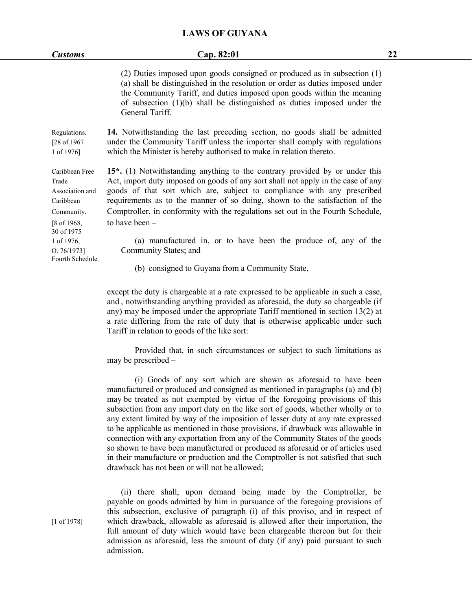| <b>Customs</b>                                                                                                                                        | Cap. 82:01                                                                                                                                                                                                                                                                                                                                                                                                                                                                                                                                | 22 |
|-------------------------------------------------------------------------------------------------------------------------------------------------------|-------------------------------------------------------------------------------------------------------------------------------------------------------------------------------------------------------------------------------------------------------------------------------------------------------------------------------------------------------------------------------------------------------------------------------------------------------------------------------------------------------------------------------------------|----|
|                                                                                                                                                       | (2) Duties imposed upon goods consigned or produced as in subsection (1)<br>(a) shall be distinguished in the resolution or order as duties imposed under<br>the Community Tariff, and duties imposed upon goods within the meaning<br>of subsection $(1)(b)$ shall be distinguished as duties imposed under the<br>General Tariff.                                                                                                                                                                                                       |    |
| Regulations.<br>[28 of 1967<br>1 of 1976]                                                                                                             | 14. Notwithstanding the last preceding section, no goods shall be admitted<br>under the Community Tariff unless the importer shall comply with regulations<br>which the Minister is hereby authorised to make in relation thereto.                                                                                                                                                                                                                                                                                                        |    |
| Caribbean Free<br>Trade<br>Association and<br>Caribbean<br>Community.<br>[8 of 1968,<br>30 of 1975<br>1 of 1976,<br>$O.76/1973$ ]<br>Fourth Schedule. | 15 <sup>*</sup> . (1) Notwithstanding anything to the contrary provided by or under this<br>Act, import duty imposed on goods of any sort shall not apply in the case of any<br>goods of that sort which are, subject to compliance with any prescribed<br>requirements as to the manner of so doing, shown to the satisfaction of the<br>Comptroller, in conformity with the regulations set out in the Fourth Schedule,<br>to have been $-$<br>(a) manufactured in, or to have been the produce of, any of the<br>Community States; and |    |
|                                                                                                                                                       | (b) consigned to Guyana from a Community State,                                                                                                                                                                                                                                                                                                                                                                                                                                                                                           |    |

except the duty is chargeable at a rate expressed to be applicable in such a case, and , notwithstanding anything provided as aforesaid, the duty so chargeable (if any) may be imposed under the appropriate Tariff mentioned in section 13(2) at a rate differing from the rate of duty that is otherwise applicable under such Tariff in relation to goods of the like sort:

Provided that, in such circumstances or subject to such limitations as may be prescribed –

(i) Goods of any sort which are shown as aforesaid to have been manufactured or produced and consigned as mentioned in paragraphs (a) and (b) may be treated as not exempted by virtue of the foregoing provisions of this subsection from any import duty on the like sort of goods, whether wholly or to any extent limited by way of the imposition of lesser duty at any rate expressed to be applicable as mentioned in those provisions, if drawback was allowable in connection with any exportation from any of the Community States of the goods so shown to have been manufactured or produced as aforesaid or of articles used in their manufacture or production and the Comptroller is not satisfied that such drawback has not been or will not be allowed;

(ii) there shall, upon demand being made by the Comptroller, be payable on goods admitted by him in pursuance of the foregoing provisions of this subsection, exclusive of paragraph (i) of this proviso, and in respect of [1 of 1978] which drawback, allowable as aforesaid is allowed after their importation, the full amount of duty which would have been chargeable thereon but for their admission as aforesaid, less the amount of duty (if any) paid pursuant to such admission.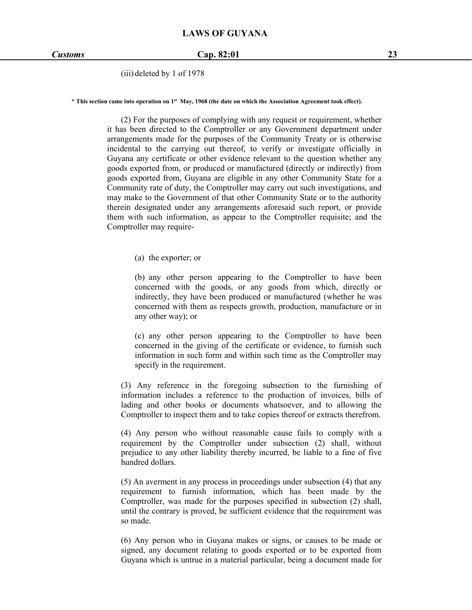#### (iii) deleted by 1 of 1978

#### \* This section came into operation on 1st May, 1968 (the date on which the Association Agreement took effect).

(2) For the purposes of complying with any request or requirement, whether it has been directed to the Comptroller or any Government department under arrangements made for the purposes of the Community Treaty or is otherwise incidental to the carrying out thereof, to verify or investigate officially in Guyana any certificate or other evidence relevant to the question whether any goods exported from, or produced or manufactured (directly or indirectly) from goods exported from, Guyana are eligible in any other Community State for a Community rate of duty, the Comptroller may carry out such investigations, and may make to the Government of that other Community State or to the authority therein designated under any arrangements aforesaid such report, or provide them with such information, as appear to the Comptroller requisite; and the Comptroller may require-

(a) the exporter; or

(b) any other person appearing to the Comptroller to have been concerned with the goods, or any goods from which, directly or indirectly, they have been produced or manufactured (whether he was concerned with them as respects growth, production, manufacture or in any other way); or

(c) any other person appearing to the Comptroller to have been concerned in the giving of the certificate or evidence, to furnish such information in such form and within such time as the Comptroller may specify in the requirement.

(3) Any reference in the foregoing subsection to the furnishing of information includes a reference to the production of invoices, bills of lading and other books or documents whatsoever, and to allowing the Comptroller to inspect them and to take copies thereof or extracts therefrom.

(4) Any person who without reasonable cause fails to comply with a requirement by the Comptroller under subsection (2) shall, without prejudice to any other liability thereby incurred, be liable to a fine of five hundred dollars.

(5) An averment in any process in proceedings under subsection (4) that any requirement to furnish information, which has been made by the Comptroller, was made for the purposes specified in subsection (2) shall, until the contrary is proved, be sufficient evidence that the requirement was so made.

(6) Any person who in Guyana makes or signs, or causes to be made or signed, any document relating to goods exported or to be exported from Guyana which is untrue in a material particular, being a document made for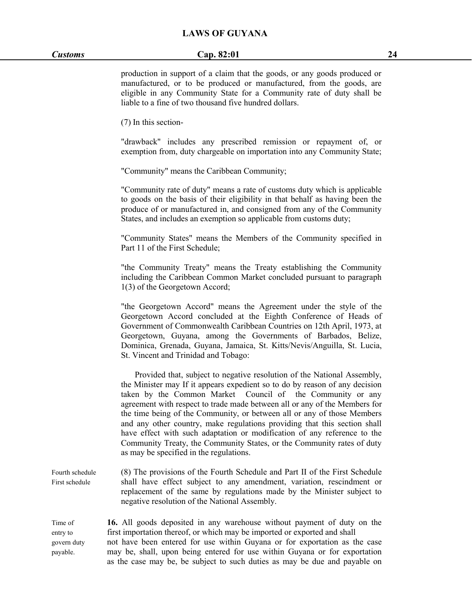production in support of a claim that the goods, or any goods produced or manufactured, or to be produced or manufactured, from the goods, are eligible in any Community State for a Community rate of duty shall be liable to a fine of two thousand five hundred dollars.

(7) In this section-

"drawback" includes any prescribed remission or repayment of, or exemption from, duty chargeable on importation into any Community State;

"Community" means the Caribbean Community;

"Community rate of duty" means a rate of customs duty which is applicable to goods on the basis of their eligibility in that behalf as having been the produce of or manufactured in, and consigned from any of the Community States, and includes an exemption so applicable from customs duty;

"Community States" means the Members of the Community specified in Part 11 of the First Schedule;

"the Community Treaty" means the Treaty establishing the Community including the Caribbean Common Market concluded pursuant to paragraph 1(3) of the Georgetown Accord;

"the Georgetown Accord" means the Agreement under the style of the Georgetown Accord concluded at the Eighth Conference of Heads of Government of Commonwealth Caribbean Countries on 12th April, 1973, at Georgetown, Guyana, among the Governments of Barbados, Belize, Dominica, Grenada, Guyana, Jamaica, St. Kitts/Nevis/Anguilla, St. Lucia, St. Vincent and Trinidad and Tobago:

Provided that, subject to negative resolution of the National Assembly, the Minister may If it appears expedient so to do by reason of any decision taken by the Common Market Council of the Community or any agreement with respect to trade made between all or any of the Members for the time being of the Community, or between all or any of those Members and any other country, make regulations providing that this section shall have effect with such adaptation or modification of any reference to the Community Treaty, the Community States, or the Community rates of duty as may be specified in the regulations.

Fourth schedule (8) The provisions of the Fourth Schedule and Part II of the First Schedule First schedule shall have effect subject to any amendment, variation, rescindment or replacement of the same by regulations made by the Minister subject to negative resolution of the National Assembly.

Time of **16.** All goods deposited in any warehouse without payment of duty on the entry to first importation thereof, or which may be imported or exported and shall govern duty not have been entered for use within Guyana or for exportation as the case payable. may be, shall, upon being entered for use within Guyana or for exportation as the case may be, be subject to such duties as may be due and payable on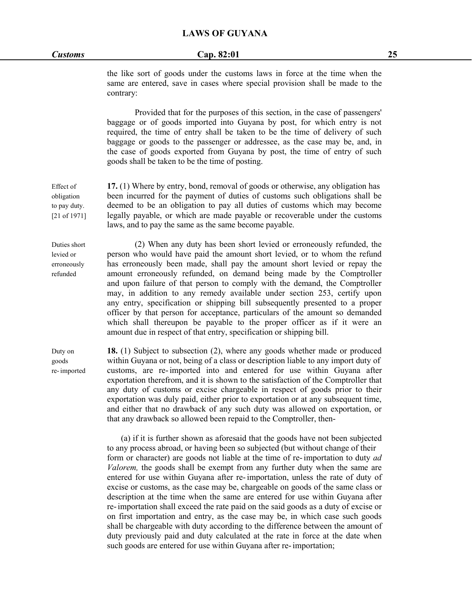| <b>Customs</b> |
|----------------|
|----------------|

the like sort of goods under the customs laws in force at the time when the same are entered, save in cases where special provision shall be made to the contrary:

Provided that for the purposes of this section, in the case of passengers' baggage or of goods imported into Guyana by post, for which entry is not required, the time of entry shall be taken to be the time of delivery of such baggage or goods to the passenger or addressee, as the case may be, and, in the case of goods exported from Guyana by post, the time of entry of such goods shall be taken to be the time of posting.

Effect of **17.** (1) Where by entry, bond, removal of goods or otherwise, any obligation has obligation been incurred for the payment of duties of customs such obligations shall be to pay duty. deemed to be an obligation to pay all duties of customs which may become [21 of 1971] legally payable, or which are made payable or recoverable under the customs laws, and to pay the same as the same become payable.

Duties short (2) When any duty has been short levied or erroneously refunded, the levied or person who would have paid the amount short levied, or to whom the refund erroneously has erroneously been made, shall pay the amount short levied or repay the refunded amount erroneously refunded, on demand being made by the Comptroller and upon failure of that person to comply with the demand, the Comptroller may, in addition to any remedy available under section 253, certify upon any entry, specification or shipping bill subsequently presented to a proper officer by that person for acceptance, particulars of the amount so demanded which shall thereupon be payable to the proper officer as if it were an amount due in respect of that entry, specification or shipping bill.

Duty on **18.** (1) Subject to subsection (2), where any goods whether made or produced goods within Guyana or not, being of a class ordescription liable to any import duty of re-imported customs, are re-imported into and entered for use within Guyana after exportation therefrom, and it is shown to the satisfaction of the Comptroller that any duty of customs or excise chargeable in respect of goods prior to their exportation was duly paid, either prior to exportation or at any subsequent time, and either that no drawback of any such duty was allowed on exportation, or that any drawback so allowed been repaid to the Comptroller, then-

> (a) if it is further shown as aforesaid that the goods have not been subjected to any process abroad, or having been so subjected (but without change of their form or character) are goods not liable at the time of re-importation to duty *ad Valorem,* the goods shall be exempt from any further duty when the same are entered for use within Guyana after re-importation, unless the rate of duty of excise or customs, as the case may be, chargeable on goods of the same class or description at the time when the same are entered for use within Guyana after re-importation shall exceed the rate paid on the said goods as a duty of excise or on first importation and entry, as the case may be, in which case such goods shall be chargeable with duty according to the difference between the amount of duty previously paid and duty calculated at the rate in force at the date when such goods are entered for use within Guyana after re-importation;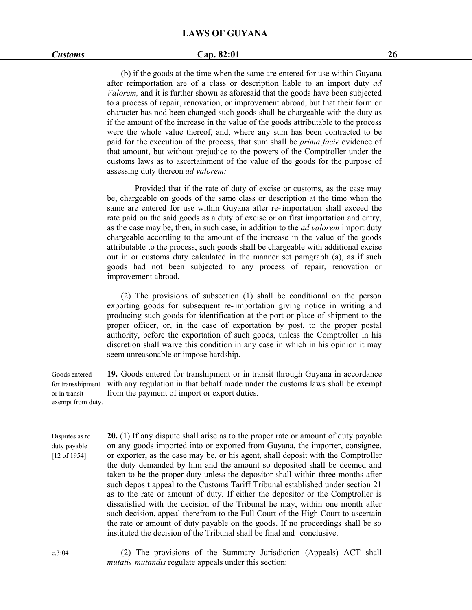#### *Customs* **Cap. 82:01 26**

(b) if the goods at the time when the same are entered for use within Guyana after reimportation are of a class or description liable to an import duty *ad Valorem,* and it is further shown as aforesaid that the goods have been subjected to a process of repair, renovation, or improvement abroad, but that their form or character has nod been changed such goods shall be chargeable with the duty as if the amount of the increase in the value of the goods attributable to the process were the whole value thereof, and, where any sum has been contracted to be paid for the execution of the process, that sum shall be *prima facie* evidence of that amount, but without prejudice to the powers of the Comptroller under the customs laws as to ascertainment of the value of the goods for the purpose of assessing duty thereon *ad valorem:*

Provided that if the rate of duty of excise or customs, as the case may be, chargeable on goods of the same class or description at the time when the same are entered for use within Guyana after re-importation shall exceed the rate paid on the said goods as a duty of excise or on first importation and entry, as the case may be, then, in such case, in addition to the *ad valorem* import duty chargeable according to the amount of the increase in the value of the goods attributable to the process, such goods shall be chargeable with additional excise out in or customs duty calculated in the manner set paragraph  $(a)$ , as if such goods had not been subjected to any process of repair, renovation or improvement abroad.

(2) The provisions of subsection (1) shall be conditional on the person exporting goods for subsequent re-importation giving notice in writing and producing such goods for identification at the port or place of shipment to the proper officer, or, in the case of exportation by post, to the proper postal authority, before the exportation of such goods, unless the Comptroller in his discretion shall waive this condition in any case in which in his opinion it may seem unreasonable or impose hardship.

Goods entered **19.**Goods entered for transhipment or in transit through Guyana in accordance for transshipment with any regulation in that behalf made under the customs laws shall be exempt or in transit from the payment of import or export duties. exempt from duty.

Disputes as to **20.** (1) If any dispute shall arise as to the proper rate or amount of duty payable duty payable on any goods imported into or exported from Guyana, the importer, consignee, [12 of 1954]. or exporter, as the case may be, or his agent, shall deposit with the Comptroller the duty demanded by him and the amount so deposited shall be deemed and taken to be the proper duty unless the depositor shall within three months after such deposit appeal to the Customs Tariff Tribunal established under section 21 as to the rate or amount of duty. If either the depositor or the Comptroller is dissatisfied with the decision of the Tribunal he may, within one month after such decision, appeal therefrom to the Full Court of the High Court to ascertain the rate or amount of duty payable on the goods. If no proceedings shall be so instituted the decision of the Tribunal shall be final and conclusive.

c.3:04 (2) The provisions of the Summary Jurisdiction (Appeals) ACT shall *mutatis mutandis* regulate appeals under this section: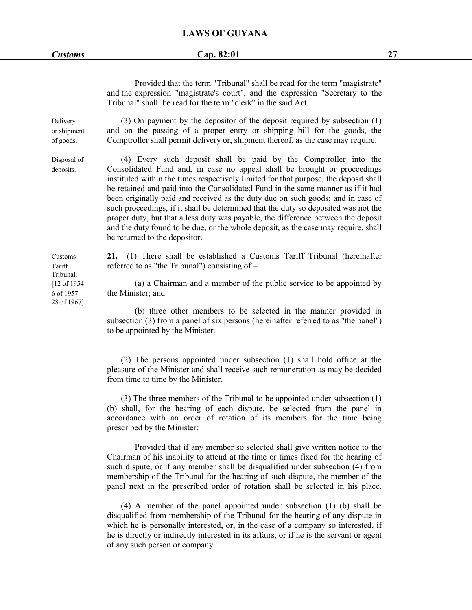| <b>Customs</b> |  |
|----------------|--|
|                |  |

#### *Customs* **Cap. 82:01 27**

Provided that the term "Tribunal" shall be read for the term "magistrate" and the expression "magistrate's court", and the expression "Secretary to the Tribunal" shall be read for the term "clerk" in the said Act.

Tribunal.

28 of 1967]

Delivery  $(3)$  On payment by the depositor of the deposit required by subsection  $(1)$ or shipment and on the passing of a proper entry or shipping bill for the goods, the of goods. Comptroller shall permit delivery or, shipment thereof, as the case may require.

Disposal of (4) Every such deposit shall be paid by the Comptroller into the deposits. Consolidated Fund and, in case no appeal shall be brought or proceedings instituted within the times respectively limited for that purpose, the depositshall be retained and paid into the Consolidated Fund in the same manner as if it had been originally paid and received as the duty due on such goods; and in case of such proceedings, if it shall be determined that the duty so deposited was not the proper duty, but that a less duty was payable, the difference between the deposit and the duty found to be due, or the whole deposit, as the case may require, shall be returned to the depositor.

Customs **21.** (1) There shall be established a Customs Tariff Tribunal (hereinafter Tariff referred to as "the Tribunal") consisting of  $-$ 

[12 of 1954 (a) a Chairman and a member of the public service to be appointed by 6 of 1957 the Minister; and

> (b) three other members to be selected in the manner provided in subsection (3) from a panel of six persons (hereinafter referred to as "the panel") to be appointed by the Minister.

> (2) The persons appointed under subsection (1) shall hold office at the pleasure of the Minister and shall receive such remuneration as may be decided from time to time by the Minister.

> (3) The three members of the Tribunal to be appointed under subsection  $(1)$ (b) shall, for the hearing of each dispute, be selected from the panel in accordance with an order of rotation of its members for the time being prescribed by the Minister:

> Provided that if any member so selected shall give written notice to the Chairman of his inability to attend at the time or times fixed for the hearing of such dispute, or if any member shall be disqualified under subsection (4) from membership of the Tribunal for the hearing of such dispute, the member of the panel next in the prescribed order of rotation shall be selected in his place.

> (4) A member of the panel appointed under subsection (1) (b) shall be disqualified from membershipof the Tribunal for the hearing of any dispute in which he is personally interested, or, in the case of a company so interested, if he is directly or indirectly interested in its affairs, or if he is the servant or agent of any such person or company.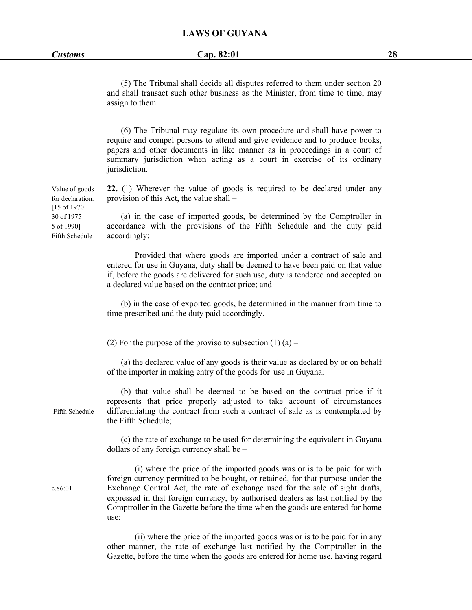(5) The Tribunal shall decide all disputes referred to them under section 20 and shall transact such other business as the Minister, from time to time, may assign to them.

(6) The Tribunal may regulate its own procedure and shall have power to require and compel persons to attend and give evidence and to produce books, papers and other documents in like manner as in proceedings in a court of summary jurisdiction when acting as a court in exercise of its ordinary jurisdiction.

Value of goods **22.** (1) Wherever the value of goods is required to be declared under any for declaration. provision of this Act, the value shall –

30 of 1975 (a) in the case of imported goods, be determined by the Comptroller in 5 of 1990] accordance with the provisions of the Fifth Schedule and the duty paid Fifth Schedule accordingly:

> Provided that where goods are imported under a contract of sale and entered for use in Guyana, duty shall be deemed to have been paid on that value if, before the goods are delivered for such use, duty is tendered and accepted on a declared value based on the contract price; and

> (b) in the case of exported goods, be determined in the manner from time to time prescribed and the duty paid accordingly.

(2) For the purpose of the proviso to subsection  $(1)$  (a) –

(a) the declared value of any goods is their value as declared by or on behalf of the importer in making entry of the goods for use in Guyana;

(b) that value shall be deemed to be based on the contract price if it represents that price properly adjusted to take account of circumstances Fifth Schedule differentiating the contract from such a contract of sale as is contemplated by the Fifth Schedule;

> (c) the rate of exchange to be used for determining the equivalent in Guyana dollars of any foreign currency shall be  $-$

(i) where the price of the imported goods was or is to be paid for with foreign currency permitted to be bought, or retained, for that purpose under the c.86:01 Exchange Control Act, the rate of exchange used for the sale of sight drafts, expressed in that foreign currency, by authorised dealers as last notified by the Comptroller in the Gazette before the time when the goods are entered for home use;

> (ii) where the price of the imported goods was or is to be paid for in any other manner, the rate of exchange last notified by the Comptroller in the Gazette, before the time when the goods are entered for home use, having regard

[15 of 1970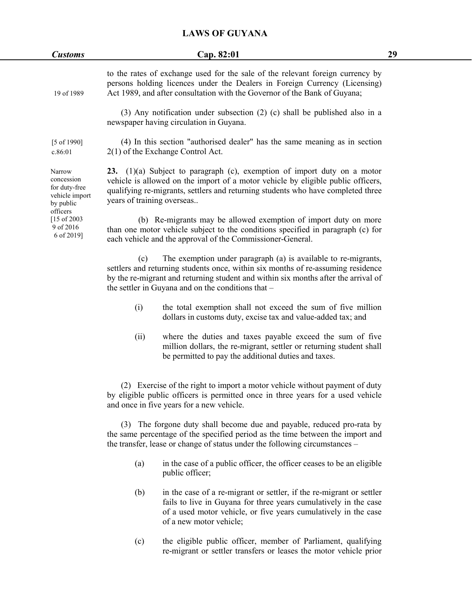| <b>Customs</b>                                                       |                            | Cap. 82:01                                                                                                                                                                                                                                                                                     | 29 |
|----------------------------------------------------------------------|----------------------------|------------------------------------------------------------------------------------------------------------------------------------------------------------------------------------------------------------------------------------------------------------------------------------------------|----|
| 19 of 1989                                                           |                            | to the rates of exchange used for the sale of the relevant foreign currency by<br>persons holding licences under the Dealers in Foreign Currency (Licensing)<br>Act 1989, and after consultation with the Governor of the Bank of Guyana;                                                      |    |
|                                                                      |                            | $(3)$ Any notification under subsection $(2)$ $(c)$ shall be published also in a<br>newspaper having circulation in Guyana.                                                                                                                                                                    |    |
| $[5 \text{ of } 1990]$<br>c.86:01                                    |                            | (4) In this section "authorised dealer" has the same meaning as in section<br>$2(1)$ of the Exchange Control Act.                                                                                                                                                                              |    |
| Narrow<br>concession<br>for duty-free<br>vehicle import<br>by public | years of training overseas | 23. $(1)(a)$ Subject to paragraph (c), exemption of import duty on a motor<br>vehicle is allowed on the import of a motor vehicle by eligible public officers,<br>qualifying re-migrants, settlers and returning students who have completed three                                             |    |
| officers<br>$[15$ of 2003<br>9 of 2016<br>6 of 2019]                 |                            | (b) Re-migrants may be allowed exemption of import duty on more<br>than one motor vehicle subject to the conditions specified in paragraph (c) for<br>each vehicle and the approval of the Commissioner-General.                                                                               |    |
|                                                                      | (c)                        | The exemption under paragraph (a) is available to re-migrants,<br>settlers and returning students once, within six months of re-assuming residence<br>by the re-migrant and returning student and within six months after the arrival of<br>the settler in Guyana and on the conditions that - |    |
|                                                                      | (i)                        | the total exemption shall not exceed the sum of five million<br>dollars in customs duty, excise tax and value-added tax; and                                                                                                                                                                   |    |
|                                                                      | (ii)                       | where the duties and taxes payable exceed the sum of five<br>million dollars, the re-migrant, settler or returning student shall<br>be permitted to pay the additional duties and taxes.                                                                                                       |    |
|                                                                      |                            | (2) Exercise of the right to import a motor vehicle without payment of duty<br>by eligible public officers is permitted once in three years for a used vehicle<br>and once in five years for a new vehicle.                                                                                    |    |
|                                                                      |                            | (3) The forgone duty shall become due and payable, reduced pro-rata by<br>the same percentage of the specified period as the time between the import and<br>the transfer, lease or change of status under the following circumstances -                                                        |    |
|                                                                      | (a)                        | in the case of a public officer, the officer ceases to be an eligible<br>public officer;                                                                                                                                                                                                       |    |
|                                                                      | (b)                        | in the case of a re-migrant or settler, if the re-migrant or settler<br>fails to live in Guyana for three years cumulatively in the case<br>of a used motor vehicle, or five years cumulatively in the case                                                                                    |    |

(c) the eligible public officer, member of Parliament, qualifying re-migrant or settler transfers or leases the motor vehicle prior

of a new motor vehicle;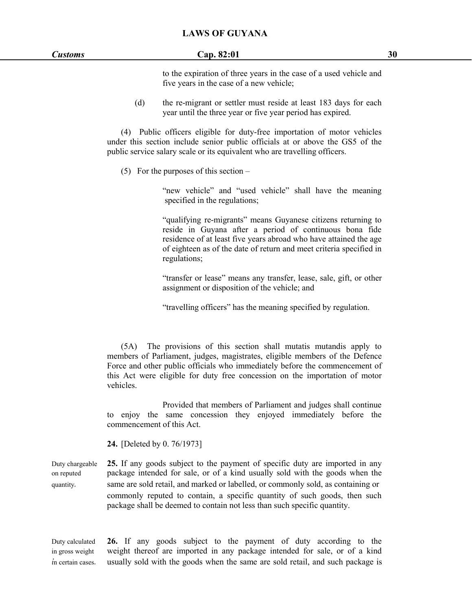| Customs |     | Cap. 82:01                                                                                                                     | 30 |
|---------|-----|--------------------------------------------------------------------------------------------------------------------------------|----|
|         |     | to the expiration of three years in the case of a used vehicle and<br>five years in the case of a new vehicle;                 |    |
|         | (d) | the re-migrant or settler must reside at least 183 days for each<br>year until the three year or five year period has expired. |    |

(4) Public officers eligible for duty-free importation of motor vehicles under this section include senior public officials at or above the GS5 of the public service salary scale or its equivalent who are travelling officers.

(5) For the purposes of this section  $-$ 

"new vehicle" and "used vehicle" shall have the meaning specified in the regulations;

"qualifying re-migrants" means Guyanese citizens returning to reside in Guyana after a period of continuous bona fide residence of at least five years abroad who have attained the age of eighteen as of the date of return and meet criteria specified in regulations;

"transfer or lease" means any transfer, lease, sale, gift, or other assignment or disposition of the vehicle; and

"travelling officers" has the meaning specified by regulation.

(5A) The provisions of this section shall mutatis mutandis apply to members of Parliament, judges, magistrates, eligible members of the Defence Force and other public officials who immediately before the commencement of this Act were eligible for duty free concession on the importation of motor vehicles.

Provided that members of Parliament and judges shall continue to enjoy the same concession they enjoyed immediately before the commencement of this Act.

**24.** [Deleted by 0. 76/1973]

Duty chargeable **25.** If any goods subject to the payment of specific duty are imported in any on reputed package intended for sale, or of a kind usually sold with the goods when the quantity. same are sold retail, and marked or labelled, or commonly sold, as containing or commonly reputed to contain, a specific quantity of such goods, then such package shall be deemed to contain not less than such specific quantity.

Duty calculated **26.** If any goods subject to the payment of duty according to the in gross weight weight thereof are imported in any package intended for sale, or of a kind in certain cases. usually sold with the goods when the same are sold retail, and such package is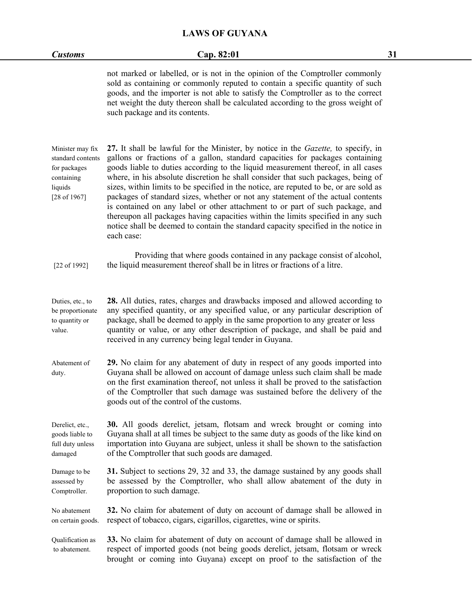# *Customs* **Cap. 82:01 31**

|                                                                                                | not marked or labelled, or is not in the opinion of the Comptroller commonly<br>sold as containing or commonly reputed to contain a specific quantity of such<br>goods, and the importer is not able to satisfy the Comptroller as to the correct<br>net weight the duty thereon shall be calculated according to the gross weight of<br>such package and its contents.                                                                                                                                                                                                                                                                                                                                                                                                                                 |
|------------------------------------------------------------------------------------------------|---------------------------------------------------------------------------------------------------------------------------------------------------------------------------------------------------------------------------------------------------------------------------------------------------------------------------------------------------------------------------------------------------------------------------------------------------------------------------------------------------------------------------------------------------------------------------------------------------------------------------------------------------------------------------------------------------------------------------------------------------------------------------------------------------------|
| Minister may fix<br>standard contents<br>for packages<br>containing<br>liquids<br>[28 of 1967] | 27. It shall be lawful for the Minister, by notice in the <i>Gazette</i> , to specify, in<br>gallons or fractions of a gallon, standard capacities for packages containing<br>goods liable to duties according to the liquid measurement thereof, in all cases<br>where, in his absolute discretion he shall consider that such packages, being of<br>sizes, within limits to be specified in the notice, are reputed to be, or are sold as<br>packages of standard sizes, whether or not any statement of the actual contents<br>is contained on any label or other attachment to or part of such package, and<br>thereupon all packages having capacities within the limits specified in any such<br>notice shall be deemed to contain the standard capacity specified in the notice in<br>each case: |
| [22 of 1992]                                                                                   | Providing that where goods contained in any package consist of alcohol,<br>the liquid measurement thereof shall be in litres or fractions of a litre.                                                                                                                                                                                                                                                                                                                                                                                                                                                                                                                                                                                                                                                   |
| Duties, etc., to<br>be proportionate<br>to quantity or<br>value.                               | 28. All duties, rates, charges and drawbacks imposed and allowed according to<br>any specified quantity, or any specified value, or any particular description of<br>package, shall be deemed to apply in the same proportion to any greater or less<br>quantity or value, or any other description of package, and shall be paid and<br>received in any currency being legal tender in Guyana.                                                                                                                                                                                                                                                                                                                                                                                                         |
| Abatement of<br>duty.                                                                          | 29. No claim for any abatement of duty in respect of any goods imported into<br>Guyana shall be allowed on account of damage unless such claim shall be made<br>on the first examination thereof, not unless it shall be proved to the satisfaction<br>of the Comptroller that such damage was sustained before the delivery of the<br>goods out of the control of the customs.                                                                                                                                                                                                                                                                                                                                                                                                                         |
| Derelict, etc.,<br>goods liable to<br>full duty unless<br>damaged                              | 30. All goods derelict, jetsam, flotsam and wreck brought or coming into<br>Guyana shall at all times be subject to the same duty as goods of the like kind on<br>importation into Guyana are subject, unless it shall be shown to the satisfaction<br>of the Comptroller that such goods are damaged.                                                                                                                                                                                                                                                                                                                                                                                                                                                                                                  |
| Damage to be<br>assessed by<br>Comptroller.                                                    | 31. Subject to sections 29, 32 and 33, the damage sustained by any goods shall<br>be assessed by the Comptroller, who shall allow abatement of the duty in<br>proportion to such damage.                                                                                                                                                                                                                                                                                                                                                                                                                                                                                                                                                                                                                |
| No abatement<br>on certain goods.                                                              | 32. No claim for abatement of duty on account of damage shall be allowed in<br>respect of tobacco, cigars, cigarillos, cigarettes, wine or spirits.                                                                                                                                                                                                                                                                                                                                                                                                                                                                                                                                                                                                                                                     |
| Qualification as<br>to abatement.                                                              | 33. No claim for abatement of duty on account of damage shall be allowed in<br>respect of imported goods (not being goods derelict, jetsam, flotsam or wreck<br>brought or coming into Guyana) except on proof to the satisfaction of the                                                                                                                                                                                                                                                                                                                                                                                                                                                                                                                                                               |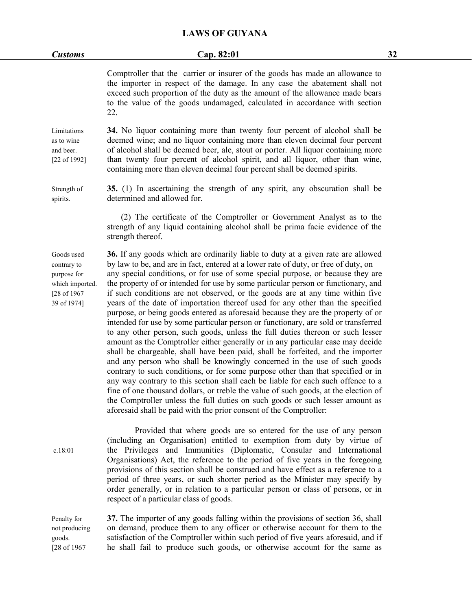| <b>Customs</b>                                                                            | Cap. 82:01                                                                                                                                                                                                                                                                                                                                                                                                                                                                                                                                                                                                                                                                                                                                                                                                                                                                                                                                                                                                                                                                                                                                                                                                                                                                                                                                                                                                                                             | 32 |
|-------------------------------------------------------------------------------------------|--------------------------------------------------------------------------------------------------------------------------------------------------------------------------------------------------------------------------------------------------------------------------------------------------------------------------------------------------------------------------------------------------------------------------------------------------------------------------------------------------------------------------------------------------------------------------------------------------------------------------------------------------------------------------------------------------------------------------------------------------------------------------------------------------------------------------------------------------------------------------------------------------------------------------------------------------------------------------------------------------------------------------------------------------------------------------------------------------------------------------------------------------------------------------------------------------------------------------------------------------------------------------------------------------------------------------------------------------------------------------------------------------------------------------------------------------------|----|
|                                                                                           | Comptroller that the carrier or insurer of the goods has made an allowance to<br>the importer in respect of the damage. In any case the abatement shall not<br>exceed such proportion of the duty as the amount of the allowance made bears<br>to the value of the goods undamaged, calculated in accordance with section<br>22.                                                                                                                                                                                                                                                                                                                                                                                                                                                                                                                                                                                                                                                                                                                                                                                                                                                                                                                                                                                                                                                                                                                       |    |
| Limitations<br>as to wine<br>and beer.<br>[22 of 1992]                                    | 34. No liquor containing more than twenty four percent of alcohol shall be<br>deemed wine; and no liquor containing more than eleven decimal four percent<br>of alcohol shall be deemed beer, ale, stout or porter. All liquor containing more<br>than twenty four percent of alcohol spirit, and all liquor, other than wine,<br>containing more than eleven decimal four percent shall be deemed spirits.                                                                                                                                                                                                                                                                                                                                                                                                                                                                                                                                                                                                                                                                                                                                                                                                                                                                                                                                                                                                                                            |    |
| Strength of<br>spirits.                                                                   | 35. (1) In ascertaining the strength of any spirit, any obscuration shall be<br>determined and allowed for.                                                                                                                                                                                                                                                                                                                                                                                                                                                                                                                                                                                                                                                                                                                                                                                                                                                                                                                                                                                                                                                                                                                                                                                                                                                                                                                                            |    |
|                                                                                           | (2) The certificate of the Comptroller or Government Analyst as to the<br>strength of any liquid containing alcohol shall be prima facie evidence of the<br>strength thereof.                                                                                                                                                                                                                                                                                                                                                                                                                                                                                                                                                                                                                                                                                                                                                                                                                                                                                                                                                                                                                                                                                                                                                                                                                                                                          |    |
| Goods used<br>contrary to<br>purpose for<br>which imported.<br>[28 of 1967<br>39 of 1974] | 36. If any goods which are ordinarily liable to duty at a given rate are allowed<br>by law to be, and are in fact, entered at a lower rate of duty, or free of duty, on<br>any special conditions, or for use of some special purpose, or because they are<br>the property of or intended for use by some particular person or functionary, and<br>if such conditions are not observed, or the goods are at any time within five<br>years of the date of importation thereof used for any other than the specified<br>purpose, or being goods entered as aforesaid because they are the property of or<br>intended for use by some particular person or functionary, are sold or transferred<br>to any other person, such goods, unless the full duties thereon or such lesser<br>amount as the Comptroller either generally or in any particular case may decide<br>shall be chargeable, shall have been paid, shall be forfeited, and the importer<br>and any person who shall be knowingly concerned in the use of such goods<br>contrary to such conditions, or for some purpose other than that specified or in<br>any way contrary to this section shall each be liable for each such offence to a<br>fine of one thousand dollars, or treble the value of such goods, at the election of<br>the Comptroller unless the full duties on such goods or such lesser amount as<br>aforesaid shall be paid with the prior consent of the Comptroller: |    |
| c.18:01                                                                                   | Provided that where goods are so entered for the use of any person<br>(including an Organisation) entitled to exemption from duty by virtue of<br>the Privileges and Immunities (Diplomatic, Consular and International<br>Organisations) Act, the reference to the period of five years in the foregoing<br>provisions of this section shall be construed and have effect as a reference to a<br>period of three years, or such shorter period as the Minister may specify by<br>order generally, or in relation to a particular person or class of persons, or in<br>respect of a particular class of goods.                                                                                                                                                                                                                                                                                                                                                                                                                                                                                                                                                                                                                                                                                                                                                                                                                                         |    |
| Penalty for<br>not producing<br>goods.<br>[28 of 1967                                     | 37. The importer of any goods falling within the provisions of section 36, shall<br>on demand, produce them to any officer or otherwise account for them to the<br>satisfaction of the Comptroller within such period of five years aforesaid, and if<br>he shall fail to produce such goods, or otherwise account for the same as                                                                                                                                                                                                                                                                                                                                                                                                                                                                                                                                                                                                                                                                                                                                                                                                                                                                                                                                                                                                                                                                                                                     |    |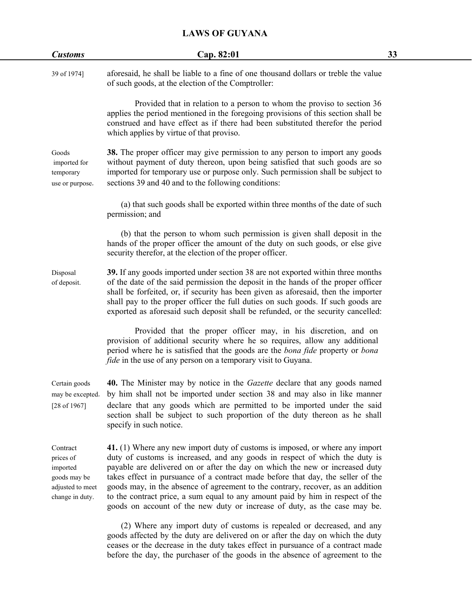| <b>Customs</b>                                                                           | Cap. 82:01                                                                                                                                                                                                                                                                                                                                                                                                                                                                                                                                                                       | 33 |
|------------------------------------------------------------------------------------------|----------------------------------------------------------------------------------------------------------------------------------------------------------------------------------------------------------------------------------------------------------------------------------------------------------------------------------------------------------------------------------------------------------------------------------------------------------------------------------------------------------------------------------------------------------------------------------|----|
| 39 of 1974]                                                                              | aforesaid, he shall be liable to a fine of one thousand dollars or treble the value<br>of such goods, at the election of the Comptroller:                                                                                                                                                                                                                                                                                                                                                                                                                                        |    |
|                                                                                          | Provided that in relation to a person to whom the proviso to section 36<br>applies the period mentioned in the foregoing provisions of this section shall be<br>construed and have effect as if there had been substituted therefor the period<br>which applies by virtue of that proviso.                                                                                                                                                                                                                                                                                       |    |
| Goods<br>imported for<br>temporary<br>use or purpose.                                    | 38. The proper officer may give permission to any person to import any goods<br>without payment of duty thereon, upon being satisfied that such goods are so<br>imported for temporary use or purpose only. Such permission shall be subject to<br>sections 39 and 40 and to the following conditions:                                                                                                                                                                                                                                                                           |    |
|                                                                                          | (a) that such goods shall be exported within three months of the date of such<br>permission; and                                                                                                                                                                                                                                                                                                                                                                                                                                                                                 |    |
|                                                                                          | (b) that the person to whom such permission is given shall deposit in the<br>hands of the proper officer the amount of the duty on such goods, or else give<br>security therefor, at the election of the proper officer.                                                                                                                                                                                                                                                                                                                                                         |    |
| Disposal<br>of deposit.                                                                  | 39. If any goods imported under section 38 are not exported within three months<br>of the date of the said permission the deposit in the hands of the proper officer<br>shall be forfeited, or, if security has been given as aforesaid, then the importer<br>shall pay to the proper officer the full duties on such goods. If such goods are<br>exported as aforesaid such deposit shall be refunded, or the security cancelled:                                                                                                                                               |    |
|                                                                                          | Provided that the proper officer may, in his discretion, and on<br>provision of additional security where he so requires, allow any additional<br>period where he is satisfied that the goods are the <i>bona fide</i> property or <i>bona</i><br><i>fide</i> in the use of any person on a temporary visit to Guyana.                                                                                                                                                                                                                                                           |    |
| Certain goods<br>[28 of 1967]                                                            | 40. The Minister may by notice in the <i>Gazette</i> declare that any goods named<br>may be excepted. by him shall not be imported under section 38 and may also in like manner<br>declare that any goods which are permitted to be imported under the said<br>section shall be subject to such proportion of the duty thereon as he shall<br>specify in such notice.                                                                                                                                                                                                            |    |
| Contract<br>prices of<br>imported<br>goods may be<br>adjusted to meet<br>change in duty. | 41. (1) Where any new import duty of customs is imposed, or where any import<br>duty of customs is increased, and any goods in respect of which the duty is<br>payable are delivered on or after the day on which the new or increased duty<br>takes effect in pursuance of a contract made before that day, the seller of the<br>goods may, in the absence of agreement to the contrary, recover, as an addition<br>to the contract price, a sum equal to any amount paid by him in respect of the<br>goods on account of the new duty or increase of duty, as the case may be. |    |

(2) Where any import duty of customs is repealed or decreased, and any goods affected by the duty are delivered on or after the day on which the duty ceases or the decrease in the duty takes effect in pursuance of a contract made before the day, the purchaser of the goods in the absence of agreement to the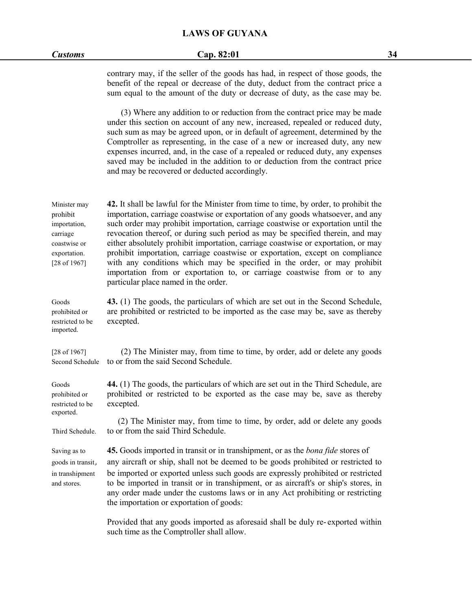contrary may, if the seller of the goods has had, in respect of those goods, the benefit of the repeal or decrease of the duty, deduct from the contract price a sum equal to the amount of the duty or decrease of duty, as the case may be.<br>(3) Where any addition to or reduction from the contract price may be made

under this section on account of any new, increased, repealed or reduced duty, such sum as may be agreed upon, or in default of agreement, determined by the Comptroller as representing, in the case of a new or increased duty, any new expenses incurred, and, in the case of a repealed or reduced duty, any expenses saved may be included in the addition to or deduction from the contract price and may be recovered or deducted accordingly.

| 42. It shall be lawful for the Minister from time to time, by order, to prohibit the<br>importation, carriage coastwise or exportation of any goods whatsoever, and any<br>such order may prohibit importation, carriage coastwise or exportation until the<br>revocation thereof, or during such period as may be specified therein, and may<br>either absolutely prohibit importation, carriage coastwise or exportation, or may<br>prohibit importation, carriage coastwise or exportation, except on compliance<br>with any conditions which may be specified in the order, or may prohibit<br>importation from or exportation to, or carriage coastwise from or to any<br>particular place named in the order. |
|---------------------------------------------------------------------------------------------------------------------------------------------------------------------------------------------------------------------------------------------------------------------------------------------------------------------------------------------------------------------------------------------------------------------------------------------------------------------------------------------------------------------------------------------------------------------------------------------------------------------------------------------------------------------------------------------------------------------|
| 43. (1) The goods, the particulars of which are set out in the Second Schedule,<br>are prohibited or restricted to be imported as the case may be, save as thereby<br>excepted.                                                                                                                                                                                                                                                                                                                                                                                                                                                                                                                                     |
| (2) The Minister may, from time to time, by order, add or delete any goods<br>to or from the said Second Schedule.                                                                                                                                                                                                                                                                                                                                                                                                                                                                                                                                                                                                  |
| 44. (1) The goods, the particulars of which are set out in the Third Schedule, are<br>prohibited or restricted to be exported as the case may be, save as thereby<br>excepted.<br>(2) The Minister may, from time to time, by order, add or delete any goods<br>to or from the said Third Schedule.                                                                                                                                                                                                                                                                                                                                                                                                                 |
| 45. Goods imported in transit or in transhipment, or as the <i>bona fide</i> stores of<br>any aircraft or ship, shall not be deemed to be goods prohibited or restricted to<br>be imported or exported unless such goods are expressly prohibited or restricted<br>to be imported in transit or in transhipment, or as aircraft's or ship's stores, in<br>any order made under the customs laws or in any Act prohibiting or restricting<br>the importation or exportation of goods:<br>Provided that any goods imported as aforesaid shall be duly re-exported within                                                                                                                                              |
|                                                                                                                                                                                                                                                                                                                                                                                                                                                                                                                                                                                                                                                                                                                     |

such time as the Comptroller shall allow.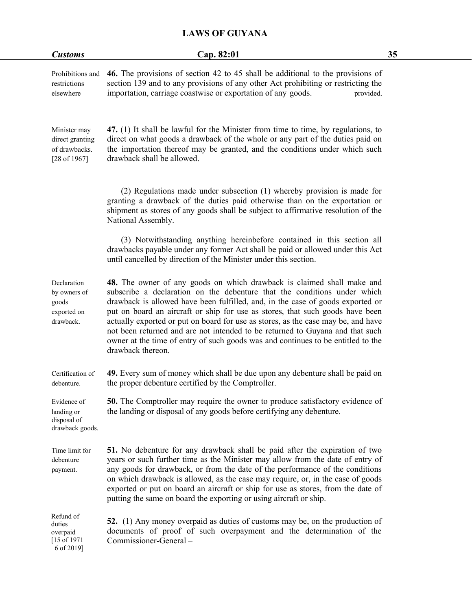| <b>Customs</b>                                                   | Cap. 82:01                                                                                                                                                                                                                                                                                                                                                                                                                                                                                                                                                                                           | 35 |
|------------------------------------------------------------------|------------------------------------------------------------------------------------------------------------------------------------------------------------------------------------------------------------------------------------------------------------------------------------------------------------------------------------------------------------------------------------------------------------------------------------------------------------------------------------------------------------------------------------------------------------------------------------------------------|----|
| Prohibitions and<br>restrictions<br>elsewhere                    | 46. The provisions of section 42 to 45 shall be additional to the provisions of<br>section 139 and to any provisions of any other Act prohibiting or restricting the<br>importation, carriage coastwise or exportation of any goods.<br>provided.                                                                                                                                                                                                                                                                                                                                                    |    |
| Minister may<br>direct granting<br>of drawbacks.<br>[28 of 1967] | 47. (1) It shall be lawful for the Minister from time to time, by regulations, to<br>direct on what goods a drawback of the whole or any part of the duties paid on<br>the importation thereof may be granted, and the conditions under which such<br>drawback shall be allowed.                                                                                                                                                                                                                                                                                                                     |    |
|                                                                  | (2) Regulations made under subsection (1) whereby provision is made for<br>granting a drawback of the duties paid otherwise than on the exportation or<br>shipment as stores of any goods shall be subject to affirmative resolution of the<br>National Assembly.                                                                                                                                                                                                                                                                                                                                    |    |
|                                                                  | (3) Notwithstanding anything hereinbefore contained in this section all<br>drawbacks payable under any former Act shall be paid or allowed under this Act<br>until cancelled by direction of the Minister under this section.                                                                                                                                                                                                                                                                                                                                                                        |    |
| Declaration<br>by owners of<br>goods<br>exported on<br>drawback. | 48. The owner of any goods on which drawback is claimed shall make and<br>subscribe a declaration on the debenture that the conditions under which<br>drawback is allowed have been fulfilled, and, in the case of goods exported or<br>put on board an aircraft or ship for use as stores, that such goods have been<br>actually exported or put on board for use as stores, as the case may be, and have<br>not been returned and are not intended to be returned to Guyana and that such<br>owner at the time of entry of such goods was and continues to be entitled to the<br>drawback thereon. |    |
| Certification of<br>debenture.                                   | 49. Every sum of money which shall be due upon any debenture shall be paid on<br>the proper debenture certified by the Comptroller.                                                                                                                                                                                                                                                                                                                                                                                                                                                                  |    |
| Evidence of<br>landing or<br>disposal of<br>drawback goods.      | 50. The Comptroller may require the owner to produce satisfactory evidence of<br>the landing or disposal of any goods before certifying any debenture.                                                                                                                                                                                                                                                                                                                                                                                                                                               |    |
| Time limit for<br>debenture<br>payment.                          | 51. No debenture for any drawback shall be paid after the expiration of two<br>years or such further time as the Minister may allow from the date of entry of<br>any goods for drawback, or from the date of the performance of the conditions<br>on which drawback is allowed, as the case may require, or, in the case of goods<br>exported or put on board an aircraft or ship for use as stores, from the date of<br>putting the same on board the exporting or using aircraft or ship.                                                                                                          |    |
| Refund of<br>duties<br>overpaid<br>$[15$ of 1971<br>6 of 2019]   | 52. (1) Any money overpaid as duties of customs may be, on the production of<br>documents of proof of such overpayment and the determination of the<br>Commissioner-General-                                                                                                                                                                                                                                                                                                                                                                                                                         |    |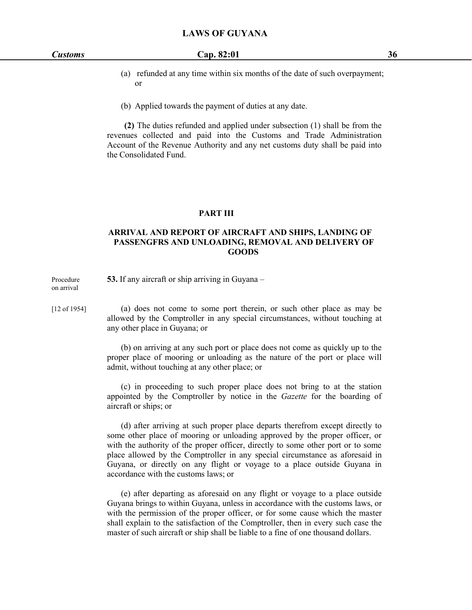- (a) refunded at any time within six months of the date of such overpayment; or
- (b) Applied towards the payment of duties at any date.

**(2)** The duties refunded and applied under subsection (1) shall be from the revenues collected and paid into the Customs and Trade Administration Account of the Revenue Authority and any net customs duty shall be paid into the Consolidated Fund.

#### **PART III**

#### **ARRIVAL AND REPORT OF AIRCRAFT AND SHIPS, LANDING OF PASSENGFRS AND UNLOADING, REMOVAL AND DELIVERY OF GOODS**

Procedure **53.** If any aircraft or ship arriving in Guyana – on arrival

[12 of 1954] (a) does not come to some port therein, or such other place as may be allowed by the Comptroller in any special circumstances, without touching at any other place in Guyana; or

> (b) on arriving at any such port or place does not come as quickly up to the proper place of mooring or unloading as the nature of the port or place will admit, without touching at any other place; or

> (c) in proceeding to such proper place does not bring to at the station appointed by the Comptroller by notice in the *Gazette* for the boarding of aircraft or ships; or

> (d) after arriving at such proper place departs therefrom except directly to some other place of mooring or unloading approved by the proper officer, or with the authority of the proper officer, directly to some other port or to some place allowed by the Comptroller in any special circumstance as aforesaid in Guyana, or directly on any flight or voyage to a place outside Guyana in accordance with the customs laws; or

> (e) after departing as aforesaid on any flight or voyage to a place outside Guyana brings to within Guyana, unless in accordance with the customs laws, or with the permission of the proper officer, or for some cause which the master shall explain to the satisfaction of the Comptroller, then in every such case the master of such aircraft or ship shall be liable to a fine of one thousand dollars.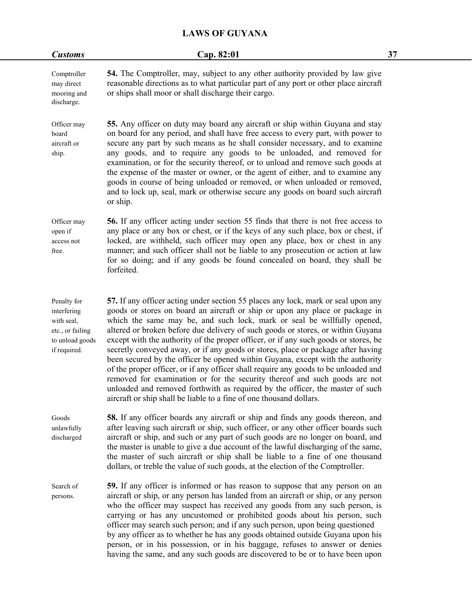| <b>Customs</b>                                                                                  | Cap. 82:01                                                                                                                                                                                                                                                                                                                                                                                                                                                                                                                                                                                                                                                                                                                                                                                                                                                                                                                | 37 |
|-------------------------------------------------------------------------------------------------|---------------------------------------------------------------------------------------------------------------------------------------------------------------------------------------------------------------------------------------------------------------------------------------------------------------------------------------------------------------------------------------------------------------------------------------------------------------------------------------------------------------------------------------------------------------------------------------------------------------------------------------------------------------------------------------------------------------------------------------------------------------------------------------------------------------------------------------------------------------------------------------------------------------------------|----|
| Comptroller<br>may direct<br>mooring and<br>discharge.                                          | <b>54.</b> The Comptroller, may, subject to any other authority provided by law give<br>reasonable directions as to what particular part of any port or other place aircraft<br>or ships shall moor or shall discharge their cargo.                                                                                                                                                                                                                                                                                                                                                                                                                                                                                                                                                                                                                                                                                       |    |
| Officer may<br>board<br>aircraft or<br>ship.                                                    | 55. Any officer on duty may board any aircraft or ship within Guyana and stay<br>on board for any period, and shall have free access to every part, with power to<br>secure any part by such means as he shall consider necessary, and to examine<br>any goods, and to require any goods to be unloaded, and removed for<br>examination, or for the security thereof, or to unload and remove such goods at<br>the expense of the master or owner, or the agent of either, and to examine any<br>goods in course of being unloaded or removed, or when unloaded or removed,<br>and to lock up, seal, mark or otherwise secure any goods on board such aircraft<br>or ship.                                                                                                                                                                                                                                                |    |
| Officer may<br>open if<br>access not<br>free.                                                   | 56. If any officer acting under section 55 finds that there is not free access to<br>any place or any box or chest, or if the keys of any such place, box or chest, if<br>locked, are withheld, such officer may open any place, box or chest in any<br>manner; and such officer shall not be liable to any prosecution or action at law<br>for so doing; and if any goods be found concealed on board, they shall be<br>forfeited.                                                                                                                                                                                                                                                                                                                                                                                                                                                                                       |    |
| Penalty for<br>interfering<br>with seal,<br>etc., or failing<br>to unload goods<br>if required. | 57. If any officer acting under section 55 places any lock, mark or seal upon any<br>goods or stores on board an aircraft or ship or upon any place or package in<br>which the same may be, and such lock, mark or seal be willfully opened,<br>altered or broken before due delivery of such goods or stores, or within Guyana<br>except with the authority of the proper officer, or if any such goods or stores, be<br>secretly conveyed away, or if any goods or stores, place or package after having<br>been secured by the officer be opened within Guyana, except with the authority<br>of the proper officer, or if any officer shall require any goods to be unloaded and<br>removed for examination or for the security thereof and such goods are not<br>unloaded and removed forthwith as required by the officer, the master of such<br>aircraft or ship shall be liable to a fine of one thousand dollars. |    |
| Goods<br>unlawfully<br>discharged                                                               | 58. If any officer boards any aircraft or ship and finds any goods thereon, and<br>after leaving such aircraft or ship, such officer, or any other officer boards such<br>aircraft or ship, and such or any part of such goods are no longer on board, and<br>the master is unable to give a due account of the lawful discharging of the same,<br>the master of such aircraft or ship shall be liable to a fine of one thousand<br>dollars, or treble the value of such goods, at the election of the Comptroller.                                                                                                                                                                                                                                                                                                                                                                                                       |    |
| Search of<br>persons.                                                                           | 59. If any officer is informed or has reason to suppose that any person on an<br>aircraft or ship, or any person has landed from an aircraft or ship, or any person<br>who the officer may suspect has received any goods from any such person, is<br>carrying or has any uncustomed or prohibited goods about his person, such<br>officer may search such person; and if any such person, upon being questioned<br>by any officer as to whether he has any goods obtained outside Guyana upon his<br>person, or in his possession, or in his baggage, refuses to answer or denies<br>having the same, and any such goods are discovered to be or to have been upon                                                                                                                                                                                                                                                       |    |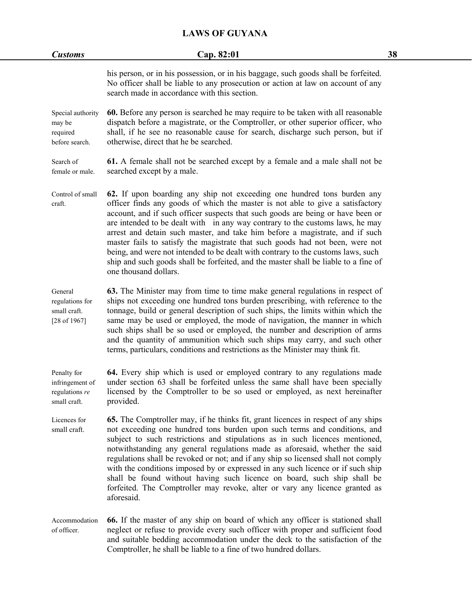| <b>Customs</b>                                                   | Cap. 82:01                                                                                                                                                                                                                                                                                                                                                                                                                                                                                                                                                                                                                                                                                         | 38 |
|------------------------------------------------------------------|----------------------------------------------------------------------------------------------------------------------------------------------------------------------------------------------------------------------------------------------------------------------------------------------------------------------------------------------------------------------------------------------------------------------------------------------------------------------------------------------------------------------------------------------------------------------------------------------------------------------------------------------------------------------------------------------------|----|
|                                                                  | his person, or in his possession, or in his baggage, such goods shall be forfeited.<br>No officer shall be liable to any prosecution or action at law on account of any<br>search made in accordance with this section.                                                                                                                                                                                                                                                                                                                                                                                                                                                                            |    |
| Special authority<br>may be<br>required<br>before search.        | 60. Before any person is searched he may require to be taken with all reasonable<br>dispatch before a magistrate, or the Comptroller, or other superior officer, who<br>shall, if he see no reasonable cause for search, discharge such person, but if<br>otherwise, direct that he be searched.                                                                                                                                                                                                                                                                                                                                                                                                   |    |
| Search of<br>female or male.                                     | 61. A female shall not be searched except by a female and a male shall not be<br>searched except by a male.                                                                                                                                                                                                                                                                                                                                                                                                                                                                                                                                                                                        |    |
| Control of small<br>craft.                                       | 62. If upon boarding any ship not exceeding one hundred tons burden any<br>officer finds any goods of which the master is not able to give a satisfactory<br>account, and if such officer suspects that such goods are being or have been or<br>are intended to be dealt with in any way contrary to the customs laws, he may<br>arrest and detain such master, and take him before a magistrate, and if such<br>master fails to satisfy the magistrate that such goods had not been, were not<br>being, and were not intended to be dealt with contrary to the customs laws, such<br>ship and such goods shall be forfeited, and the master shall be liable to a fine of<br>one thousand dollars. |    |
| General<br>regulations for<br>small craft.<br>[28 of 1967]       | 63. The Minister may from time to time make general regulations in respect of<br>ships not exceeding one hundred tons burden prescribing, with reference to the<br>tonnage, build or general description of such ships, the limits within which the<br>same may be used or employed, the mode of navigation, the manner in which<br>such ships shall be so used or employed, the number and description of arms<br>and the quantity of ammunition which such ships may carry, and such other<br>terms, particulars, conditions and restrictions as the Minister may think fit.                                                                                                                     |    |
| Penalty for<br>infringement of<br>regulations re<br>small craft. | 64. Every ship which is used or employed contrary to any regulations made<br>under section 63 shall be forfeited unless the same shall have been specially<br>licensed by the Comptroller to be so used or employed, as next hereinafter<br>provided.                                                                                                                                                                                                                                                                                                                                                                                                                                              |    |
| Licences for<br>small craft.                                     | 65. The Comptroller may, if he thinks fit, grant licences in respect of any ships<br>not exceeding one hundred tons burden upon such terms and conditions, and<br>subject to such restrictions and stipulations as in such licences mentioned,<br>notwithstanding any general regulations made as aforesaid, whether the said<br>regulations shall be revoked or not; and if any ship so licensed shall not comply<br>with the conditions imposed by or expressed in any such licence or if such ship<br>shall be found without having such licence on board, such ship shall be<br>forfeited. The Comptroller may revoke, alter or vary any licence granted as<br>aforesaid.                      |    |
| Accommodation<br>of officer.                                     | 66. If the master of any ship on board of which any officer is stationed shall<br>neglect or refuse to provide every such officer with proper and sufficient food<br>and suitable bedding accommodation under the deck to the satisfaction of the<br>Comptroller, he shall be liable to a fine of two hundred dollars.                                                                                                                                                                                                                                                                                                                                                                             |    |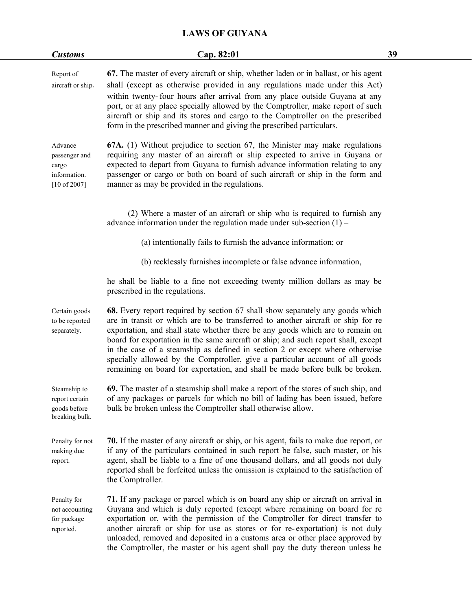| <b>Customs</b>                                                    | Cap. 82:01                                                                                                                                                                                                                                                                                                                                                                                                                                                                                                                                                                               | 39 |
|-------------------------------------------------------------------|------------------------------------------------------------------------------------------------------------------------------------------------------------------------------------------------------------------------------------------------------------------------------------------------------------------------------------------------------------------------------------------------------------------------------------------------------------------------------------------------------------------------------------------------------------------------------------------|----|
| Report of<br>aircraft or ship.                                    | 67. The master of every aircraft or ship, whether laden or in ballast, or his agent<br>shall (except as otherwise provided in any regulations made under this Act)<br>within twenty-four hours after arrival from any place outside Guyana at any<br>port, or at any place specially allowed by the Comptroller, make report of such<br>aircraft or ship and its stores and cargo to the Comptroller on the prescribed<br>form in the prescribed manner and giving the prescribed particulars.                                                                                           |    |
| Advance<br>passenger and<br>cargo<br>information.<br>[10 of 2007] | <b>67A.</b> (1) Without prejudice to section 67, the Minister may make regulations<br>requiring any master of an aircraft or ship expected to arrive in Guyana or<br>expected to depart from Guyana to furnish advance information relating to any<br>passenger or cargo or both on board of such aircraft or ship in the form and<br>manner as may be provided in the regulations.                                                                                                                                                                                                      |    |
|                                                                   | (2) Where a master of an aircraft or ship who is required to furnish any<br>advance information under the regulation made under sub-section $(1)$ –                                                                                                                                                                                                                                                                                                                                                                                                                                      |    |
|                                                                   | (a) intentionally fails to furnish the advance information; or                                                                                                                                                                                                                                                                                                                                                                                                                                                                                                                           |    |
|                                                                   | (b) recklessly furnishes incomplete or false advance information,                                                                                                                                                                                                                                                                                                                                                                                                                                                                                                                        |    |
|                                                                   | he shall be liable to a fine not exceeding twenty million dollars as may be<br>prescribed in the regulations.                                                                                                                                                                                                                                                                                                                                                                                                                                                                            |    |
| Certain goods<br>to be reported<br>separately.                    | 68. Every report required by section 67 shall show separately any goods which<br>are in transit or which are to be transferred to another aircraft or ship for re<br>exportation, and shall state whether there be any goods which are to remain on<br>board for exportation in the same aircraft or ship; and such report shall, except<br>in the case of a steamship as defined in section 2 or except where otherwise<br>specially allowed by the Comptroller, give a particular account of all goods<br>remaining on board for exportation, and shall be made before bulk be broken. |    |
| Steamship to<br>report certain<br>goods before<br>breaking bulk.  | 69. The master of a steamship shall make a report of the stores of such ship, and<br>of any packages or parcels for which no bill of lading has been issued, before<br>bulk be broken unless the Comptroller shall otherwise allow.                                                                                                                                                                                                                                                                                                                                                      |    |
| Penalty for not<br>making due<br>report.                          | 70. If the master of any aircraft or ship, or his agent, fails to make due report, or<br>if any of the particulars contained in such report be false, such master, or his<br>agent, shall be liable to a fine of one thousand dollars, and all goods not duly<br>reported shall be forfeited unless the omission is explained to the satisfaction of<br>the Comptroller.                                                                                                                                                                                                                 |    |
| Penalty for<br>not accounting<br>for package<br>reported.         | 71. If any package or parcel which is on board any ship or aircraft on arrival in<br>Guyana and which is duly reported (except where remaining on board for re<br>exportation or, with the permission of the Comptroller for direct transfer to<br>another aircraft or ship for use as stores or for re-exportation) is not duly<br>unloaded, removed and deposited in a customs area or other place approved by<br>the Comptroller, the master or his agent shall pay the duty thereon unless he                                                                                        |    |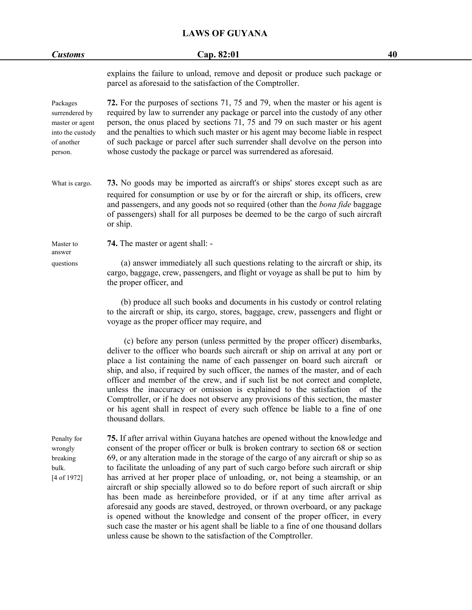| <b>Customs</b>                                                                             | Cap. 82:01                                                                                                                                                                                                                                                                                                                                                                                                                                                                                                                                                                                                                                                                                                                                                                                                                                                       | 40 |
|--------------------------------------------------------------------------------------------|------------------------------------------------------------------------------------------------------------------------------------------------------------------------------------------------------------------------------------------------------------------------------------------------------------------------------------------------------------------------------------------------------------------------------------------------------------------------------------------------------------------------------------------------------------------------------------------------------------------------------------------------------------------------------------------------------------------------------------------------------------------------------------------------------------------------------------------------------------------|----|
|                                                                                            | explains the failure to unload, remove and deposit or produce such package or<br>parcel as aforesaid to the satisfaction of the Comptroller.                                                                                                                                                                                                                                                                                                                                                                                                                                                                                                                                                                                                                                                                                                                     |    |
| Packages<br>surrendered by<br>master or agent<br>into the custody<br>of another<br>person. | 72. For the purposes of sections 71, 75 and 79, when the master or his agent is<br>required by law to surrender any package or parcel into the custody of any other<br>person, the onus placed by sections 71, 75 and 79 on such master or his agent<br>and the penalties to which such master or his agent may become liable in respect<br>of such package or parcel after such surrender shall devolve on the person into<br>whose custody the package or parcel was surrendered as aforesaid.                                                                                                                                                                                                                                                                                                                                                                 |    |
| What is cargo.                                                                             | 73. No goods may be imported as aircraft's or ships' stores except such as are<br>required for consumption or use by or for the aircraft or ship, its officers, crew<br>and passengers, and any goods not so required (other than the bona fide baggage<br>of passengers) shall for all purposes be deemed to be the cargo of such aircraft<br>or ship.                                                                                                                                                                                                                                                                                                                                                                                                                                                                                                          |    |
| Master to<br>answer                                                                        | 74. The master or agent shall: -                                                                                                                                                                                                                                                                                                                                                                                                                                                                                                                                                                                                                                                                                                                                                                                                                                 |    |
| questions                                                                                  | (a) answer immediately all such questions relating to the aircraft or ship, its<br>cargo, baggage, crew, passengers, and flight or voyage as shall be put to him by<br>the proper officer, and                                                                                                                                                                                                                                                                                                                                                                                                                                                                                                                                                                                                                                                                   |    |
|                                                                                            | (b) produce all such books and documents in his custody or control relating<br>to the aircraft or ship, its cargo, stores, baggage, crew, passengers and flight or<br>voyage as the proper officer may require, and                                                                                                                                                                                                                                                                                                                                                                                                                                                                                                                                                                                                                                              |    |
|                                                                                            | (c) before any person (unless permitted by the proper officer) disembarks,<br>deliver to the officer who boards such aircraft or ship on arrival at any port or<br>place a list containing the name of each passenger on board such aircraft or<br>ship, and also, if required by such officer, the names of the master, and of each<br>officer and member of the crew, and if such list be not correct and complete,<br>unless the inaccuracy or omission is explained to the satisfaction of the<br>Comptroller, or if he does not observe any provisions of this section, the master<br>or his agent shall in respect of every such offence be liable to a fine of one<br>thousand dollars.                                                                                                                                                                   |    |
| Penalty for<br>wrongly<br>breaking<br>bulk.<br>[4 of 1972]                                 | 75. If after arrival within Guyana hatches are opened without the knowledge and<br>consent of the proper officer or bulk is broken contrary to section 68 or section<br>69, or any alteration made in the storage of the cargo of any aircraft or ship so as<br>to facilitate the unloading of any part of such cargo before such aircraft or ship<br>has arrived at her proper place of unloading, or, not being a steamship, or an<br>aircraft or ship specially allowed so to do before report of such aircraft or ship<br>has been made as hereinbefore provided, or if at any time after arrival as<br>aforesaid any goods are staved, destroyed, or thrown overboard, or any package<br>is opened without the knowledge and consent of the proper officer, in every<br>such case the master or his agent shall be liable to a fine of one thousand dollars |    |

unless cause be shown to the satisfaction of the Comptroller.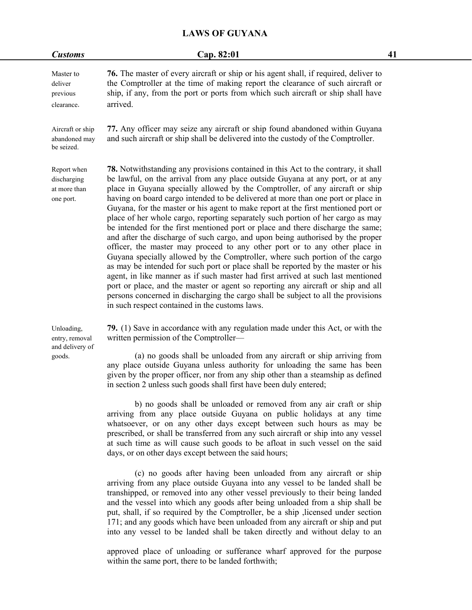| <b>Customs</b>                                            | Cap. 82:01                                                                                                                                                                                                                                                                                                                                                                                                                                                                                                                                                                                                                                                                                                                                                                                                                                                                                                                                                                                                                                                                                                                                                                                                                                              | 41 |
|-----------------------------------------------------------|---------------------------------------------------------------------------------------------------------------------------------------------------------------------------------------------------------------------------------------------------------------------------------------------------------------------------------------------------------------------------------------------------------------------------------------------------------------------------------------------------------------------------------------------------------------------------------------------------------------------------------------------------------------------------------------------------------------------------------------------------------------------------------------------------------------------------------------------------------------------------------------------------------------------------------------------------------------------------------------------------------------------------------------------------------------------------------------------------------------------------------------------------------------------------------------------------------------------------------------------------------|----|
| Master to<br>deliver<br>previous<br>clearance.            | <b>76.</b> The master of every aircraft or ship or his agent shall, if required, deliver to<br>the Comptroller at the time of making report the clearance of such aircraft or<br>ship, if any, from the port or ports from which such aircraft or ship shall have<br>arrived.                                                                                                                                                                                                                                                                                                                                                                                                                                                                                                                                                                                                                                                                                                                                                                                                                                                                                                                                                                           |    |
| Aircraft or ship<br>abandoned may<br>be seized.           | 77. Any officer may seize any aircraft or ship found abandoned within Guyana<br>and such aircraft or ship shall be delivered into the custody of the Comptroller.                                                                                                                                                                                                                                                                                                                                                                                                                                                                                                                                                                                                                                                                                                                                                                                                                                                                                                                                                                                                                                                                                       |    |
| Report when<br>discharging<br>at more than<br>one port.   | 78. Notwithstanding any provisions contained in this Act to the contrary, it shall<br>be lawful, on the arrival from any place outside Guyana at any port, or at any<br>place in Guyana specially allowed by the Comptroller, of any aircraft or ship<br>having on board cargo intended to be delivered at more than one port or place in<br>Guyana, for the master or his agent to make report at the first mentioned port or<br>place of her whole cargo, reporting separately such portion of her cargo as may<br>be intended for the first mentioned port or place and there discharge the same;<br>and after the discharge of such cargo, and upon being authorised by the proper<br>officer, the master may proceed to any other port or to any other place in<br>Guyana specially allowed by the Comptroller, where such portion of the cargo<br>as may be intended for such port or place shall be reported by the master or his<br>agent, in like manner as if such master had first arrived at such last mentioned<br>port or place, and the master or agent so reporting any aircraft or ship and all<br>persons concerned in discharging the cargo shall be subject to all the provisions<br>in such respect contained in the customs laws. |    |
| Unloading,<br>entry, removal<br>and delivery of<br>goods. | 79. (1) Save in accordance with any regulation made under this Act, or with the<br>written permission of the Comptroller—<br>(a) no goods shall be unloaded from any aircraft or ship arriving from<br>any place outside Guyana unless authority for unloading the same has been<br>given by the proper officer, nor from any ship other than a steamship as defined<br>in section 2 unless such goods shall first have been duly entered;<br>b) no goods shall be unloaded or removed from any air craft or ship<br>arriving from any place outside Guyana on public holidays at any time<br>whatsoever, or on any other days except between such hours as may be<br>prescribed, or shall be transferred from any such aircraft or ship into any vessel<br>at such time as will cause such goods to be afloat in such vessel on the said<br>days, or on other days except between the said hours;                                                                                                                                                                                                                                                                                                                                                      |    |
|                                                           | (c) no goods after having been unloaded from any aircraft or ship<br>arriving from any place outside Guyana into any vessel to be landed shall be<br>transhipped, or removed into any other vessel previously to their being landed<br>and the yessel into which any goods after being unloaded from a ship shall be                                                                                                                                                                                                                                                                                                                                                                                                                                                                                                                                                                                                                                                                                                                                                                                                                                                                                                                                    |    |

and the vessel into which any goods after being unloaded from a ship shall be put, shall, if so required by the Comptroller, be a ship ,licensed under section 171; and any goods which have been unloaded from any aircraft or ship and put into any vessel to be landed shall be taken directly and without delay to an

approved place of unloading or sufferance wharf approved for the purpose within the same port, there to be landed forthwith;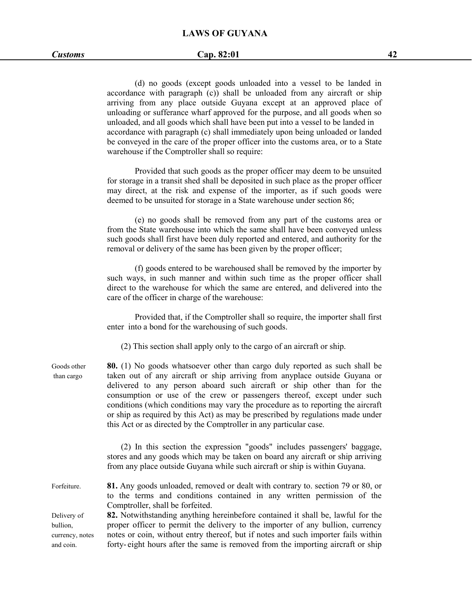# *Customs* **Cap. 82:01 42**

(d) no goods (except goods unloaded into a vessel to be landed in accordance with paragraph  $(c)$ ) shall be unloaded from any aircraft or ship arriving from any place outside Guyana except at an approved place of unloading or sufferance wharf approved for the purpose, and all goods when so unloaded, and all goods which shall have been put into a vessel to be landed in accordance with paragraph (c) shall immediately upon being unloaded or landed be conveyed in the care of the proper officer into the customs area, or to a State warehouse if the Comptroller shall so require:

Provided that such goods as the proper officer may deem to be unsuited for storage in a transit shed shall be deposited in such place as the proper officer may direct, at the risk and expense of the importer, as if such goods were deemed to be unsuited for storage in a State warehouse under section 86;

(e) no goods shall be removed from any part of the customs area or from the State warehouse into which the same shall have been conveyed unless such goods shall first have been duly reported and entered, and authority for the removal or delivery of the same has been given by the proper officer;

(f) goods entered to be warehoused shall be removed by the importer by such ways, in such manner and within such time as the proper officer shall direct to the warehouse for which the same are entered, and delivered into the care of the officer in charge of the warehouse:

Provided that, if the Comptroller shall so require, the importer shall first enter into a bond for the warehousing of such goods.

(2) This section shall apply only to the cargo of an aircraft or ship.

Goods other **80.** (1) No goods whatsoever other than cargo duly reported as such shall be than cargo taken out of any aircraft or ship arriving from anyplace outside Guyana or delivered to any person aboard such aircraft or ship other than for the consumption or use of the crew or passengers thereof, except under such conditions (which conditions may vary the procedure as to reporting the aircraft or ship as required by this Act) as may be prescribed by regulations made under this Act or as directed by the Comptroller in any particular case.

> (2) In this section the expression "goods" includes passengers' baggage, stores and any goods which may be taken on board any aircraft or ship arriving from any place outside Guyana while such aircraft or ship is within Guyana.

Forfeiture. **81.** Any goods unloaded, removed or dealt with contrary to. section 79 or 80, or to the terms and conditions contained in any written permission of the Comptroller, shall be forfeited.

Delivery of **82.** Notwithstanding anything hereinbefore contained it shall be, lawful for the bullion, proper officer to permit the delivery to the importer of any bullion, currency currency, notes notes or coin, without entry thereof, but if notes and such importer fails within and coin. **forty- eight hours after the same is removed from the importing aircraft or ship**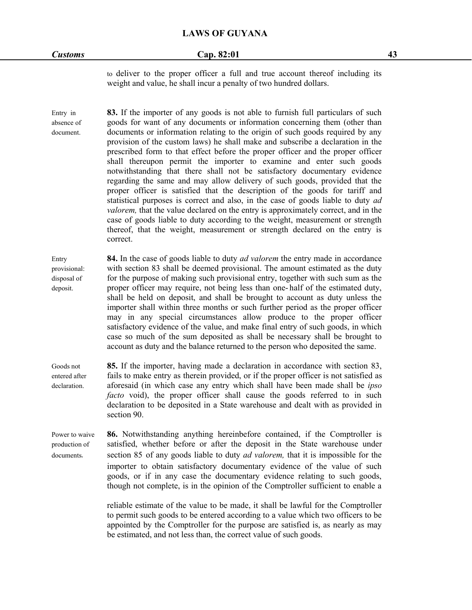# *Customs* **Cap. 82:01 43**

to deliver to the proper officer a full and true account thereof including its weight and value, he shall incur a penalty of two hundred dollars.

Entry in **83.** If the importer of any goods is not able to furnish full particulars of such absence of goods for want of any documents or information concerning them (other than document. documents or information relating to the origin of such goods required by any provision of the custom laws) he shall make and subscribe a declaration in the prescribed form to that effect before the proper officer and the proper officer shall thereupon permit the importer to examine and enter such goods notwithstanding that there shall not be satisfactory documentary evidence regarding the same and may allow delivery of such goods, provided that the proper officer is satisfied that the description of the goods for tariff and statistical purposes is correct and also, in the case of goods liable to duty *ad valorem,* that the value declared on the entry is approximately correct, and in the case of goods liable to duty according to the weight, measurement or strength thereof, that the weight, measurement or strength declared on the entry is correct.

Entry **84.** In the case of goods liable to duty *ad valorem* the entry made in accordance provisional: with section 83 shall be deemed provisional. The amount estimated as the duty disposal of for the purpose of making such provisional entry, together with such sum as the deposit. proper officer may require, not being less than one-half of the estimated duty, shall be held on deposit, and shall be brought to account as duty unless the importer shall within three months or such further period as the proper officer may in any special circumstances allow produce to the proper officer satisfactory evidence of the value, and make final entry of such goods, in which case so much of the sum deposited as shall be necessary shall be brought to account as duty and the balance returned to the person who deposited the same.

Goods not **85.** If the importer, having made a declaration in accordance with section 83, entered after fails to make entry as therein provided, or if the proper officer is not satisfied as declaration. aforesaid (in which case any entry which shall have been made shall be *ipso facto* void), the proper officer shall cause the goods referred to in such declaration to be deposited in a State warehouse and dealt with as provided in section 90.

Power to waive **86.** Notwithstanding anything hereinbefore contained, if the Comptroller is production of satisfied, whether before or after the deposit in the State warehouse under documents. section 85 of any goods liable to duty *ad valorem,* that it is impossible for the importer to obtain satisfactory documentary evidence of the value of such goods, or if in any case the documentary evidence relating to such goods, though not complete, is in the opinion of the Comptroller sufficient to enable a

> reliable estimate of the value to be made, it shall be lawful for the Comptroller to permit such goods to be entered according to a value which two officers to be appointed by the Comptroller for the purpose are satisfied is, as nearly as may be estimated, and not less than, the correct value of such goods.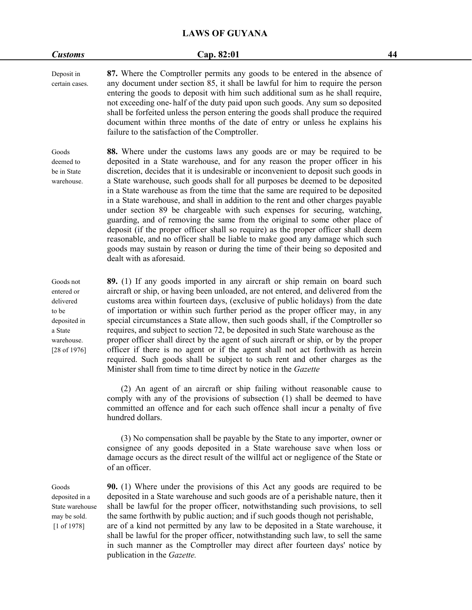| <b>Customs</b>                                                                                         | Cap. 82:01                                                                                                                                                                                                                                                                                                                                                                                                                                                                                                                                                                                                                                                                                                                                                                                                                                                                                                                                                | 44 |
|--------------------------------------------------------------------------------------------------------|-----------------------------------------------------------------------------------------------------------------------------------------------------------------------------------------------------------------------------------------------------------------------------------------------------------------------------------------------------------------------------------------------------------------------------------------------------------------------------------------------------------------------------------------------------------------------------------------------------------------------------------------------------------------------------------------------------------------------------------------------------------------------------------------------------------------------------------------------------------------------------------------------------------------------------------------------------------|----|
| Deposit in<br>certain cases.                                                                           | 87. Where the Comptroller permits any goods to be entered in the absence of<br>any document under section 85, it shall be lawful for him to require the person<br>entering the goods to deposit with him such additional sum as he shall require,<br>not exceeding one-half of the duty paid upon such goods. Any sum so deposited<br>shall be forfeited unless the person entering the goods shall produce the required<br>document within three months of the date of entry or unless he explains his<br>failure to the satisfaction of the Comptroller.                                                                                                                                                                                                                                                                                                                                                                                                |    |
| Goods<br>deemed to<br>be in State<br>warehouse.                                                        | 88. Where under the customs laws any goods are or may be required to be<br>deposited in a State warehouse, and for any reason the proper officer in his<br>discretion, decides that it is undesirable or inconvenient to deposit such goods in<br>a State warehouse, such goods shall for all purposes be deemed to be deposited<br>in a State warehouse as from the time that the same are required to be deposited<br>in a State warehouse, and shall in addition to the rent and other charges payable<br>under section 89 be chargeable with such expenses for securing, watching,<br>guarding, and of removing the same from the original to some other place of<br>deposit (if the proper officer shall so require) as the proper officer shall deem<br>reasonable, and no officer shall be liable to make good any damage which such<br>goods may sustain by reason or during the time of their being so deposited and<br>dealt with as aforesaid. |    |
| Goods not<br>entered or<br>delivered<br>to be<br>deposited in<br>a State<br>warehouse.<br>[28 of 1976] | 89. (1) If any goods imported in any aircraft or ship remain on board such<br>aircraft or ship, or having been unloaded, are not entered, and delivered from the<br>customs area within fourteen days, (exclusive of public holidays) from the date<br>of importation or within such further period as the proper officer may, in any<br>special circumstances a State allow, then such goods shall, if the Comptroller so<br>requires, and subject to section 72, be deposited in such State warehouse as the<br>proper officer shall direct by the agent of such aircraft or ship, or by the proper<br>officer if there is no agent or if the agent shall not act forthwith as herein<br>required. Such goods shall be subject to such rent and other charges as the<br>Minister shall from time to time direct by notice in the Gazette                                                                                                                |    |
|                                                                                                        | (2) An agent of an aircraft or ship failing without reasonable cause to<br>comply with any of the provisions of subsection (1) shall be deemed to have<br>committed an offence and for each such offence shall incur a penalty of five<br>hundred dollars.                                                                                                                                                                                                                                                                                                                                                                                                                                                                                                                                                                                                                                                                                                |    |
|                                                                                                        | (3) No compensation shall be payable by the State to any importer, owner or<br>consignee of any goods deposited in a State warehouse save when loss or<br>damage occurs as the direct result of the willful act or negligence of the State or<br>of an officer.                                                                                                                                                                                                                                                                                                                                                                                                                                                                                                                                                                                                                                                                                           |    |
| Goods<br>deposited in a<br>State warehouse<br>may be sold.<br>[1 of 1978]                              | <b>90.</b> (1) Where under the provisions of this Act any goods are required to be<br>deposited in a State warehouse and such goods are of a perishable nature, then it<br>shall be lawful for the proper officer, notwithstanding such provisions, to sell<br>the same forthwith by public auction; and if such goods though not perishable,<br>are of a kind not permitted by any law to be deposited in a State warehouse, it<br>shall be lawful for the proper officer, notwithstanding such law, to sell the same                                                                                                                                                                                                                                                                                                                                                                                                                                    |    |

publication in the *Gazette.*

in such manner as the Comptroller may direct after fourteen days' notice by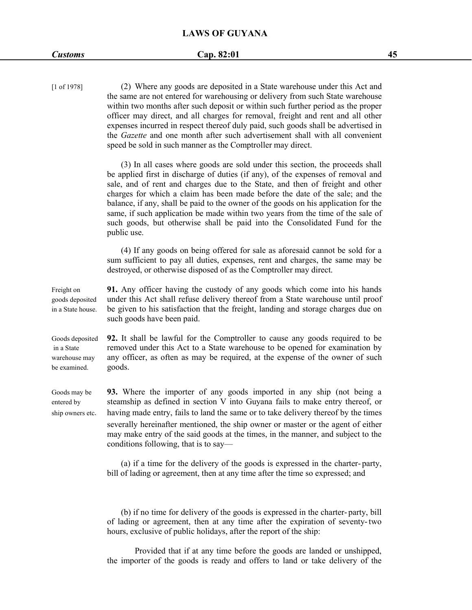public use.

[1 of 1978] (2) Where any goods are deposited in a State warehouse under this Act and the same are not entered for warehousing or delivery from such State warehouse within two months after such deposit or within such further period as the proper officer may direct, and all charges for removal, freight and rent and all other expenses incurred in respect thereof duly paid, such goods shall be advertised in the *Gazette* and one month after such advertisement shall with all convenient speed be sold in such manner as the Comptroller may direct. (3) In all cases where goods are sold under this section, the proceeds shall be applied first in discharge of duties (if any), of the expenses of removal and sale, and of rent and charges due to the State, and then of freight and other charges for which a claim has been made before the date of the sale; and the balance, if any, shall be paid to the owner of the goods on his application for the same, if such application be made within two years from the time of the sale of

> (4) If any goods on being offered for sale as aforesaid cannot be sold for a sum sufficient to pay all duties, expenses, rent and charges, the same may be destroyed, or otherwise disposed of as the Comptroller may direct.

> such goods, but otherwise shall be paid into the Consolidated Fund for the

Freight on **91.** Any officer having the custody of any goods which come into his hands goods deposited under this Act shall refuse delivery thereof from a State warehouse until proof in a State house. be given to his satisfaction that the freight, landing and storage charges due on such goods have been paid.

Goods deposited **92.** It shall be lawful for the Comptroller to cause any goods required to be in a State removed under this Act to a State warehouse to be opened for examination by warehouse may any officer, as often as may be required, at the expense of the owner of such be examined. goods.

Goods may be **93.** Where the importer of any goods imported in any ship (not being a entered by steamship as defined in section V into Guyana fails to make entry thereof, or ship owners etc. having made entry, fails to land the same or to take delivery thereof by the times severally hereinafter mentioned, the ship owner or master or the agent of either may make entry of the said goods at the times, in the manner, and subject to the conditions following, that is to say—

> (a) if a time for the delivery of the goods is expressed in the charter- party, bill of lading or agreement, then at any time after the time so expressed; and

> (b) if no time for delivery of the goods is expressed in the charter- party, bill of lading or agreement, then at any time after the expiration of seventy-two hours, exclusive of public holidays, after the report of the ship:

> Provided that if at any time before the goods are landed or unshipped, the importer of the goods is ready and offers to land or take delivery of the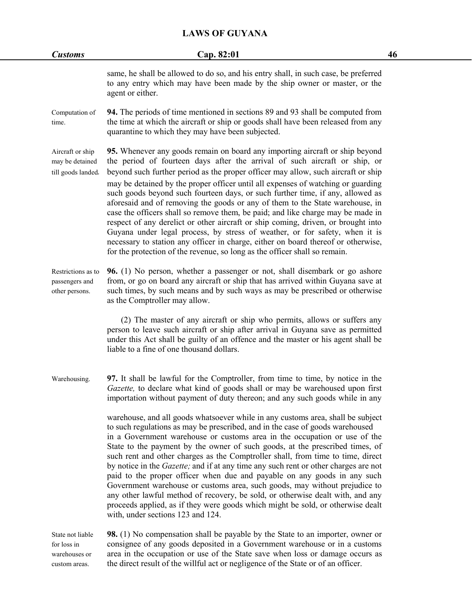| <b>Customs</b>                                            | Cap. 82:01                                                                                                                                                                                                                                                                                                                                                                                                                                                                                                                                                                                                                                                                                                                                                                                                                                                                                                                                                                                                                                                                                                                             | 46 |
|-----------------------------------------------------------|----------------------------------------------------------------------------------------------------------------------------------------------------------------------------------------------------------------------------------------------------------------------------------------------------------------------------------------------------------------------------------------------------------------------------------------------------------------------------------------------------------------------------------------------------------------------------------------------------------------------------------------------------------------------------------------------------------------------------------------------------------------------------------------------------------------------------------------------------------------------------------------------------------------------------------------------------------------------------------------------------------------------------------------------------------------------------------------------------------------------------------------|----|
|                                                           | same, he shall be allowed to do so, and his entry shall, in such case, be preferred<br>to any entry which may have been made by the ship owner or master, or the<br>agent or either.                                                                                                                                                                                                                                                                                                                                                                                                                                                                                                                                                                                                                                                                                                                                                                                                                                                                                                                                                   |    |
| Computation of<br>time.                                   | 94. The periods of time mentioned in sections 89 and 93 shall be computed from<br>the time at which the aircraft or ship or goods shall have been released from any<br>quarantine to which they may have been subjected.                                                                                                                                                                                                                                                                                                                                                                                                                                                                                                                                                                                                                                                                                                                                                                                                                                                                                                               |    |
| Aircraft or ship<br>may be detained<br>till goods landed. | 95. Whenever any goods remain on board any importing aircraft or ship beyond<br>the period of fourteen days after the arrival of such aircraft or ship, or<br>beyond such further period as the proper officer may allow, such aircraft or ship<br>may be detained by the proper officer until all expenses of watching or guarding<br>such goods beyond such fourteen days, or such further time, if any, allowed as<br>aforesaid and of removing the goods or any of them to the State warehouse, in<br>case the officers shall so remove them, be paid; and like charge may be made in<br>respect of any derelict or other aircraft or ship coming, driven, or brought into<br>Guyana under legal process, by stress of weather, or for safety, when it is<br>necessary to station any officer in charge, either on board thereof or otherwise,<br>for the protection of the revenue, so long as the officer shall so remain.                                                                                                                                                                                                       |    |
| Restrictions as to<br>passengers and<br>other persons.    | <b>96.</b> (1) No person, whether a passenger or not, shall disembark or go ashore<br>from, or go on board any aircraft or ship that has arrived within Guyana save at<br>such times, by such means and by such ways as may be prescribed or otherwise<br>as the Comptroller may allow.<br>(2) The master of any aircraft or ship who permits, allows or suffers any<br>person to leave such aircraft or ship after arrival in Guyana save as permitted<br>under this Act shall be guilty of an offence and the master or his agent shall be<br>liable to a fine of one thousand dollars.                                                                                                                                                                                                                                                                                                                                                                                                                                                                                                                                              |    |
| Warehousing.                                              | 97. It shall be lawful for the Comptroller, from time to time, by notice in the<br>Gazette, to declare what kind of goods shall or may be warehoused upon first<br>importation without payment of duty thereon; and any such goods while in any<br>warehouse, and all goods whatsoever while in any customs area, shall be subject<br>to such regulations as may be prescribed, and in the case of goods warehoused<br>in a Government warehouse or customs area in the occupation or use of the<br>State to the payment by the owner of such goods, at the prescribed times, of<br>such rent and other charges as the Comptroller shall, from time to time, direct<br>by notice in the <i>Gazette</i> ; and if at any time any such rent or other charges are not<br>paid to the proper officer when due and payable on any goods in any such<br>Government warehouse or customs area, such goods, may without prejudice to<br>any other lawful method of recovery, be sold, or otherwise dealt with, and any<br>proceeds applied, as if they were goods which might be sold, or otherwise dealt<br>with, under sections 123 and 124. |    |
| State not liable<br>for loss in<br>warehouses or          | <b>98.</b> (1) No compensation shall be payable by the State to an importer, owner or<br>consignee of any goods deposited in a Government warehouse or in a customs<br>area in the occupation or use of the State save when loss or damage occurs as                                                                                                                                                                                                                                                                                                                                                                                                                                                                                                                                                                                                                                                                                                                                                                                                                                                                                   |    |

custom areas. the direct result of the willful act or negligence of the State or of an officer.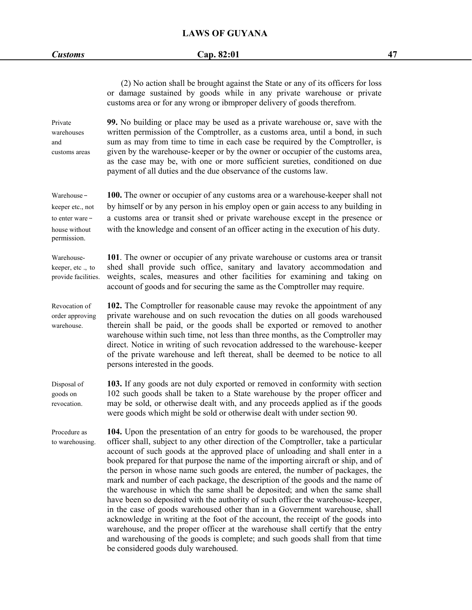| <b>Customs</b>                                                                    | Cap. 82:01                                                                                                                                                                                                                                                                                                                                                                                                                                                                                                                                                                                                                                                                                                                                                                                                                                                                                                                                                                                                                                                   | 47 |
|-----------------------------------------------------------------------------------|--------------------------------------------------------------------------------------------------------------------------------------------------------------------------------------------------------------------------------------------------------------------------------------------------------------------------------------------------------------------------------------------------------------------------------------------------------------------------------------------------------------------------------------------------------------------------------------------------------------------------------------------------------------------------------------------------------------------------------------------------------------------------------------------------------------------------------------------------------------------------------------------------------------------------------------------------------------------------------------------------------------------------------------------------------------|----|
|                                                                                   | (2) No action shall be brought against the State or any of its officers for loss<br>or damage sustained by goods while in any private warehouse or private<br>customs area or for any wrong or ibmproper delivery of goods therefrom.                                                                                                                                                                                                                                                                                                                                                                                                                                                                                                                                                                                                                                                                                                                                                                                                                        |    |
| Private<br>warehouses<br>and<br>customs areas                                     | 99. No building or place may be used as a private warehouse or, save with the<br>written permission of the Comptroller, as a customs area, until a bond, in such<br>sum as may from time to time in each case be required by the Comptroller, is<br>given by the warehouse-keeper or by the owner or occupier of the customs area,<br>as the case may be, with one or more sufficient sureties, conditioned on due<br>payment of all duties and the due observance of the customs law.                                                                                                                                                                                                                                                                                                                                                                                                                                                                                                                                                                       |    |
| Warehouse-<br>keeper etc., not<br>to enter ware -<br>house without<br>permission. | 100. The owner or occupier of any customs area or a warehouse-keeper shall not<br>by himself or by any person in his employ open or gain access to any building in<br>a customs area or transit shed or private warehouse except in the presence or<br>with the knowledge and consent of an officer acting in the execution of his duty.                                                                                                                                                                                                                                                                                                                                                                                                                                                                                                                                                                                                                                                                                                                     |    |
| Warehouse-<br>keeper, etc., to<br>provide facilities.                             | 101. The owner or occupier of any private warehouse or customs area or transit<br>shed shall provide such office, sanitary and lavatory accommodation and<br>weights, scales, measures and other facilities for examining and taking on<br>account of goods and for securing the same as the Comptroller may require.                                                                                                                                                                                                                                                                                                                                                                                                                                                                                                                                                                                                                                                                                                                                        |    |
| Revocation of<br>order approving<br>warehouse.                                    | 102. The Comptroller for reasonable cause may revoke the appointment of any<br>private warehouse and on such revocation the duties on all goods warehoused<br>therein shall be paid, or the goods shall be exported or removed to another<br>warehouse within such time, not less than three months, as the Comptroller may<br>direct. Notice in writing of such revocation addressed to the warehouse-keeper<br>of the private warehouse and left thereat, shall be deemed to be notice to all<br>persons interested in the goods.                                                                                                                                                                                                                                                                                                                                                                                                                                                                                                                          |    |
| Disposal of<br>goods on<br>revocation.                                            | 103. If any goods are not duly exported or removed in conformity with section<br>102 such goods shall be taken to a State warehouse by the proper officer and<br>may be sold, or otherwise dealt with, and any proceeds applied as if the goods<br>were goods which might be sold or otherwise dealt with under section 90.                                                                                                                                                                                                                                                                                                                                                                                                                                                                                                                                                                                                                                                                                                                                  |    |
| Procedure as<br>to warehousing.                                                   | 104. Upon the presentation of an entry for goods to be warehoused, the proper<br>officer shall, subject to any other direction of the Comptroller, take a particular<br>account of such goods at the approved place of unloading and shall enter in a<br>book prepared for that purpose the name of the importing aircraft or ship, and of<br>the person in whose name such goods are entered, the number of packages, the<br>mark and number of each package, the description of the goods and the name of<br>the warehouse in which the same shall be deposited; and when the same shall<br>have been so deposited with the authority of such officer the warehouse-keeper,<br>in the case of goods warehoused other than in a Government warehouse, shall<br>acknowledge in writing at the foot of the account, the receipt of the goods into<br>warehouse, and the proper officer at the warehouse shall certify that the entry<br>and warehousing of the goods is complete; and such goods shall from that time<br>be considered goods duly warehoused. |    |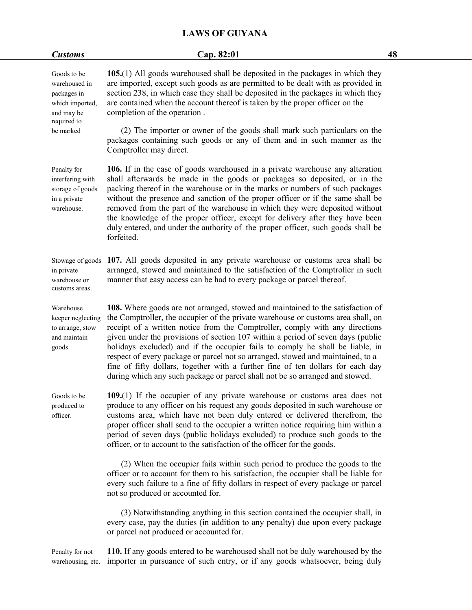| <b>Customs</b>                                                                              | Cap. 82:01                                                                                                                                                                                                                                                                                                                                                                                                                                                                                                                                                                                                                                                                    | 48 |
|---------------------------------------------------------------------------------------------|-------------------------------------------------------------------------------------------------------------------------------------------------------------------------------------------------------------------------------------------------------------------------------------------------------------------------------------------------------------------------------------------------------------------------------------------------------------------------------------------------------------------------------------------------------------------------------------------------------------------------------------------------------------------------------|----|
| Goods to be<br>warehoused in<br>packages in<br>which imported,<br>and may be<br>required to | $105(1)$ All goods warehoused shall be deposited in the packages in which they<br>are imported, except such goods as are permitted to be dealt with as provided in<br>section 238, in which case they shall be deposited in the packages in which they<br>are contained when the account thereof is taken by the proper officer on the<br>completion of the operation.                                                                                                                                                                                                                                                                                                        |    |
| be marked                                                                                   | (2) The importer or owner of the goods shall mark such particulars on the<br>packages containing such goods or any of them and in such manner as the<br>Comptroller may direct.                                                                                                                                                                                                                                                                                                                                                                                                                                                                                               |    |
| Penalty for<br>interfering with<br>storage of goods<br>in a private<br>warehouse.           | 106. If in the case of goods warehoused in a private warehouse any alteration<br>shall afterwards be made in the goods or packages so deposited, or in the<br>packing thereof in the warehouse or in the marks or numbers of such packages<br>without the presence and sanction of the proper officer or if the same shall be<br>removed from the part of the warehouse in which they were deposited without<br>the knowledge of the proper officer, except for delivery after they have been<br>duly entered, and under the authority of the proper officer, such goods shall be<br>forfeited.                                                                               |    |
| Stowage of goods<br>in private<br>warehouse or<br>customs areas.                            | 107. All goods deposited in any private warehouse or customs area shall be<br>arranged, stowed and maintained to the satisfaction of the Comptroller in such<br>manner that easy access can be had to every package or parcel thereof.                                                                                                                                                                                                                                                                                                                                                                                                                                        |    |
| Warehouse<br>keeper neglecting<br>to arrange, stow<br>and maintain<br>goods.                | 108. Where goods are not arranged, stowed and maintained to the satisfaction of<br>the Comptroller, the occupier of the private warehouse or customs area shall, on<br>receipt of a written notice from the Comptroller, comply with any directions<br>given under the provisions of section 107 within a period of seven days (public<br>holidays excluded) and if the occupier fails to comply he shall be liable, in<br>respect of every package or parcel not so arranged, stowed and maintained, to a<br>fine of fifty dollars, together with a further fine of ten dollars for each day<br>during which any such package or parcel shall not be so arranged and stowed. |    |
| Goods to be<br>produced to<br>officer.                                                      | 109.(1) If the occupier of any private warehouse or customs area does not<br>produce to any officer on his request any goods deposited in such warehouse or<br>customs area, which have not been duly entered or delivered therefrom, the<br>proper officer shall send to the occupier a written notice requiring him within a<br>period of seven days (public holidays excluded) to produce such goods to the<br>officer, or to account to the satisfaction of the officer for the goods.                                                                                                                                                                                    |    |
|                                                                                             | (2) When the occupier fails within such period to produce the goods to the<br>officer or to account for them to his satisfaction, the occupier shall be liable for<br>every such failure to a fine of fifty dollars in respect of every package or parcel<br>not so produced or accounted for.                                                                                                                                                                                                                                                                                                                                                                                |    |
|                                                                                             | (3) Notwithstanding anything in this section contained the occupier shall, in<br>every case, pay the duties (in addition to any penalty) due upon every package<br>or parcel not produced or accounted for.                                                                                                                                                                                                                                                                                                                                                                                                                                                                   |    |
| Penalty for not<br>warehousing, etc.                                                        | 110. If any goods entered to be warehoused shall not be duly warehoused by the<br>importer in pursuance of such entry, or if any goods whatsoever, being duly                                                                                                                                                                                                                                                                                                                                                                                                                                                                                                                 |    |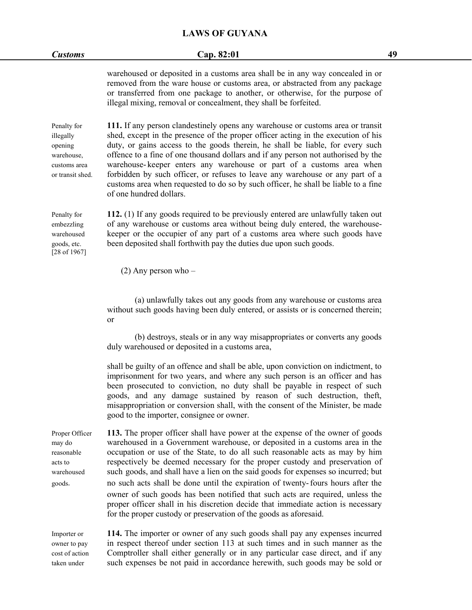|                                                   | <b>Customs</b>                                               | Cap. 82:01                                                                                                                                                                                                                                                                                                                                                                                                                                                                                                                                                                                                            | 49 |
|---------------------------------------------------|--------------------------------------------------------------|-----------------------------------------------------------------------------------------------------------------------------------------------------------------------------------------------------------------------------------------------------------------------------------------------------------------------------------------------------------------------------------------------------------------------------------------------------------------------------------------------------------------------------------------------------------------------------------------------------------------------|----|
|                                                   |                                                              | warehoused or deposited in a customs area shall be in any way concealed in or<br>removed from the ware house or customs area, or abstracted from any package<br>or transferred from one package to another, or otherwise, for the purpose of<br>illegal mixing, removal or concealment, they shall be forfeited.                                                                                                                                                                                                                                                                                                      |    |
| Penalty for<br>illegally<br>opening<br>warehouse, | customs area<br>or transit shed.                             | 111. If any person clandestinely opens any warehouse or customs area or transit<br>shed, except in the presence of the proper officer acting in the execution of his<br>duty, or gains access to the goods therein, he shall be liable, for every such<br>offence to a fine of one thousand dollars and if any person not authorised by the<br>warehouse-keeper enters any warehouse or part of a customs area when<br>forbidden by such officer, or refuses to leave any warehouse or any part of a<br>customs area when requested to do so by such officer, he shall be liable to a fine<br>of one hundred dollars. |    |
| Penalty for<br>goods, etc.                        | embezzling<br>warehoused<br>[28 of 1967]                     | 112. (1) If any goods required to be previously entered are unlawfully taken out<br>of any warehouse or customs area without being duly entered, the warehouse-<br>keeper or the occupier of any part of a customs area where such goods have<br>been deposited shall forthwith pay the duties due upon such goods.                                                                                                                                                                                                                                                                                                   |    |
|                                                   |                                                              | $(2)$ Any person who –                                                                                                                                                                                                                                                                                                                                                                                                                                                                                                                                                                                                |    |
|                                                   |                                                              | (a) unlawfully takes out any goods from any warehouse or customs area<br>without such goods having been duly entered, or assists or is concerned therein;<br>or                                                                                                                                                                                                                                                                                                                                                                                                                                                       |    |
|                                                   |                                                              | (b) destroys, steals or in any way misappropriates or converts any goods<br>duly warehoused or deposited in a customs area,                                                                                                                                                                                                                                                                                                                                                                                                                                                                                           |    |
|                                                   |                                                              | shall be guilty of an offence and shall be able, upon conviction on indictment, to<br>imprisonment for two years, and where any such person is an officer and has<br>been prosecuted to conviction, no duty shall be payable in respect of such<br>goods, and any damage sustained by reason of such destruction, theft,<br>misappropriation or conversion shall, with the consent of the Minister, be made<br>good to the importer, consignee or owner.                                                                                                                                                              |    |
| may do<br>reasonable<br>acts to<br>goods.         | Proper Officer<br>warehoused                                 | 113. The proper officer shall have power at the expense of the owner of goods<br>warehoused in a Government warehouse, or deposited in a customs area in the<br>occupation or use of the State, to do all such reasonable acts as may by him<br>respectively be deemed necessary for the proper custody and preservation of<br>such goods, and shall have a lien on the said goods for expenses so incurred; but<br>no such acts shall be done until the expiration of twenty-fours hours after the<br>owner of such goods has been notified that such acts are required, unless the                                  |    |
|                                                   |                                                              | proper officer shall in his discretion decide that immediate action is necessary<br>for the proper custody or preservation of the goods as aforesaid.                                                                                                                                                                                                                                                                                                                                                                                                                                                                 |    |
|                                                   | Importer or<br>owner to pay<br>cost of action<br>taken under | 114. The importer or owner of any such goods shall pay any expenses incurred<br>in respect thereof under section 113 at such times and in such manner as the<br>Comptroller shall either generally or in any particular case direct, and if any<br>such expenses be not paid in accordance herewith, such goods may be sold or                                                                                                                                                                                                                                                                                        |    |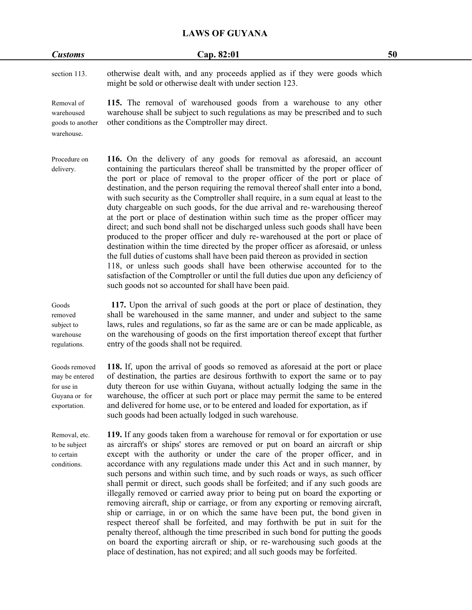| <b>Customs</b>                                                                 | Cap. 82:01                                                                                                                                                                                                                                                                                                                                                                                                                                                                                                                                                                                                                                                                                                                                                                                                                                                                                                                                                                                                                                                                                                                                                       | 50 |
|--------------------------------------------------------------------------------|------------------------------------------------------------------------------------------------------------------------------------------------------------------------------------------------------------------------------------------------------------------------------------------------------------------------------------------------------------------------------------------------------------------------------------------------------------------------------------------------------------------------------------------------------------------------------------------------------------------------------------------------------------------------------------------------------------------------------------------------------------------------------------------------------------------------------------------------------------------------------------------------------------------------------------------------------------------------------------------------------------------------------------------------------------------------------------------------------------------------------------------------------------------|----|
| section 113.                                                                   | otherwise dealt with, and any proceeds applied as if they were goods which<br>might be sold or otherwise dealt with under section 123.                                                                                                                                                                                                                                                                                                                                                                                                                                                                                                                                                                                                                                                                                                                                                                                                                                                                                                                                                                                                                           |    |
| Removal of<br>warehoused<br>goods to another<br>warehouse.                     | 115. The removal of warehoused goods from a warehouse to any other<br>warehouse shall be subject to such regulations as may be prescribed and to such<br>other conditions as the Comptroller may direct.                                                                                                                                                                                                                                                                                                                                                                                                                                                                                                                                                                                                                                                                                                                                                                                                                                                                                                                                                         |    |
| Procedure on<br>delivery.                                                      | 116. On the delivery of any goods for removal as aforesaid, an account<br>containing the particulars thereof shall be transmitted by the proper officer of<br>the port or place of removal to the proper officer of the port or place of<br>destination, and the person requiring the removal thereof shall enter into a bond,<br>with such security as the Comptroller shall require, in a sum equal at least to the<br>duty chargeable on such goods, for the due arrival and re-warehousing thereof<br>at the port or place of destination within such time as the proper officer may<br>direct; and such bond shall not be discharged unless such goods shall have been<br>produced to the proper officer and duly re-warehoused at the port or place of<br>destination within the time directed by the proper officer as aforesaid, or unless<br>the full duties of customs shall have been paid thereon as provided in section<br>118, or unless such goods shall have been otherwise accounted for to the<br>satisfaction of the Comptroller or until the full duties due upon any deficiency of<br>such goods not so accounted for shall have been paid. |    |
| Goods<br>removed<br>subject to<br>warehouse<br>regulations.                    | 117. Upon the arrival of such goods at the port or place of destination, they<br>shall be warehoused in the same manner, and under and subject to the same<br>laws, rules and regulations, so far as the same are or can be made applicable, as<br>on the warehousing of goods on the first importation thereof except that further<br>entry of the goods shall not be required.                                                                                                                                                                                                                                                                                                                                                                                                                                                                                                                                                                                                                                                                                                                                                                                 |    |
| Goods removed<br>may be entered<br>for use in<br>Guyana or for<br>exportation. | 118. If, upon the arrival of goods so removed as aforesaid at the port or place<br>of destination, the parties are desirous forthwith to export the same or to pay<br>duty thereon for use within Guyana, without actually lodging the same in the<br>warehouse, the officer at such port or place may permit the same to be entered<br>and delivered for home use, or to be entered and loaded for exportation, as if<br>such goods had been actually lodged in such warehouse.                                                                                                                                                                                                                                                                                                                                                                                                                                                                                                                                                                                                                                                                                 |    |
| Removal, etc.<br>to be subject<br>to certain<br>conditions.                    | 119. If any goods taken from a warehouse for removal or for exportation or use<br>as aircraft's or ships' stores are removed or put on board an aircraft or ship<br>except with the authority or under the care of the proper officer, and in<br>accordance with any regulations made under this Act and in such manner, by<br>such persons and within such time, and by such roads or ways, as such officer<br>shall permit or direct, such goods shall be forfeited; and if any such goods are<br>illegally removed or carried away prior to being put on board the exporting or<br>removing aircraft, ship or carriage, or from any exporting or removing aircraft,<br>ship or carriage, in or on which the same have been put, the bond given in<br>respect thereof shall be forfeited, and may forthwith be put in suit for the<br>penalty thereof, although the time prescribed in such bond for putting the goods<br>on board the exporting aircraft or ship, or re-warehousing such goods at the<br>place of destination, has not expired; and all such goods may be forfeited.                                                                          |    |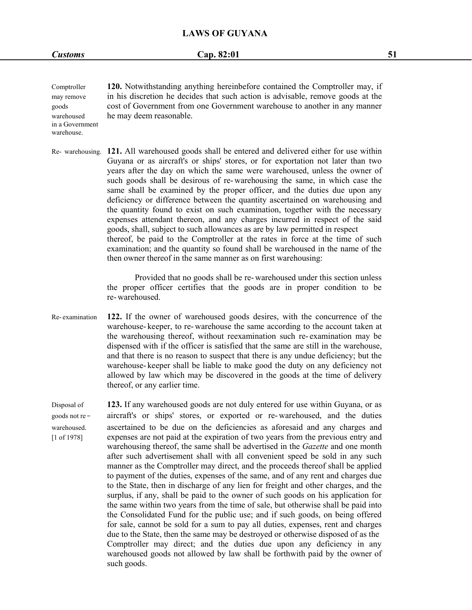| Comptroller     | 120. Notwithstanding anything hereinbefore contained the Comptroller may, if    |  |
|-----------------|---------------------------------------------------------------------------------|--|
| may remove      | in his discretion he decides that such action is advisable, remove goods at the |  |
| goods           | cost of Government from one Government warehouse to another in any manner       |  |
| warehoused      | he may deem reasonable.                                                         |  |
| in a Government |                                                                                 |  |
| warehouse.      |                                                                                 |  |

Re- warehousing. **121.** All warehoused goods shall be entered and delivered either for use within Guyana or as aircraft's or ships'stores, or for exportation not later than two years after the day on which the same were warehoused, unless the owner of such goods shall be desirous of re- warehousing the same, in which case the same shall be examined by the proper officer, and the duties due upon any deficiency or difference between the quantity ascertained on warehousing and the quantity found to exist on such examination, together with the necessary expenses attendant thereon, and any charges incurred in respect of the said goods, shall, subject to such allowances as are by law permitted in respect thereof, be paid to the Comptroller at the rates in force at the time of such examination; and the quantity so found shall be warehoused in the name of the then owner thereof in the same manner as on first warehousing:

> Provided that no goods shall be re-warehoused under this section unless the proper officer certifies that the goods are in proper condition to be re-warehoused.

- Re- examination **122.**If the owner of warehoused goods desires, with the concurrence of the warehouse- keeper, to re- warehouse the same according to the account taken at the warehousing thereof, without reexamination such re- examination may be dispensed with if the officer is satisfied that the same are still in the warehouse, and that there is no reason to suspect that there is any undue deficiency; but the warehouse- keeper shall be liable to make good the duty on any deficiency not allowed by law which may be discovered in the goods at the time of delivery thereof, or any earlier time.
- Disposal of **123.** If any warehoused goods are not duly entered for use within Guyana, or as goods not re- aircraft's or ships' stores, or exported or re- warehoused, and the duties warehoused. ascertained to be due on the deficiencies as aforesaid and any charges and [1 of 1978] expenses are not paid at the expiration of two years from the previous entry and warehousing thereof, the same shall be advertised in the *Gazette* and one month after such advertisement shall with all convenient speed be sold in any such manner as the Comptroller may direct, and the proceeds thereof shall be applied to payment of the duties, expenses of the same, and of any rent and charges due to the State, then in discharge of any lien for freight and other charges, and the surplus, if any, shall be paid to the owner of such goods on his application for the same within two years from the time of sale, but otherwise shall be paid into the Consolidated Fund for the public use; and if such goods, on being offered for sale, cannot be sold for a sum to pay all duties, expenses, rent and charges due to the State, then the same may be destroyed or otherwise disposed of as the Comptroller may direct; and the duties due upon any deficiency in any warehoused goods not allowed by law shall be forthwith paid by the owner of such goods.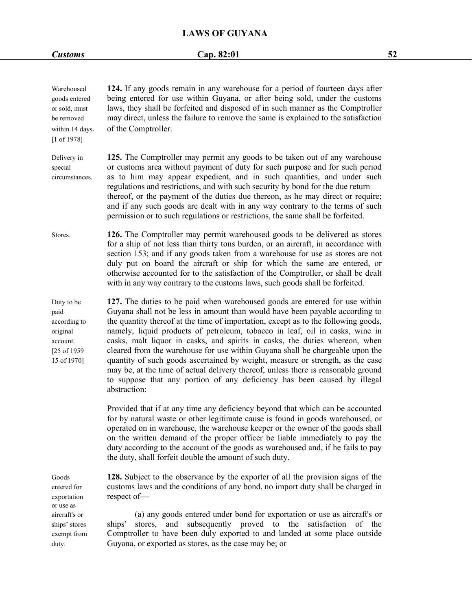| <b>Customs</b>                                                                               | Cap. 82:01                                                                                                                                                                                                                                                                                                                                                                                                                                                                                                                                                                                                                                                                                                                                                           | 52 |
|----------------------------------------------------------------------------------------------|----------------------------------------------------------------------------------------------------------------------------------------------------------------------------------------------------------------------------------------------------------------------------------------------------------------------------------------------------------------------------------------------------------------------------------------------------------------------------------------------------------------------------------------------------------------------------------------------------------------------------------------------------------------------------------------------------------------------------------------------------------------------|----|
|                                                                                              |                                                                                                                                                                                                                                                                                                                                                                                                                                                                                                                                                                                                                                                                                                                                                                      |    |
| Warehoused<br>goods entered<br>or sold, must<br>be removed<br>within 14 days.<br>[1 of 1978] | 124. If any goods remain in any warehouse for a period of fourteen days after<br>being entered for use within Guyana, or after being sold, under the customs<br>laws, they shall be forfeited and disposed of in such manner as the Comptroller<br>may direct, unless the failure to remove the same is explained to the satisfaction<br>of the Comptroller.                                                                                                                                                                                                                                                                                                                                                                                                         |    |
| Delivery in<br>special<br>circumstances.                                                     | 125. The Comptroller may permit any goods to be taken out of any warehouse<br>or customs area without payment of duty for such purpose and for such period<br>as to him may appear expedient, and in such quantities, and under such<br>regulations and restrictions, and with such security by bond for the due return<br>thereof, or the payment of the duties due thereon, as he may direct or require;<br>and if any such goods are dealt with in any way contrary to the terms of such<br>permission or to such regulations or restrictions, the same shall be forfeited.                                                                                                                                                                                       |    |
| Stores.                                                                                      | 126. The Comptroller may permit warehoused goods to be delivered as stores<br>for a ship of not less than thirty tons burden, or an aircraft, in accordance with<br>section 153; and if any goods taken from a warehouse for use as stores are not<br>duly put on board the aircraft or ship for which the same are entered, or<br>otherwise accounted for to the satisfaction of the Comptroller, or shall be dealt<br>with in any way contrary to the customs laws, such goods shall be forfeited.                                                                                                                                                                                                                                                                 |    |
| Duty to be<br>paid<br>according to<br>original<br>account.<br>[25 of 1959<br>15 of 1970]     | 127. The duties to be paid when warehoused goods are entered for use within<br>Guyana shall not be less in amount than would have been payable according to<br>the quantity thereof at the time of importation, except as to the following goods,<br>namely, liquid products of petroleum, tobacco in leaf, oil in casks, wine in<br>casks, malt liquor in casks, and spirits in casks, the duties whereon, when<br>cleared from the warehouse for use within Guyana shall be chargeable upon the<br>quantity of such goods ascertained by weight, measure or strength, as the case<br>may be, at the time of actual delivery thereof, unless there is reasonable ground<br>to suppose that any portion of any deficiency has been caused by illegal<br>abstraction: |    |
|                                                                                              | Provided that if at any time any deficiency beyond that which can be accounted<br>for by natural waste or other legitimate cause is found in goods warehoused, or<br>operated on in warehouse, the warehouse keeper or the owner of the goods shall<br>on the written demand of the proper officer be liable immediately to pay the<br>duty according to the account of the goods as warehoused and, if he fails to pay<br>the duty, shall forfeit double the amount of such duty.                                                                                                                                                                                                                                                                                   |    |
| Goods<br>entered for<br>exportation<br>or use as                                             | 128. Subject to the observance by the exporter of all the provision signs of the<br>customs laws and the conditions of any bond, no import duty shall be charged in<br>respect of-                                                                                                                                                                                                                                                                                                                                                                                                                                                                                                                                                                                   |    |
| aircraft's or<br>ships' stores<br>exempt from<br>duty.                                       | (a) any goods entered under bond for exportation or use as aircraft's or<br>stores, and subsequently proved to the satisfaction of the<br>ships'<br>Comptroller to have been duly exported to and landed at some place outside<br>Guyana, or exported as stores, as the case may be; or                                                                                                                                                                                                                                                                                                                                                                                                                                                                              |    |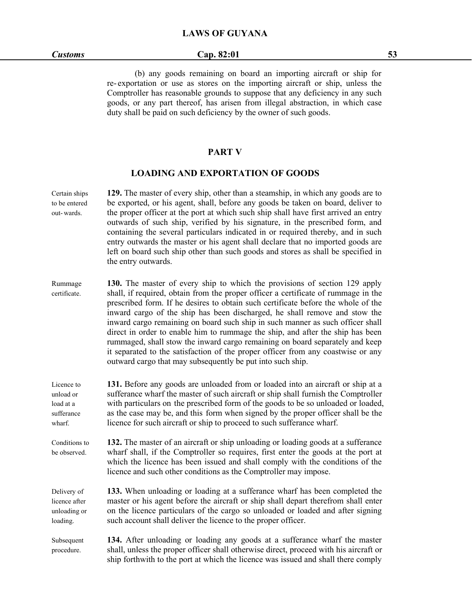# *Customs* **Cap. 82:01 53**

(b) any goods remaining on board an importing aircraft or ship for re- exportation or use as stores on the importing aircraft or ship, unless the Comptroller has reasonable grounds to suppose that any deficiency in any such goods, or any part thereof, has arisen from illegal abstraction, in which case duty shall be paid on such deficiency by the owner of such goods.

# **PART V**

# **LOADING AND EXPORTATION OF GOODS**

| Certain ships<br>to be entered<br>out-wards.                 | 129. The master of every ship, other than a steamship, in which any goods are to<br>be exported, or his agent, shall, before any goods be taken on board, deliver to<br>the proper officer at the port at which such ship shall have first arrived an entry<br>outwards of such ship, verified by his signature, in the prescribed form, and<br>containing the several particulars indicated in or required thereby, and in such<br>entry outwards the master or his agent shall declare that no imported goods are<br>left on board such ship other than such goods and stores as shall be specified in<br>the entry outwards.                                                                                                           |
|--------------------------------------------------------------|-------------------------------------------------------------------------------------------------------------------------------------------------------------------------------------------------------------------------------------------------------------------------------------------------------------------------------------------------------------------------------------------------------------------------------------------------------------------------------------------------------------------------------------------------------------------------------------------------------------------------------------------------------------------------------------------------------------------------------------------|
| Rummage<br>certificate.                                      | 130. The master of every ship to which the provisions of section 129 apply<br>shall, if required, obtain from the proper officer a certificate of rummage in the<br>prescribed form. If he desires to obtain such certificate before the whole of the<br>inward cargo of the ship has been discharged, he shall remove and stow the<br>inward cargo remaining on board such ship in such manner as such officer shall<br>direct in order to enable him to rummage the ship, and after the ship has been<br>rummaged, shall stow the inward cargo remaining on board separately and keep<br>it separated to the satisfaction of the proper officer from any coastwise or any<br>outward cargo that may subsequently be put into such ship. |
| Licence to<br>unload or<br>load at a<br>sufferance<br>wharf. | 131. Before any goods are unloaded from or loaded into an aircraft or ship at a<br>sufferance wharf the master of such aircraft or ship shall furnish the Comptroller<br>with particulars on the prescribed form of the goods to be so unloaded or loaded,<br>as the case may be, and this form when signed by the proper officer shall be the<br>licence for such aircraft or ship to proceed to such sufferance wharf.                                                                                                                                                                                                                                                                                                                  |
| Conditions to<br>be observed.                                | 132. The master of an aircraft or ship unloading or loading goods at a sufferance<br>wharf shall, if the Comptroller so requires, first enter the goods at the port at<br>which the licence has been issued and shall comply with the conditions of the<br>licence and such other conditions as the Comptroller may impose.                                                                                                                                                                                                                                                                                                                                                                                                               |
| Delivery of<br>licence after<br>unloading or<br>loading.     | 133. When unloading or loading at a sufferance wharf has been completed the<br>master or his agent before the aircraft or ship shall depart therefrom shall enter<br>on the licence particulars of the cargo so unloaded or loaded and after signing<br>such account shall deliver the licence to the proper officer.                                                                                                                                                                                                                                                                                                                                                                                                                     |
| Subsequent<br>procedure.                                     | 134. After unloading or loading any goods at a sufferance wharf the master<br>shall, unless the proper officer shall otherwise direct, proceed with his aircraft or<br>ship forthwith to the port at which the licence was issued and shall there comply                                                                                                                                                                                                                                                                                                                                                                                                                                                                                  |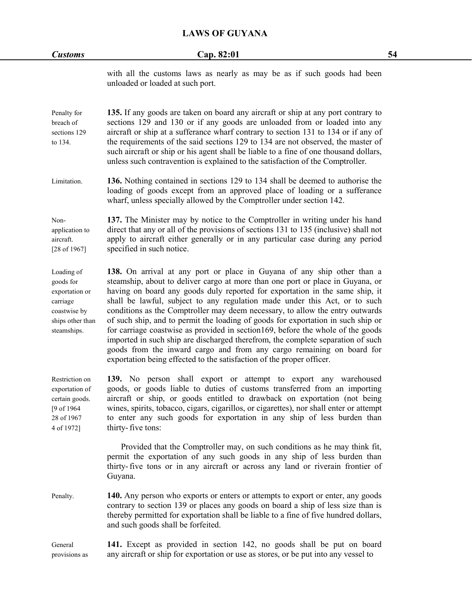with all the customs laws as nearly as may be as if such goods had been unloaded or loaded at such port.

Penalty for **135.** If any goods are taken on board any aircraft or ship at any port contrary to breach of sections 129 and 130 or if any goods are unloaded from or loaded into any sections 129 aircraft or ship at a sufferance wharf contrary to section 131 to 134 or if any of to 134. the requirements ofthe said sections 129 to 134 are not observed, the master of such aircraft or ship or his agent shall be liable to a fine of one thousand dollars, unless such contravention is explained to the satisfaction of the Comptroller.

Limitation. **136.** Nothing contained in sections 129 to 134 shall be deemed to authorise the loading of goods except from an approved place of loading or a sufferance wharf, unless specially allowed by the Comptroller under section 142.

Non- **137.** The Minister may by notice to the Comptroller in writing under his hand application to direct that any or all of the provisions of sections 131 to 135 (inclusive) shall not aircraft. apply to aircraft either generally or in any particular case during any period [28 of 1967] specified in such notice.

Loading of **138.** On arrival at any port or place in Guyana of any ship other than a goods for steamship, about to deliver cargo at more than one port or place in Guyana, or exportation or having on board any goods duly reported for exportation in the same ship, it carriage shall be lawful, subject to any regulation made under this Act, or to such coastwise by conditions as the Comptroller may deem necessary, to allow the entry outwards ships other than of such ship, and to permit the loading of goods for exportation in such ship or steamships. for carriage coastwise as provided in section169, before the whole of the goods imported in such ship are discharged therefrom, the complete separation of such goods from the inward cargo and from any cargo remaining on board for exportation being effected to the satisfaction of the proper officer.

Restriction on **139.** No person shall export or attempt to export any warehoused exportation of goods, or goods liable to duties of customs transferred from an importing certain goods. aircraft or ship, or goods entitled to drawback on exportation (not being [9 of 1964 wines, spirits, tobacco, cigars, cigarillos, or cigarettes), nor shall enter or attempt 28 of 1967 to enter any such goods for exportation in any ship of less burden than 4 of 1972] thirty-five tons:

> Provided that the Comptroller may, on such conditions as he may think fit, permit the exportation of any such goods in any ship of less burden than thirty-five tons or in any aircraft or across any land or riverain frontier of Guyana.

Penalty. **140.** Any person who exports orenters or attempts to export or enter, any goods contrary to section 139 or places any goods on board a ship of less size than is thereby permitted for exportation shall be liable to a fine of five hundred dollars, and such goods shall be forfeited.

General **141.** Except as provided in section 142, no goods shall be put on board provisions as any aircraft or ship for exportation or use as stores, or be put into any vessel to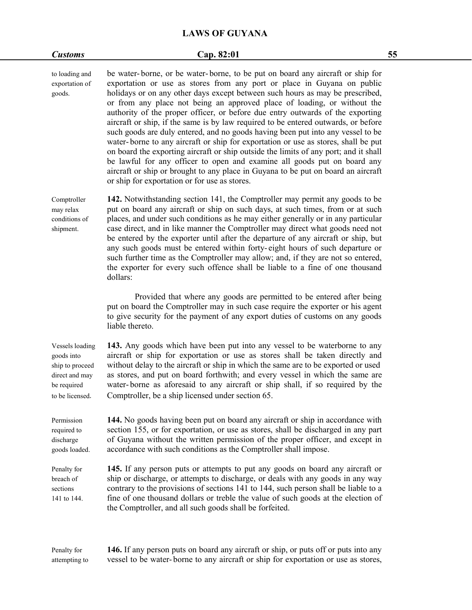| <b>Customs</b>                                                                                       | Cap. 82:01                                                                                                                                                                                                                                                                                                                                                                                                                                                                                                                                                                                                                                                                                                                                                                                                                                                                                                                                                                        | 55 |
|------------------------------------------------------------------------------------------------------|-----------------------------------------------------------------------------------------------------------------------------------------------------------------------------------------------------------------------------------------------------------------------------------------------------------------------------------------------------------------------------------------------------------------------------------------------------------------------------------------------------------------------------------------------------------------------------------------------------------------------------------------------------------------------------------------------------------------------------------------------------------------------------------------------------------------------------------------------------------------------------------------------------------------------------------------------------------------------------------|----|
| to loading and<br>exportation of<br>goods.                                                           | be water-borne, or be water-borne, to be put on board any aircraft or ship for<br>exportation or use as stores from any port or place in Guyana on public<br>holidays or on any other days except between such hours as may be prescribed,<br>or from any place not being an approved place of loading, or without the<br>authority of the proper officer, or before due entry outwards of the exporting<br>aircraft or ship, if the same is by law required to be entered outwards, or before<br>such goods are duly entered, and no goods having been put into any vessel to be<br>water-borne to any aircraft or ship for exportation or use as stores, shall be put<br>on board the exporting aircraft or ship outside the limits of any port; and it shall<br>be lawful for any officer to open and examine all goods put on board any<br>aircraft or ship or brought to any place in Guyana to be put on board an aircraft<br>or ship for exportation or for use as stores. |    |
| Comptroller<br>may relax<br>conditions of<br>shipment.                                               | 142. Notwithstanding section 141, the Comptroller may permit any goods to be<br>put on board any aircraft or ship on such days, at such times, from or at such<br>places, and under such conditions as he may either generally or in any particular<br>case direct, and in like manner the Comptroller may direct what goods need not<br>be entered by the exporter until after the departure of any aircraft or ship, but<br>any such goods must be entered within forty-eight hours of such departure or<br>such further time as the Comptroller may allow; and, if they are not so entered,<br>the exporter for every such offence shall be liable to a fine of one thousand<br>dollars:                                                                                                                                                                                                                                                                                       |    |
|                                                                                                      | Provided that where any goods are permitted to be entered after being<br>put on board the Comptroller may in such case require the exporter or his agent<br>to give security for the payment of any export duties of customs on any goods<br>liable thereto.                                                                                                                                                                                                                                                                                                                                                                                                                                                                                                                                                                                                                                                                                                                      |    |
| Vessels loading<br>goods into<br>ship to proceed<br>direct and may<br>be required<br>to be licensed. | 143. Any goods which have been put into any vessel to be waterborne to any<br>aircraft or ship for exportation or use as stores shall be taken directly and<br>without delay to the aircraft or ship in which the same are to be exported or used<br>as stores, and put on board forthwith; and every vessel in which the same are<br>water-borne as aforesaid to any aircraft or ship shall, if so required by the<br>Comptroller, be a ship licensed under section 65.                                                                                                                                                                                                                                                                                                                                                                                                                                                                                                          |    |
| Permission<br>required to<br>discharge<br>goods loaded.                                              | 144. No goods having been put on board any aircraft or ship in accordance with<br>section 155, or for exportation, or use as stores, shall be discharged in any part<br>of Guyana without the written permission of the proper officer, and except in<br>accordance with such conditions as the Comptroller shall impose.                                                                                                                                                                                                                                                                                                                                                                                                                                                                                                                                                                                                                                                         |    |
| Penalty for<br>breach of<br>sections<br>141 to 144.                                                  | 145. If any person puts or attempts to put any goods on board any aircraft or<br>ship or discharge, or attempts to discharge, or deals with any goods in any way<br>contrary to the provisions of sections 141 to 144, such person shall be liable to a<br>fine of one thousand dollars or treble the value of such goods at the election of<br>the Comptroller, and all such goods shall be forfeited.                                                                                                                                                                                                                                                                                                                                                                                                                                                                                                                                                                           |    |
|                                                                                                      |                                                                                                                                                                                                                                                                                                                                                                                                                                                                                                                                                                                                                                                                                                                                                                                                                                                                                                                                                                                   |    |

Penalty for **146.** If any person puts on board any aircraft or ship, or puts off or puts into any attempting to vessel to be water- borne to any aircraft or ship for exportation or use as stores,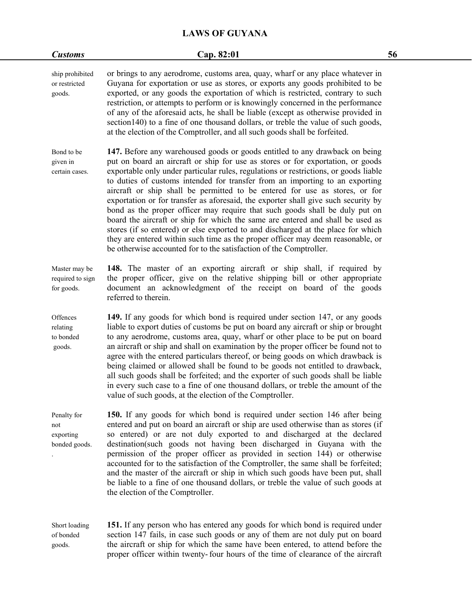| <b>Customs</b>                                   | Cap. 82:01                                                                                                                                                                                                                                                                                                                                                                                                                                                                                                                                                                                                                                                                                                                                                                                                                                                                                                                | 56 |
|--------------------------------------------------|---------------------------------------------------------------------------------------------------------------------------------------------------------------------------------------------------------------------------------------------------------------------------------------------------------------------------------------------------------------------------------------------------------------------------------------------------------------------------------------------------------------------------------------------------------------------------------------------------------------------------------------------------------------------------------------------------------------------------------------------------------------------------------------------------------------------------------------------------------------------------------------------------------------------------|----|
| ship prohibited<br>or restricted<br>goods.       | or brings to any aerodrome, customs area, quay, wharf or any place whatever in<br>Guyana for exportation or use as stores, or exports any goods prohibited to be<br>exported, or any goods the exportation of which is restricted, contrary to such<br>restriction, or attempts to perform or is knowingly concerned in the performance<br>of any of the aforesaid acts, he shall be liable (except as otherwise provided in<br>section 140) to a fine of one thousand dollars, or treble the value of such goods,<br>at the election of the Comptroller, and all such goods shall be forfeited.                                                                                                                                                                                                                                                                                                                          |    |
| Bond to be<br>given in<br>certain cases.         | 147. Before any warehoused goods or goods entitled to any drawback on being<br>put on board an aircraft or ship for use as stores or for exportation, or goods<br>exportable only under particular rules, regulations or restrictions, or goods liable<br>to duties of customs intended for transfer from an importing to an exporting<br>aircraft or ship shall be permitted to be entered for use as stores, or for<br>exportation or for transfer as aforesaid, the exporter shall give such security by<br>bond as the proper officer may require that such goods shall be duly put on<br>board the aircraft or ship for which the same are entered and shall be used as<br>stores (if so entered) or else exported to and discharged at the place for which<br>they are entered within such time as the proper officer may deem reasonable, or<br>be otherwise accounted for to the satisfaction of the Comptroller. |    |
| Master may be<br>required to sign<br>for goods.  | 148. The master of an exporting aircraft or ship shall, if required by<br>the proper officer, give on the relative shipping bill or other appropriate<br>document an acknowledgment of the receipt on board of the goods<br>referred to therein.                                                                                                                                                                                                                                                                                                                                                                                                                                                                                                                                                                                                                                                                          |    |
| Offences<br>relating<br>to bonded<br>goods.      | 149. If any goods for which bond is required under section 147, or any goods<br>liable to export duties of customs be put on board any aircraft or ship or brought<br>to any aerodrome, customs area, quay, wharf or other place to be put on board<br>an aircraft or ship and shall on examination by the proper officer be found not to<br>agree with the entered particulars thereof, or being goods on which drawback is<br>being claimed or allowed shall be found to be goods not entitled to drawback,<br>all such goods shall be forfeited; and the exporter of such goods shall be liable<br>in every such case to a fine of one thousand dollars, or treble the amount of the<br>value of such goods, at the election of the Comptroller.                                                                                                                                                                       |    |
| Penalty for<br>not<br>exporting<br>bonded goods. | 150. If any goods for which bond is required under section 146 after being<br>entered and put on board an aircraft or ship are used otherwise than as stores (if<br>so entered) or are not duly exported to and discharged at the declared<br>destination(such goods not having been discharged in Guyana with the<br>permission of the proper officer as provided in section 144) or otherwise<br>accounted for to the satisfaction of the Comptroller, the same shall be forfeited;<br>and the master of the aircraft or ship in which such goods have been put, shall<br>be liable to a fine of one thousand dollars, or treble the value of such goods at<br>the election of the Comptroller.                                                                                                                                                                                                                         |    |
| Short loading<br>of bonded<br>goods.             | 151. If any person who has entered any goods for which bond is required under<br>section 147 fails, in case such goods or any of them are not duly put on board<br>the aircraft or ship for which the same have been entered, to attend before the<br>proper officer within twenty-four hours of the time of clearance of the aircraft                                                                                                                                                                                                                                                                                                                                                                                                                                                                                                                                                                                    |    |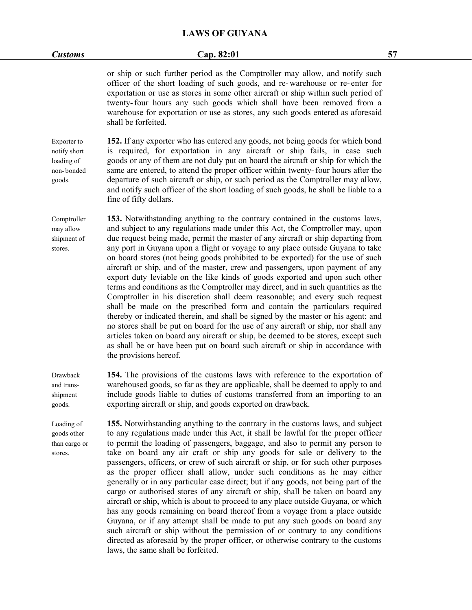| <b>Customs</b>                                                    | Cap. 82:01                                                                                                                                                                                                                                                                                                                                                                                                                                                                                                                                                                                                                                                                                                                                                                                                                                                                                                                                                                                                                                                                                                                                                                                                           | 57 |
|-------------------------------------------------------------------|----------------------------------------------------------------------------------------------------------------------------------------------------------------------------------------------------------------------------------------------------------------------------------------------------------------------------------------------------------------------------------------------------------------------------------------------------------------------------------------------------------------------------------------------------------------------------------------------------------------------------------------------------------------------------------------------------------------------------------------------------------------------------------------------------------------------------------------------------------------------------------------------------------------------------------------------------------------------------------------------------------------------------------------------------------------------------------------------------------------------------------------------------------------------------------------------------------------------|----|
|                                                                   | or ship or such further period as the Comptroller may allow, and notify such<br>officer of the short loading of such goods, and re-warehouse or re-enter for<br>exportation or use as stores in some other aircraft or ship within such period of<br>twenty-four hours any such goods which shall have been removed from a<br>warehouse for exportation or use as stores, any such goods entered as aforesaid<br>shall be forfeited.                                                                                                                                                                                                                                                                                                                                                                                                                                                                                                                                                                                                                                                                                                                                                                                 |    |
| Exporter to<br>notify short<br>loading of<br>non-bonded<br>goods. | 152. If any exporter who has entered any goods, not being goods for which bond<br>is required, for exportation in any aircraft or ship fails, in case such<br>goods or any of them are not duly put on board the aircraft or ship for which the<br>same are entered, to attend the proper officer within twenty-four hours after the<br>departure of such aircraft or ship, or such period as the Comptroller may allow,<br>and notify such officer of the short loading of such goods, he shall be liable to a<br>fine of fifty dollars.                                                                                                                                                                                                                                                                                                                                                                                                                                                                                                                                                                                                                                                                            |    |
| Comptroller<br>may allow<br>shipment of<br>stores.                | 153. Notwithstanding anything to the contrary contained in the customs laws,<br>and subject to any regulations made under this Act, the Comptroller may, upon<br>due request being made, permit the master of any aircraft or ship departing from<br>any port in Guyana upon a flight or voyage to any place outside Guyana to take<br>on board stores (not being goods prohibited to be exported) for the use of such<br>aircraft or ship, and of the master, crew and passengers, upon payment of any<br>export duty leviable on the like kinds of goods exported and upon such other<br>terms and conditions as the Comptroller may direct, and in such quantities as the<br>Comptroller in his discretion shall deem reasonable; and every such request<br>shall be made on the prescribed form and contain the particulars required<br>thereby or indicated therein, and shall be signed by the master or his agent; and<br>no stores shall be put on board for the use of any aircraft or ship, nor shall any<br>articles taken on board any aircraft or ship, be deemed to be stores, except such<br>as shall be or have been put on board such aircraft or ship in accordance with<br>the provisions hereof. |    |
| Drawback<br>and trans-<br>shipment<br>goods.                      | 154. The provisions of the customs laws with reference to the exportation of<br>warehoused goods, so far as they are applicable, shall be deemed to apply to and<br>include goods liable to duties of customs transferred from an importing to an<br>exporting aircraft or ship, and goods exported on drawback.                                                                                                                                                                                                                                                                                                                                                                                                                                                                                                                                                                                                                                                                                                                                                                                                                                                                                                     |    |
| Loading of<br>goods other<br>than cargo or<br>stores.             | 155. Notwithstanding anything to the contrary in the customs laws, and subject<br>to any regulations made under this Act, it shall be lawful for the proper officer<br>to permit the loading of passengers, baggage, and also to permit any person to<br>take on board any air craft or ship any goods for sale or delivery to the<br>passengers, officers, or crew of such aircraft or ship, or for such other purposes<br>as the proper officer shall allow, under such conditions as he may either<br>generally or in any particular case direct; but if any goods, not being part of the<br>cargo or authorised stores of any aircraft or ship, shall be taken on board any<br>aircraft or ship, which is about to proceed to any place outside Guyana, or which<br>has any goods remaining on board thereof from a voyage from a place outside<br>Guyana, or if any attempt shall be made to put any such goods on board any<br>such aircraft or ship without the permission of or contrary to any conditions<br>directed as aforesaid by the proper officer, or otherwise contrary to the customs                                                                                                              |    |

laws, the same shall be forfeited.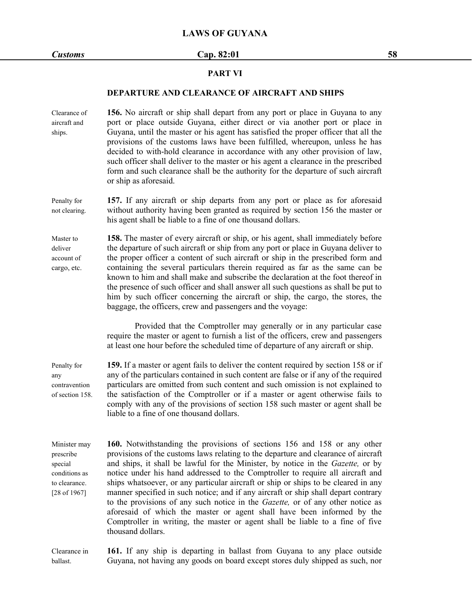# *Customs* **Cap. 82:01 58**

# **PART VI**

# **DEPARTURE AND CLEARANCE OF AIRCRAFT AND SHIPS**

| 156. No aircraft or ship shall depart from any port or place in Guyana to any<br>port or place outside Guyana, either direct or via another port or place in<br>Guyana, until the master or his agent has satisfied the proper officer that all the<br>provisions of the customs laws have been fulfilled, whereupon, unless he has<br>decided to with-hold clearance in accordance with any other provision of law,<br>such officer shall deliver to the master or his agent a clearance in the prescribed<br>form and such clearance shall be the authority for the departure of such aircraft<br>or ship as aforesaid.                                                                                                                                                         |
|-----------------------------------------------------------------------------------------------------------------------------------------------------------------------------------------------------------------------------------------------------------------------------------------------------------------------------------------------------------------------------------------------------------------------------------------------------------------------------------------------------------------------------------------------------------------------------------------------------------------------------------------------------------------------------------------------------------------------------------------------------------------------------------|
| 157. If any aircraft or ship departs from any port or place as for aforesaid<br>without authority having been granted as required by section 156 the master or<br>his agent shall be liable to a fine of one thousand dollars.                                                                                                                                                                                                                                                                                                                                                                                                                                                                                                                                                    |
| 158. The master of every aircraft or ship, or his agent, shall immediately before<br>the departure of such aircraft or ship from any port or place in Guyana deliver to<br>the proper officer a content of such aircraft or ship in the prescribed form and<br>containing the several particulars therein required as far as the same can be<br>known to him and shall make and subscribe the declaration at the foot thereof in<br>the presence of such officer and shall answer all such questions as shall be put to<br>him by such officer concerning the aircraft or ship, the cargo, the stores, the<br>baggage, the officers, crew and passengers and the voyage:                                                                                                          |
| Provided that the Comptroller may generally or in any particular case<br>require the master or agent to furnish a list of the officers, crew and passengers<br>at least one hour before the scheduled time of departure of any aircraft or ship.                                                                                                                                                                                                                                                                                                                                                                                                                                                                                                                                  |
| 159. If a master or agent fails to deliver the content required by section 158 or if<br>any of the particulars contained in such content are false or if any of the required<br>particulars are omitted from such content and such omission is not explained to<br>the satisfaction of the Comptroller or if a master or agent otherwise fails to<br>comply with any of the provisions of section 158 such master or agent shall be<br>liable to a fine of one thousand dollars.                                                                                                                                                                                                                                                                                                  |
| 160. Notwithstanding the provisions of sections 156 and 158 or any other<br>provisions of the customs laws relating to the departure and clearance of aircraft<br>and ships, it shall be lawful for the Minister, by notice in the Gazette, or by<br>notice under his hand addressed to the Comptroller to require all aircraft and<br>ships whatsoever, or any particular aircraft or ship or ships to be cleared in any<br>manner specified in such notice; and if any aircraft or ship shall depart contrary<br>to the provisions of any such notice in the Gazette, or of any other notice as<br>aforesaid of which the master or agent shall have been informed by the<br>Comptroller in writing, the master or agent shall be liable to a fine of five<br>thousand dollars. |
|                                                                                                                                                                                                                                                                                                                                                                                                                                                                                                                                                                                                                                                                                                                                                                                   |

Clearance in **161.** If any ship is departing in ballast from Guyana to any place outside ballast. Guyana, not having any goods on board except stores duly shipped as such, nor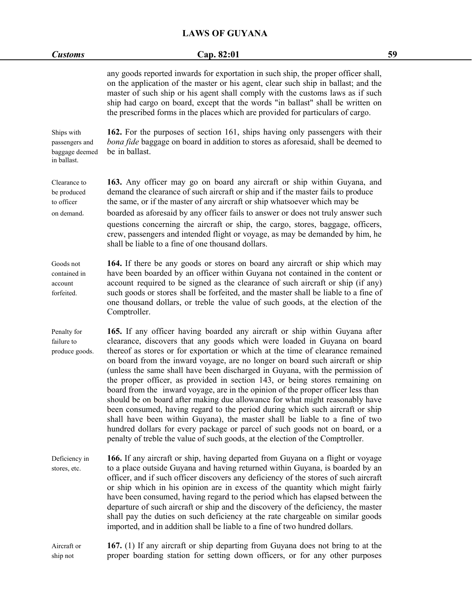| <b>Customs</b>                                                | Cap. 82:01                                                                                                                                                                                                                                                                                                                                                                                                                                                                                                                                                                                                                                                                                                                                                                                                                                                                                                                                                                                         | 59 |
|---------------------------------------------------------------|----------------------------------------------------------------------------------------------------------------------------------------------------------------------------------------------------------------------------------------------------------------------------------------------------------------------------------------------------------------------------------------------------------------------------------------------------------------------------------------------------------------------------------------------------------------------------------------------------------------------------------------------------------------------------------------------------------------------------------------------------------------------------------------------------------------------------------------------------------------------------------------------------------------------------------------------------------------------------------------------------|----|
|                                                               | any goods reported inwards for exportation in such ship, the proper officer shall,<br>on the application of the master or his agent, clear such ship in ballast; and the<br>master of such ship or his agent shall comply with the customs laws as if such<br>ship had cargo on board, except that the words "in ballast" shall be written on<br>the prescribed forms in the places which are provided for particulars of cargo.                                                                                                                                                                                                                                                                                                                                                                                                                                                                                                                                                                   |    |
| Ships with<br>passengers and<br>baggage deemed<br>in ballast. | 162. For the purposes of section 161, ships having only passengers with their<br>bona fide baggage on board in addition to stores as aforesaid, shall be deemed to<br>be in ballast.                                                                                                                                                                                                                                                                                                                                                                                                                                                                                                                                                                                                                                                                                                                                                                                                               |    |
| Clearance to<br>be produced<br>to officer<br>on demand.       | 163. Any officer may go on board any aircraft or ship within Guyana, and<br>demand the clearance of such aircraft or ship and if the master fails to produce<br>the same, or if the master of any aircraft or ship whatsoever which may be<br>boarded as aforesaid by any officer fails to answer or does not truly answer such<br>questions concerning the aircraft or ship, the cargo, stores, baggage, officers,<br>crew, passengers and intended flight or voyage, as may be demanded by him, he<br>shall be liable to a fine of one thousand dollars.                                                                                                                                                                                                                                                                                                                                                                                                                                         |    |
| Goods not<br>contained in<br>account<br>forfeited.            | 164. If there be any goods or stores on board any aircraft or ship which may<br>have been boarded by an officer within Guyana not contained in the content or<br>account required to be signed as the clearance of such aircraft or ship (if any)<br>such goods or stores shall be forfeited, and the master shall be liable to a fine of<br>one thousand dollars, or treble the value of such goods, at the election of the<br>Comptroller.                                                                                                                                                                                                                                                                                                                                                                                                                                                                                                                                                       |    |
| Penalty for<br>failure to<br>produce goods.                   | 165. If any officer having boarded any aircraft or ship within Guyana after<br>clearance, discovers that any goods which were loaded in Guyana on board<br>thereof as stores or for exportation or which at the time of clearance remained<br>on board from the inward voyage, are no longer on board such aircraft or ship<br>(unless the same shall have been discharged in Guyana, with the permission of<br>the proper officer, as provided in section 143, or being stores remaining on<br>board from the inward voyage, are in the opinion of the proper officer less than<br>should be on board after making due allowance for what might reasonably have<br>been consumed, having regard to the period during which such aircraft or ship<br>shall have been within Guyana), the master shall be liable to a fine of two<br>hundred dollars for every package or parcel of such goods not on board, or a<br>penalty of treble the value of such goods, at the election of the Comptroller. |    |
| Deficiency in<br>stores, etc.                                 | 166. If any aircraft or ship, having departed from Guyana on a flight or voyage<br>to a place outside Guyana and having returned within Guyana, is boarded by an<br>officer, and if such officer discovers any deficiency of the stores of such aircraft<br>or ship which in his opinion are in excess of the quantity which might fairly<br>have been consumed, having regard to the period which has elapsed between the<br>departure of such aircraft or ship and the discovery of the deficiency, the master<br>shall pay the duties on such deficiency at the rate chargeable on similar goods<br>imported, and in addition shall be liable to a fine of two hundred dollars.                                                                                                                                                                                                                                                                                                                 |    |
| Aircraft or<br>ship not                                       | 167. (1) If any aircraft or ship departing from Guyana does not bring to at the<br>proper boarding station for setting down officers, or for any other purposes                                                                                                                                                                                                                                                                                                                                                                                                                                                                                                                                                                                                                                                                                                                                                                                                                                    |    |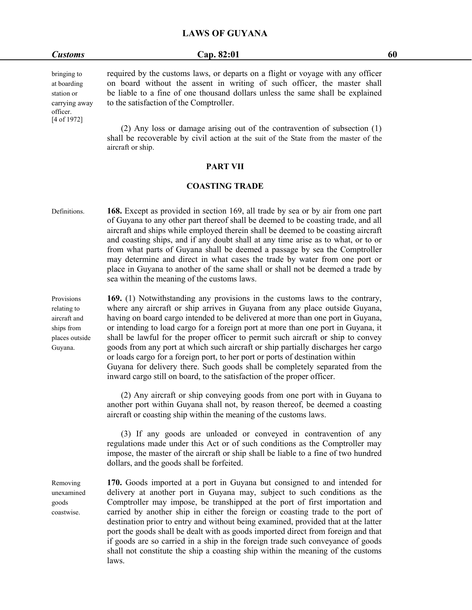| <b>Customs</b>                                                                       | Cap. 82:01                                                                                                                                                                                                                                                                               | 60 |
|--------------------------------------------------------------------------------------|------------------------------------------------------------------------------------------------------------------------------------------------------------------------------------------------------------------------------------------------------------------------------------------|----|
| bringing to<br>at boarding<br>station or<br>carrying away<br>officer.<br>[4 of 1972] | required by the customs laws, or departs on a flight or voyage with any officer<br>on board without the assent in writing of such officer, the master shall<br>be liable to a fine of one thousand dollars unless the same shall be explained<br>to the satisfaction of the Comptroller. |    |
|                                                                                      | (2) Any loss or damage arising out of the contravention of subsection (1)<br>shall be recoverable by civil action at the suit of the State from the master of the<br>aircraft or ship.                                                                                                   |    |
|                                                                                      | n 1 nm 17tt                                                                                                                                                                                                                                                                              |    |

### **PART VII**

# **COASTING TRADE**

Definitions. **168.** Except as provided in section 169, all trade by sea or by air from one part of Guyana to any other part thereof shall be deemed to be coasting trade, and all aircraft and ships while employed therein shall be deemed to be coasting aircraft and coasting ships, and if any doubt shall at any time arise as to what, or to or from what parts of Guyana shall be deemed a passage by sea the Comptroller may determine and direct in what cases the trade by water from one port or place in Guyana to another of the same shall or shall not be deemed a trade by sea within the meaning of the customs laws.

Provisions **169.** (1) Notwithstanding any provisions in the customs laws to the contrary, relating to where any aircraft or ship arrives in Guyana from any place outside Guyana, aircraft and having on board cargo intended to be delivered at more than one port in Guyana, ships from or intending to load cargo for a foreign port at more than one port in Guyana, it places outside shall be lawful for the proper officer to permit such aircraft or ship to convey Guyana. goods from any port at which such aircraft or ship partially discharges her cargo or loads cargo for a foreign port, to her port or ports of destination within Guyana for delivery there. Such goods shall be completely separated from the inward cargo still on board, to the satisfaction of the proper officer.

> (2) Any aircraft or ship conveying goods from one port with in Guyana to another port within Guyana shall not, by reason thereof, be deemed a coasting aircraft or coasting ship within the meaning of the customs laws.

> (3) If any goods are unloaded or conveyed in contravention of any regulations made under this Act or of such conditions as the Comptroller may impose, the master of the aircraft or ship shall be liable to a fine of two hundred dollars, and the goods shall be forfeited.

Removing **170.** Goods imported at a port in Guyana but consigned to and intended for unexamined delivery at another port in Guyana may, subject to such conditions as the goods Comptroller may impose, be transhipped at the port of first importation and coastwise. carried by another ship in either the foreign or coasting trade to the port of destination prior to entry and without being examined, provided that at the latter port the goods shall be dealt with as goods imported direct from foreign and that if goods are so carried in a ship in the foreign trade such conveyance of goods shall not constitute the ship a coasting ship within the meaning of the customs laws.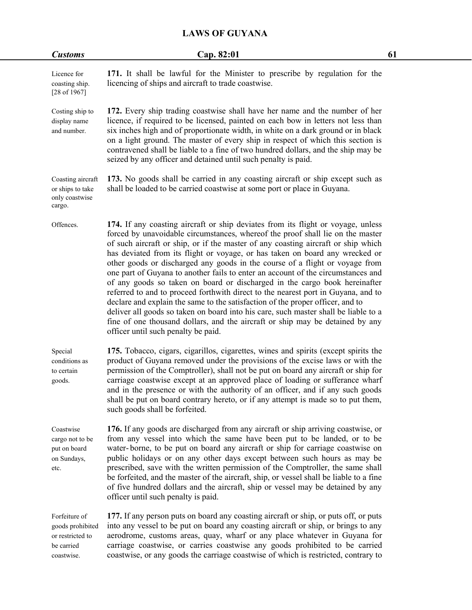| <b>Customs</b>                                                                    | Cap. 82:01                                                                                                                                                                                                                                                                                                                                                                                                                                                                                                                                                                                                                                                                                                                                                                                                                                                                                                                                                                      | 61 |
|-----------------------------------------------------------------------------------|---------------------------------------------------------------------------------------------------------------------------------------------------------------------------------------------------------------------------------------------------------------------------------------------------------------------------------------------------------------------------------------------------------------------------------------------------------------------------------------------------------------------------------------------------------------------------------------------------------------------------------------------------------------------------------------------------------------------------------------------------------------------------------------------------------------------------------------------------------------------------------------------------------------------------------------------------------------------------------|----|
| Licence for<br>coasting ship.<br>[28 of 1967]                                     | 171. It shall be lawful for the Minister to prescribe by regulation for the<br>licencing of ships and aircraft to trade coastwise.                                                                                                                                                                                                                                                                                                                                                                                                                                                                                                                                                                                                                                                                                                                                                                                                                                              |    |
| Costing ship to<br>display name<br>and number.                                    | 172. Every ship trading coastwise shall have her name and the number of her<br>licence, if required to be licensed, painted on each bow in letters not less than<br>six inches high and of proportionate width, in white on a dark ground or in black<br>on a light ground. The master of every ship in respect of which this section is<br>contravened shall be liable to a fine of two hundred dollars, and the ship may be<br>seized by any officer and detained until such penalty is paid.                                                                                                                                                                                                                                                                                                                                                                                                                                                                                 |    |
| Coasting aircraft<br>or ships to take<br>only coastwise<br>cargo.                 | 173. No goods shall be carried in any coasting aircraft or ship except such as<br>shall be loaded to be carried coastwise at some port or place in Guyana.                                                                                                                                                                                                                                                                                                                                                                                                                                                                                                                                                                                                                                                                                                                                                                                                                      |    |
| Offences.                                                                         | 174. If any coasting aircraft or ship deviates from its flight or voyage, unless<br>forced by unavoidable circumstances, whereof the proof shall lie on the master<br>of such aircraft or ship, or if the master of any coasting aircraft or ship which<br>has deviated from its flight or voyage, or has taken on board any wrecked or<br>other goods or discharged any goods in the course of a flight or voyage from<br>one part of Guyana to another fails to enter an account of the circumstances and<br>of any goods so taken on board or discharged in the cargo book hereinafter<br>referred to and to proceed forthwith direct to the nearest port in Guyana, and to<br>declare and explain the same to the satisfaction of the proper officer, and to<br>deliver all goods so taken on board into his care, such master shall be liable to a<br>fine of one thousand dollars, and the aircraft or ship may be detained by any<br>officer until such penalty be paid. |    |
| Special<br>conditions as<br>to certain<br>goods.                                  | 175. Tobacco, cigars, cigarillos, cigarettes, wines and spirits (except spirits the<br>product of Guyana removed under the provisions of the excise laws or with the<br>permission of the Comptroller), shall not be put on board any aircraft or ship for<br>carriage coastwise except at an approved place of loading or sufferance wharf<br>and in the presence or with the authority of an officer, and if any such goods<br>shall be put on board contrary hereto, or if any attempt is made so to put them,<br>such goods shall be forfeited.                                                                                                                                                                                                                                                                                                                                                                                                                             |    |
| Coastwise<br>cargo not to be<br>put on board<br>on Sundays,<br>etc.               | 176. If any goods are discharged from any aircraft or ship arriving coastwise, or<br>from any vessel into which the same have been put to be landed, or to be<br>water-borne, to be put on board any aircraft or ship for carriage coastwise on<br>public holidays or on any other days except between such hours as may be<br>prescribed, save with the written permission of the Comptroller, the same shall<br>be forfeited, and the master of the aircraft, ship, or vessel shall be liable to a fine<br>of five hundred dollars and the aircraft, ship or vessel may be detained by any<br>officer until such penalty is paid.                                                                                                                                                                                                                                                                                                                                             |    |
| Forfeiture of<br>goods prohibited<br>or restricted to<br>be carried<br>coastwise. | 177. If any person puts on board any coasting aircraft or ship, or puts off, or puts<br>into any vessel to be put on board any coasting aircraft or ship, or brings to any<br>aerodrome, customs areas, quay, wharf or any place whatever in Guyana for<br>carriage coastwise, or carries coastwise any goods prohibited to be carried<br>coastwise, or any goods the carriage coastwise of which is restricted, contrary to                                                                                                                                                                                                                                                                                                                                                                                                                                                                                                                                                    |    |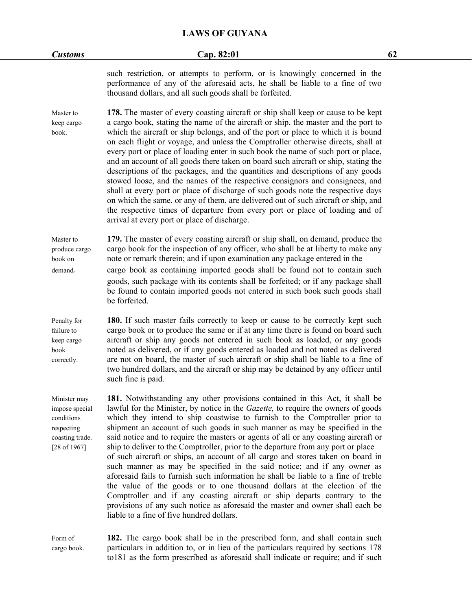| <b>Customs</b>                                                                                | Cap. 82:01                                                                                                                                                                                                                                                                                                                                                                                                                                                                                                                                                                                                                                                                                                                                                                                                                                                                                                                                                                                                                                                   | 62 |
|-----------------------------------------------------------------------------------------------|--------------------------------------------------------------------------------------------------------------------------------------------------------------------------------------------------------------------------------------------------------------------------------------------------------------------------------------------------------------------------------------------------------------------------------------------------------------------------------------------------------------------------------------------------------------------------------------------------------------------------------------------------------------------------------------------------------------------------------------------------------------------------------------------------------------------------------------------------------------------------------------------------------------------------------------------------------------------------------------------------------------------------------------------------------------|----|
|                                                                                               | such restriction, or attempts to perform, or is knowingly concerned in the<br>performance of any of the aforesaid acts, he shall be liable to a fine of two<br>thousand dollars, and all such goods shall be forfeited.                                                                                                                                                                                                                                                                                                                                                                                                                                                                                                                                                                                                                                                                                                                                                                                                                                      |    |
| Master to<br>keep cargo<br>book.                                                              | 178. The master of every coasting aircraft or ship shall keep or cause to be kept<br>a cargo book, stating the name of the aircraft or ship, the master and the port to<br>which the aircraft or ship belongs, and of the port or place to which it is bound<br>on each flight or voyage, and unless the Comptroller otherwise directs, shall at<br>every port or place of loading enter in such book the name of such port or place,<br>and an account of all goods there taken on board such aircraft or ship, stating the<br>descriptions of the packages, and the quantities and descriptions of any goods<br>stowed loose, and the names of the respective consignors and consignees, and<br>shall at every port or place of discharge of such goods note the respective days<br>on which the same, or any of them, are delivered out of such aircraft or ship, and<br>the respective times of departure from every port or place of loading and of<br>arrival at every port or place of discharge.                                                     |    |
| Master to<br>produce cargo<br>book on<br>demand.                                              | 179. The master of every coasting aircraft or ship shall, on demand, produce the<br>cargo book for the inspection of any officer, who shall be at liberty to make any<br>note or remark therein; and if upon examination any package entered in the<br>cargo book as containing imported goods shall be found not to contain such<br>goods, such package with its contents shall be forfeited; or if any package shall<br>be found to contain imported goods not entered in such book such goods shall<br>be forfeited.                                                                                                                                                                                                                                                                                                                                                                                                                                                                                                                                      |    |
| Penalty for<br>failure to<br>keep cargo<br>book<br>correctly.                                 | 180. If such master fails correctly to keep or cause to be correctly kept such<br>cargo book or to produce the same or if at any time there is found on board such<br>aircraft or ship any goods not entered in such book as loaded, or any goods<br>noted as delivered, or if any goods entered as loaded and not noted as delivered<br>are not on board, the master of such aircraft or ship shall be liable to a fine of<br>two hundred dollars, and the aircraft or ship may be detained by any officer until<br>such fine is paid.                                                                                                                                                                                                                                                                                                                                                                                                                                                                                                                      |    |
| Minister may<br>impose special<br>conditions<br>respecting<br>coasting trade.<br>[28 of 1967] | 181. Notwithstanding any other provisions contained in this Act, it shall be<br>lawful for the Minister, by notice in the <i>Gazette</i> , to require the owners of goods<br>which they intend to ship coastwise to furnish to the Comptroller prior to<br>shipment an account of such goods in such manner as may be specified in the<br>said notice and to require the masters or agents of all or any coasting aircraft or<br>ship to deliver to the Comptroller, prior to the departure from any port or place<br>of such aircraft or ships, an account of all cargo and stores taken on board in<br>such manner as may be specified in the said notice; and if any owner as<br>aforesaid fails to furnish such information he shall be liable to a fine of treble<br>the value of the goods or to one thousand dollars at the election of the<br>Comptroller and if any coasting aircraft or ship departs contrary to the<br>provisions of any such notice as aforesaid the master and owner shall each be<br>liable to a fine of five hundred dollars. |    |
| Form of<br>cargo book.                                                                        | 182. The cargo book shall be in the prescribed form, and shall contain such<br>particulars in addition to, or in lieu of the particulars required by sections 178<br>to181 as the form prescribed as aforesaid shall indicate or require; and if such                                                                                                                                                                                                                                                                                                                                                                                                                                                                                                                                                                                                                                                                                                                                                                                                        |    |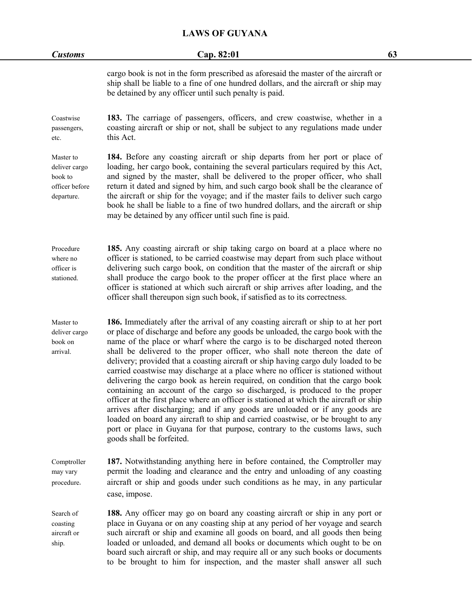| <b>Customs</b>                                                        | Cap. 82:01                                                                                                                                                                                                                                                                                                                                                                                                                                                                                                                                                                                                                                                                                                                                                                                                                                                                                                                                                                                                                                                  | 63 |
|-----------------------------------------------------------------------|-------------------------------------------------------------------------------------------------------------------------------------------------------------------------------------------------------------------------------------------------------------------------------------------------------------------------------------------------------------------------------------------------------------------------------------------------------------------------------------------------------------------------------------------------------------------------------------------------------------------------------------------------------------------------------------------------------------------------------------------------------------------------------------------------------------------------------------------------------------------------------------------------------------------------------------------------------------------------------------------------------------------------------------------------------------|----|
|                                                                       | cargo book is not in the form prescribed as aforesaid the master of the aircraft or<br>ship shall be liable to a fine of one hundred dollars, and the aircraft or ship may<br>be detained by any officer until such penalty is paid.                                                                                                                                                                                                                                                                                                                                                                                                                                                                                                                                                                                                                                                                                                                                                                                                                        |    |
| Coastwise<br>passengers,<br>etc.                                      | 183. The carriage of passengers, officers, and crew coastwise, whether in a<br>coasting aircraft or ship or not, shall be subject to any regulations made under<br>this Act.                                                                                                                                                                                                                                                                                                                                                                                                                                                                                                                                                                                                                                                                                                                                                                                                                                                                                |    |
| Master to<br>deliver cargo<br>book to<br>officer before<br>departure. | 184. Before any coasting aircraft or ship departs from her port or place of<br>loading, her cargo book, containing the several particulars required by this Act,<br>and signed by the master, shall be delivered to the proper officer, who shall<br>return it dated and signed by him, and such cargo book shall be the clearance of<br>the aircraft or ship for the voyage; and if the master fails to deliver such cargo<br>book he shall be liable to a fine of two hundred dollars, and the aircraft or ship<br>may be detained by any officer until such fine is paid.                                                                                                                                                                                                                                                                                                                                                                                                                                                                                |    |
| Procedure<br>where no<br>officer is<br>stationed.                     | 185. Any coasting aircraft or ship taking cargo on board at a place where no<br>officer is stationed, to be carried coastwise may depart from such place without<br>delivering such cargo book, on condition that the master of the aircraft or ship<br>shall produce the cargo book to the proper officer at the first place where an<br>officer is stationed at which such aircraft or ship arrives after loading, and the<br>officer shall thereupon sign such book, if satisfied as to its correctness.                                                                                                                                                                                                                                                                                                                                                                                                                                                                                                                                                 |    |
| Master to<br>deliver cargo<br>book on<br>arrival.                     | 186. Immediately after the arrival of any coasting aircraft or ship to at her port<br>or place of discharge and before any goods be unloaded, the cargo book with the<br>name of the place or wharf where the cargo is to be discharged noted thereon<br>shall be delivered to the proper officer, who shall note thereon the date of<br>delivery; provided that a coasting aircraft or ship having cargo duly loaded to be<br>carried coastwise may discharge at a place where no officer is stationed without<br>delivering the cargo book as herein required, on condition that the cargo book<br>containing an account of the cargo so discharged, is produced to the proper<br>officer at the first place where an officer is stationed at which the aircraft or ship<br>arrives after discharging; and if any goods are unloaded or if any goods are<br>loaded on board any aircraft to ship and carried coastwise, or be brought to any<br>port or place in Guyana for that purpose, contrary to the customs laws, such<br>goods shall be forfeited. |    |
| Comptroller<br>may vary<br>procedure.                                 | 187. Notwithstanding anything here in before contained, the Comptroller may<br>permit the loading and clearance and the entry and unloading of any coasting<br>aircraft or ship and goods under such conditions as he may, in any particular<br>case, impose.                                                                                                                                                                                                                                                                                                                                                                                                                                                                                                                                                                                                                                                                                                                                                                                               |    |
| Search of<br>coasting<br>aircraft or<br>ship.                         | 188. Any officer may go on board any coasting aircraft or ship in any port or<br>place in Guyana or on any coasting ship at any period of her voyage and search<br>such aircraft or ship and examine all goods on board, and all goods then being<br>loaded or unloaded, and demand all books or documents which ought to be on<br>board such aircraft or ship, and may require all or any such books or documents<br>to be brought to him for inspection, and the master shall answer all such                                                                                                                                                                                                                                                                                                                                                                                                                                                                                                                                                             |    |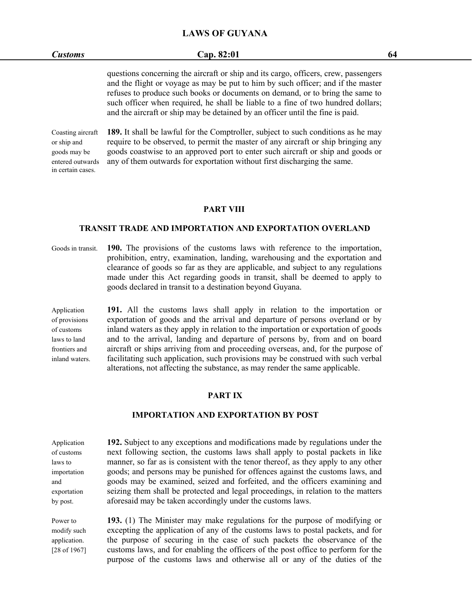| <b>Customs</b>                                                                            | Cap. 82:01                                                                                                                                                                                                                                                                                                                                                                                                                     | 64 |  |
|-------------------------------------------------------------------------------------------|--------------------------------------------------------------------------------------------------------------------------------------------------------------------------------------------------------------------------------------------------------------------------------------------------------------------------------------------------------------------------------------------------------------------------------|----|--|
|                                                                                           | questions concerning the aircraft or ship and its cargo, officers, crew, passengers<br>and the flight or voyage as may be put to him by such officer; and if the master<br>refuses to produce such books or documents on demand, or to bring the same to<br>such officer when required, he shall be liable to a fine of two hundred dollars;<br>and the aircraft or ship may be detained by an officer until the fine is paid. |    |  |
| Coasting aircraft<br>or ship and<br>goods may be<br>entered outwards<br>in certain cases. | 189. It shall be lawful for the Comptroller, subject to such conditions as he may<br>require to be observed, to permit the master of any aircraft or ship bringing any<br>goods coastwise to an approved port to enter such aircraft or ship and goods or<br>any of them outwards for exportation without first discharging the same.                                                                                          |    |  |

### **PART VIII**

## **TRANSIT TRADE AND IMPORTATION AND EXPORTATION OVERLAND**

Goods in transit. **190.** The provisions of the customs laws with reference to the importation, prohibition, entry, examination, landing, warehousing and the exportation and clearance of goods so far as they are applicable, and subject to any regulations made under this Act regarding goods in transit, shall be deemed to apply to goods declared in transit to a destination beyond Guyana.

Application **191.** All the customs laws shall apply in relation to the importation or of provisions exportation of goods and the arrival and departure of persons overland or by of customs inland waters as they apply in relation to the importation or exportation of goods laws to land and to the arrival, landing and departure of persons by, from and on board frontiers and aircraft or ships arriving from and proceeding overseas, and, for the purpose of inland waters. facilitating such application, such provisions may be construed with such verbal alterations, not affecting the substance, as may render the same applicable.

# **PART IX**

## **IMPORTATION AND EXPORTATION BY POST**

Application **192.** Subject to any exceptions and modifications made by regulations under the of customs next following section, the customs laws shall apply to postal packets in like laws to manner, so far as is consistent with the tenor thereof, as they apply to any other importation goods; and persons may be punished for offences against the customs laws, and and goods may be examined, seized and forfeited, and the officers examining and exportation seizing them shall be protected and legal proceedings, in relation to the matters by post. aforesaid may be taken accordingly under the customs laws.

Power to **193.** (1) The Minister may make regulations for the purpose of modifying or modify such excepting the application of any of the customs laws to postal packets, and for application. the purpose of securing in the case of such packets the observance of the [28 of 1967] customs laws, and for enabling the officers of the post office to perform for the purpose of the customs laws and otherwise all or any of the duties of the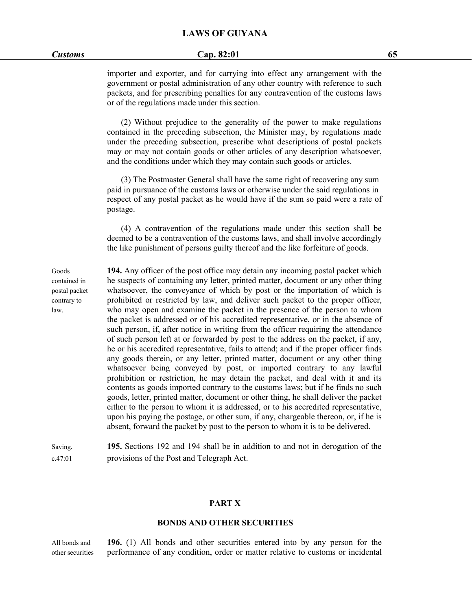# *Customs* **Cap. 82:01 65**

importer and exporter, and for carrying into effect any arrangement with the government or postal administration of any other country with reference to such packets, and for prescribing penalties for any contravention of the customs laws or of the regulations made under this section.

(2) Without prejudice to the generality of the power to make regulations contained in the preceding subsection, the Minister may, by regulations made under the preceding subsection, prescribe what descriptions of postal packets may or may not contain goods or other articles of any description whatsoever, and the conditions under which they may contain such goods or articles.

(3) The Postmaster General shall have the same right of recovering any sum paid in pursuance of the customs laws or otherwise under the said regulations in respect of any postal packet as he would have if the sum so paid were a rate of postage.

(4) A contravention of the regulations made under this section shall be deemed to be a contravention of the customs laws, and shall involve accordingly the like punishment of persons guilty thereof and the like forfeiture of goods.

Goods **194.** Any officer of the post office may detain any incoming postal packet which contained in he suspects of containing any letter, printed matter, document or any other thing postal packet whatsoever, the conveyance of which by post or the importation of which is contrary to prohibited or restricted by law, and deliver such packet to the proper officer, law. who may open and examine the packet in the presence of the person to whom the packet is addressed or of his accredited representative, or in the absence of such person, if, after notice in writing from the officer requiring the attendance of such person left at or forwarded by post to the address on the packet, if any, he or his accredited representative, fails to attend; and if the proper officer finds any goods therein, or any letter, printed matter, document or any other thing whatsoever being conveyed by post, or imported contrary to any lawful prohibition or restriction, he may detain the packet, and deal with it and its contents as goods imported contrary to the customs laws; but if he finds no such goods, letter, printed matter, document or other thing, he shall deliver the packet either to the person to whom it is addressed, or to his accredited representative, upon his paying the postage, or other sum, if any, chargeable thereon, or, if he is absent, forward the packet by post to the person to whom it is to be delivered.

Saving. **195.** Sections 192 and 194 shall be in addition to and not in derogation of the c.47:01 provisions ofthe Post and Telegraph Act.

#### **PART X**

### **BONDS AND OTHER SECURITIES**

All bonds and **196.** (1) All bonds and other securities entered into by any person for the other securities performance of any condition, order or matter relative to customs or incidental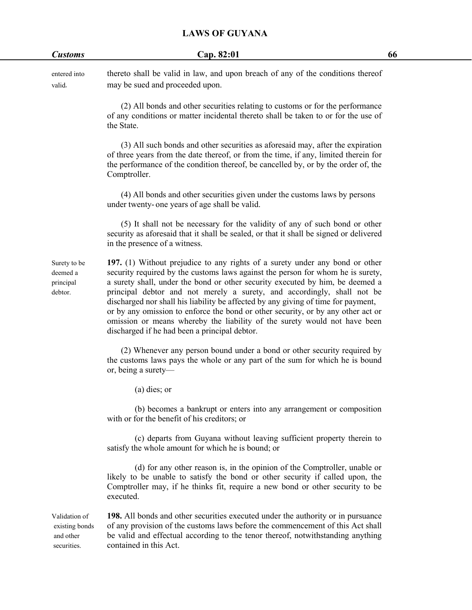| <b>Customs</b>                                              | Cap. 82:01                                                                                                                                                                                                                                                                                                                                                                                                                                                                                                                                                                                                                         | 66 |
|-------------------------------------------------------------|------------------------------------------------------------------------------------------------------------------------------------------------------------------------------------------------------------------------------------------------------------------------------------------------------------------------------------------------------------------------------------------------------------------------------------------------------------------------------------------------------------------------------------------------------------------------------------------------------------------------------------|----|
| entered into<br>valid.                                      | thereto shall be valid in law, and upon breach of any of the conditions thereof<br>may be sued and proceeded upon.                                                                                                                                                                                                                                                                                                                                                                                                                                                                                                                 |    |
|                                                             | (2) All bonds and other securities relating to customs or for the performance<br>of any conditions or matter incidental thereto shall be taken to or for the use of<br>the State.                                                                                                                                                                                                                                                                                                                                                                                                                                                  |    |
|                                                             | (3) All such bonds and other securities as aforesaid may, after the expiration<br>of three years from the date thereof, or from the time, if any, limited therein for<br>the performance of the condition thereof, be cancelled by, or by the order of, the<br>Comptroller.                                                                                                                                                                                                                                                                                                                                                        |    |
|                                                             | (4) All bonds and other securities given under the customs laws by persons<br>under twenty- one years of age shall be valid.                                                                                                                                                                                                                                                                                                                                                                                                                                                                                                       |    |
|                                                             | (5) It shall not be necessary for the validity of any of such bond or other<br>security as aforesaid that it shall be sealed, or that it shall be signed or delivered<br>in the presence of a witness.                                                                                                                                                                                                                                                                                                                                                                                                                             |    |
| Surety to be<br>deemed a<br>principal<br>debtor.            | 197. (1) Without prejudice to any rights of a surety under any bond or other<br>security required by the customs laws against the person for whom he is surety,<br>a surety shall, under the bond or other security executed by him, be deemed a<br>principal debtor and not merely a surety, and accordingly, shall not be<br>discharged nor shall his liability be affected by any giving of time for payment,<br>or by any omission to enforce the bond or other security, or by any other act or<br>omission or means whereby the liability of the surety would not have been<br>discharged if he had been a principal debtor. |    |
|                                                             | (2) Whenever any person bound under a bond or other security required by<br>the customs laws pays the whole or any part of the sum for which he is bound<br>or, being a surety-                                                                                                                                                                                                                                                                                                                                                                                                                                                    |    |
|                                                             | $(a)$ dies; or                                                                                                                                                                                                                                                                                                                                                                                                                                                                                                                                                                                                                     |    |
|                                                             | (b) becomes a bankrupt or enters into any arrangement or composition<br>with or for the benefit of his creditors; or                                                                                                                                                                                                                                                                                                                                                                                                                                                                                                               |    |
|                                                             | (c) departs from Guyana without leaving sufficient property therein to<br>satisfy the whole amount for which he is bound; or                                                                                                                                                                                                                                                                                                                                                                                                                                                                                                       |    |
|                                                             | (d) for any other reason is, in the opinion of the Comptroller, unable or<br>likely to be unable to satisfy the bond or other security if called upon, the<br>Comptroller may, if he thinks fit, require a new bond or other security to be<br>executed.                                                                                                                                                                                                                                                                                                                                                                           |    |
| Validation of<br>existing bonds<br>and other<br>securities. | 198. All bonds and other securities executed under the authority or in pursuance<br>of any provision of the customs laws before the commencement of this Act shall<br>be valid and effectual according to the tenor thereof, notwithstanding anything<br>contained in this Act.                                                                                                                                                                                                                                                                                                                                                    |    |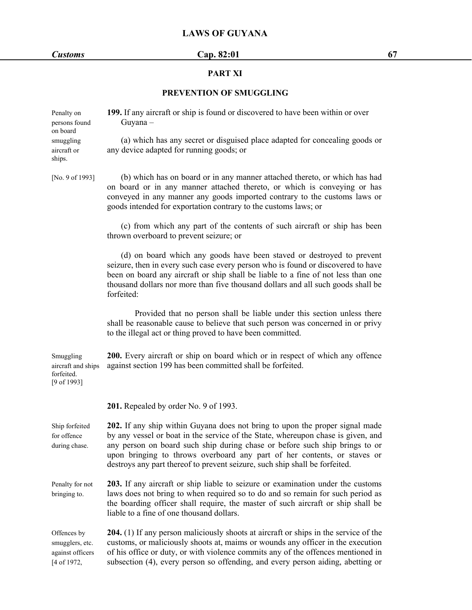# *Customs* **Cap. 82:01 67**

# **PART XI**

# **PREVENTION OF SMUGGLING**

| Penalty on<br>persons found<br>on board                           | <b>199.</b> If any aircraft or ship is found or discovered to have been within or over<br>Guyana-                                                                                                                                                                                                                                                                                                          |
|-------------------------------------------------------------------|------------------------------------------------------------------------------------------------------------------------------------------------------------------------------------------------------------------------------------------------------------------------------------------------------------------------------------------------------------------------------------------------------------|
| smuggling<br>aircraft or<br>ships.                                | (a) which has any secret or disguised place adapted for concealing goods or<br>any device adapted for running goods; or                                                                                                                                                                                                                                                                                    |
| [No. 9 of 1993]                                                   | (b) which has on board or in any manner attached thereto, or which has had<br>on board or in any manner attached thereto, or which is conveying or has<br>conveyed in any manner any goods imported contrary to the customs laws or<br>goods intended for exportation contrary to the customs laws; or                                                                                                     |
|                                                                   | (c) from which any part of the contents of such aircraft or ship has been<br>thrown overboard to prevent seizure; or                                                                                                                                                                                                                                                                                       |
|                                                                   | (d) on board which any goods have been staved or destroyed to prevent<br>seizure, then in every such case every person who is found or discovered to have<br>been on board any aircraft or ship shall be liable to a fine of not less than one<br>thousand dollars nor more than five thousand dollars and all such goods shall be<br>forfeited:                                                           |
|                                                                   | Provided that no person shall be liable under this section unless there<br>shall be reasonable cause to believe that such person was concerned in or privy<br>to the illegal act or thing proved to have been committed.                                                                                                                                                                                   |
| Smuggling<br>aircraft and ships<br>forfeited.<br>[9 of 1993]      | 200. Every aircraft or ship on board which or in respect of which any offence<br>against section 199 has been committed shall be forfeited.                                                                                                                                                                                                                                                                |
|                                                                   | 201. Repealed by order No. 9 of 1993.                                                                                                                                                                                                                                                                                                                                                                      |
| Ship forfeited<br>for offence<br>during chase.                    | 202. If any ship within Guyana does not bring to upon the proper signal made<br>by any vessel or boat in the service of the State, whereupon chase is given, and<br>any person on board such ship during chase or before such ship brings to or<br>upon bringing to throws overboard any part of her contents, or staves or<br>destroys any part thereof to prevent seizure, such ship shall be forfeited. |
| Penalty for not<br>bringing to.                                   | 203. If any aircraft or ship liable to seizure or examination under the customs<br>laws does not bring to when required so to do and so remain for such period as<br>the boarding officer shall require, the master of such aircraft or ship shall be<br>liable to a fine of one thousand dollars.                                                                                                         |
| Offences by<br>smugglers, etc.<br>against officers<br>[4 of 1972, | 204. (1) If any person maliciously shoots at aircraft or ships in the service of the<br>customs, or maliciously shoots at, maims or wounds any officer in the execution<br>of his office or duty, or with violence commits any of the offences mentioned in<br>subsection (4), every person so offending, and every person aiding, abetting or                                                             |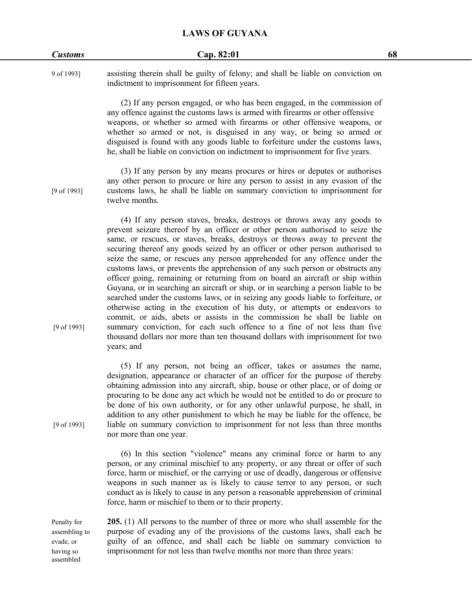| <b>Customs</b>                                                      | Cap. 82:01                                                                                                                                                                                                                                                                                                                                                                                                                                                                                                                                                                                                                                                                                                                                                                                                                                                                                                       | 68 |
|---------------------------------------------------------------------|------------------------------------------------------------------------------------------------------------------------------------------------------------------------------------------------------------------------------------------------------------------------------------------------------------------------------------------------------------------------------------------------------------------------------------------------------------------------------------------------------------------------------------------------------------------------------------------------------------------------------------------------------------------------------------------------------------------------------------------------------------------------------------------------------------------------------------------------------------------------------------------------------------------|----|
| 9 of 1993]                                                          | assisting therein shall be guilty of felony; and shall be liable on conviction on<br>indictment to imprisonment for fifteen years.                                                                                                                                                                                                                                                                                                                                                                                                                                                                                                                                                                                                                                                                                                                                                                               |    |
|                                                                     | (2) If any person engaged, or who has been engaged, in the commission of<br>any offence against the customs laws is armed with firearms or other offensive<br>weapons, or whether so armed with firearms or other offensive weapons, or<br>whether so armed or not, is disguised in any way, or being so armed or<br>disguised is found with any goods liable to forfeiture under the customs laws,<br>he, shall be liable on conviction on indictment to imprisonment for five years.                                                                                                                                                                                                                                                                                                                                                                                                                           |    |
| [9 of 1993]                                                         | (3) If any person by any means procures or hires or deputes or authorises<br>any other person to procure or hire any person to assist in any evasion of the<br>customs laws, he shall be liable on summary conviction to imprisonment for<br>twelve months.                                                                                                                                                                                                                                                                                                                                                                                                                                                                                                                                                                                                                                                      |    |
|                                                                     | (4) If any person staves, breaks, destroys or throws away any goods to<br>prevent seizure thereof by an officer or other person authorised to seize the<br>same, or rescues, or staves, breaks, destroys or throws away to prevent the<br>securing thereof any goods seized by an officer or other person authorised to<br>seize the same, or rescues any person apprehended for any offence under the<br>customs laws, or prevents the apprehension of any such person or obstructs any<br>officer going, remaining or returning from on board an aircraft or ship within<br>Guyana, or in searching an aircraft or ship, or in searching a person liable to be<br>searched under the customs laws, or in seizing any goods liable to forfeiture, or<br>otherwise acting in the execution of his duty, or attempts or endeavors to<br>commit, or aids, abets or assists in the commission he shall be liable on |    |
| [9 of 1993]                                                         | summary conviction, for each such offence to a fine of not less than five<br>thousand dollars nor more than ten thousand dollars with imprisonment for two<br>years; and                                                                                                                                                                                                                                                                                                                                                                                                                                                                                                                                                                                                                                                                                                                                         |    |
| [9 of 1993]                                                         | (5) If any person, not being an officer, takes or assumes the name,<br>designation, appearance or character of an officer for the purpose of thereby<br>obtaining admission into any aircraft, ship, house or other place, or of doing or<br>procuring to be done any act which he would not be entitled to do or procure to<br>be done of his own authority, or for any other unlawful purpose, he shall, in<br>addition to any other punishment to which he may be liable for the offence, be<br>liable on summary conviction to imprisonment for not less than three months<br>nor more than one year.                                                                                                                                                                                                                                                                                                        |    |
|                                                                     | (6) In this section "violence" means any criminal force or harm to any<br>person, or any criminal mischief to any property, or any threat or offer of such<br>force, harm or mischief, or the carrying or use of deadly, dangerous or offensive<br>weapons in such manner as is likely to cause terror to any person, or such<br>conduct as is likely to cause in any person a reasonable apprehension of criminal<br>force, harm or mischief to them or to their property.                                                                                                                                                                                                                                                                                                                                                                                                                                      |    |
| Penalty for<br>assembling to<br>evade, or<br>having so<br>assembled | <b>205.</b> (1) All persons to the number of three or more who shall assemble for the<br>purpose of evading any of the provisions of the customs laws, shall each be<br>guilty of an offence, and shall each be liable on summary conviction to<br>imprisonment for not less than twelve months nor more than three years:                                                                                                                                                                                                                                                                                                                                                                                                                                                                                                                                                                                       |    |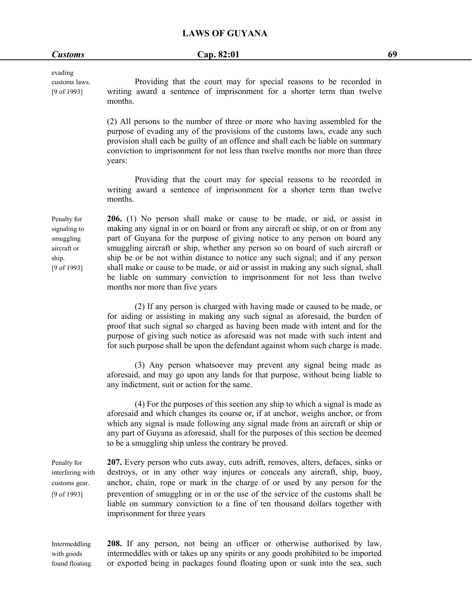| <b>Customs</b>                                                                  | Cap. 82:01                                                                                                                                                                                                                                                                                                                                                                                                                                                                                                                                                                                                        | 69 |
|---------------------------------------------------------------------------------|-------------------------------------------------------------------------------------------------------------------------------------------------------------------------------------------------------------------------------------------------------------------------------------------------------------------------------------------------------------------------------------------------------------------------------------------------------------------------------------------------------------------------------------------------------------------------------------------------------------------|----|
| evading<br>customs laws.<br>[9 of 1993]                                         | Providing that the court may for special reasons to be recorded in<br>writing award a sentence of imprisonment for a shorter term than twelve<br>months.                                                                                                                                                                                                                                                                                                                                                                                                                                                          |    |
|                                                                                 | (2) All persons to the number of three or more who having assembled for the<br>purpose of evading any of the provisions of the customs laws, evade any such<br>provision shall each be guilty of an offence and shall each be liable on summary<br>conviction to imprisonment for not less than twelve months nor more than three<br>years:                                                                                                                                                                                                                                                                       |    |
|                                                                                 | Providing that the court may for special reasons to be recorded in<br>writing award a sentence of imprisonment for a shorter term than twelve<br>months.                                                                                                                                                                                                                                                                                                                                                                                                                                                          |    |
| Penalty for<br>signaling to<br>smuggling<br>aircraft or<br>ship.<br>[9 of 1993] | 206. (1) No person shall make or cause to be made, or aid, or assist in<br>making any signal in or on board or from any aircraft or ship, or on or from any<br>part of Guyana for the purpose of giving notice to any person on board any<br>smuggling aircraft or ship, whether any person so on board of such aircraft or<br>ship be or be not within distance to notice any such signal; and if any person<br>shall make or cause to be made, or aid or assist in making any such signal, shall<br>be liable on summary conviction to imprisonment for not less than twelve<br>months nor more than five years |    |
|                                                                                 | (2) If any person is charged with having made or caused to be made, or<br>for aiding or assisting in making any such signal as aforesaid, the burden of<br>proof that such signal so charged as having been made with intent and for the<br>purpose of giving such notice as aforesaid was not made with such intent and<br>for such purpose shall be upon the defendant against whom such charge is made.                                                                                                                                                                                                        |    |
|                                                                                 | (3) Any person whatsoever may prevent any signal being made as<br>aforesaid, and may go upon any lands for that purpose, without being liable to<br>any indictment, suit or action for the same.                                                                                                                                                                                                                                                                                                                                                                                                                  |    |
|                                                                                 | (4) For the purposes of this section any ship to which a signal is made as<br>aforesaid and which changes its course or, if at anchor, weighs anchor, or from<br>which any signal is made following any signal made from an aircraft or ship or<br>any part of Guyana as aforesaid, shall for the purposes of this section be deemed<br>to be a smuggling ship unless the contrary be proved.                                                                                                                                                                                                                     |    |
| Penalty for<br>interfering with<br>customs gear.<br>$[9$ of 1993]               | 207. Every person who cuts away, cuts adrift, removes, alters, defaces, sinks or<br>destroys, or in any other way injures or conceals any aircraft, ship, buoy,<br>anchor, chain, rope or mark in the charge of or used by any person for the<br>prevention of smuggling or in or the use of the service of the customs shall be<br>liable on summary conviction to a fine of ten thousand dollars together with<br>imprisonment for three years                                                                                                                                                                  |    |
|                                                                                 |                                                                                                                                                                                                                                                                                                                                                                                                                                                                                                                                                                                                                   |    |

Intermeddling **208.** If any person, not being an officer or otherwise authorised by law, with goods intermeddles with or takes up any spirits or any goods prohibited to be imported found floating. or exported being in packages found floating upon or sunk into the sea, such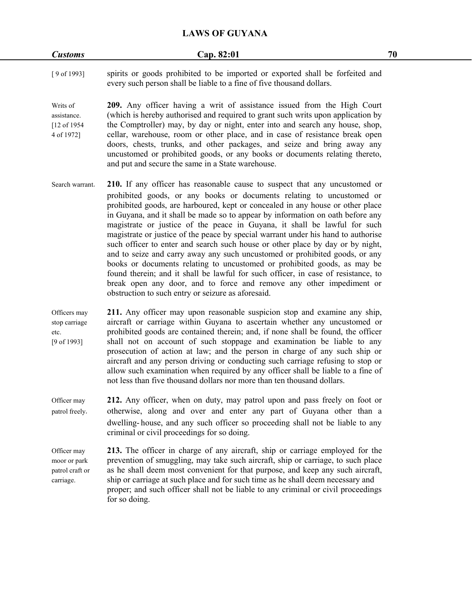| <b>Customs</b>                                              | Cap. 82:01                                                                                                                                                                                                                                                                                                                                                                                                                                                                                                                                                                                                                                                                                                                                                                                                                                                                                                                                                | 70 |
|-------------------------------------------------------------|-----------------------------------------------------------------------------------------------------------------------------------------------------------------------------------------------------------------------------------------------------------------------------------------------------------------------------------------------------------------------------------------------------------------------------------------------------------------------------------------------------------------------------------------------------------------------------------------------------------------------------------------------------------------------------------------------------------------------------------------------------------------------------------------------------------------------------------------------------------------------------------------------------------------------------------------------------------|----|
| [9 of 1993]                                                 | spirits or goods prohibited to be imported or exported shall be forfeited and<br>every such person shall be liable to a fine of five thousand dollars.                                                                                                                                                                                                                                                                                                                                                                                                                                                                                                                                                                                                                                                                                                                                                                                                    |    |
| Writs of<br>assistance.<br>[12 of 1954]<br>4 of 1972]       | 209. Any officer having a writ of assistance issued from the High Court<br>(which is hereby authorised and required to grant such writs upon application by<br>the Comptroller) may, by day or night, enter into and search any house, shop,<br>cellar, warehouse, room or other place, and in case of resistance break open<br>doors, chests, trunks, and other packages, and seize and bring away any<br>uncustomed or prohibited goods, or any books or documents relating thereto,<br>and put and secure the same in a State warehouse.                                                                                                                                                                                                                                                                                                                                                                                                               |    |
| Search warrant.                                             | 210. If any officer has reasonable cause to suspect that any uncustomed or<br>prohibited goods, or any books or documents relating to uncustomed or<br>prohibited goods, are harboured, kept or concealed in any house or other place<br>in Guyana, and it shall be made so to appear by information on oath before any<br>magistrate or justice of the peace in Guyana, it shall be lawful for such<br>magistrate or justice of the peace by special warrant under his hand to authorise<br>such officer to enter and search such house or other place by day or by night,<br>and to seize and carry away any such uncustomed or prohibited goods, or any<br>books or documents relating to uncustomed or prohibited goods, as may be<br>found therein; and it shall be lawful for such officer, in case of resistance, to<br>break open any door, and to force and remove any other impediment or<br>obstruction to such entry or seizure as aforesaid. |    |
| Officers may<br>stop carriage<br>etc.<br>[9 of 1993]        | 211. Any officer may upon reasonable suspicion stop and examine any ship,<br>aircraft or carriage within Guyana to ascertain whether any uncustomed or<br>prohibited goods are contained therein; and, if none shall be found, the officer<br>shall not on account of such stoppage and examination be liable to any<br>prosecution of action at law; and the person in charge of any such ship or<br>aircraft and any person driving or conducting such carriage refusing to stop or<br>allow such examination when required by any officer shall be liable to a fine of<br>not less than five thousand dollars nor more than ten thousand dollars.                                                                                                                                                                                                                                                                                                      |    |
| Officer may<br>patrol freely.                               | 212. Any officer, when on duty, may patrol upon and pass freely on foot or<br>otherwise, along and over and enter any part of Guyana other than a<br>dwelling-house, and any such officer so proceeding shall not be liable to any<br>criminal or civil proceedings for so doing.                                                                                                                                                                                                                                                                                                                                                                                                                                                                                                                                                                                                                                                                         |    |
| Officer may<br>moor or park<br>patrol craft or<br>carriage. | 213. The officer in charge of any aircraft, ship or carriage employed for the<br>prevention of smuggling, may take such aircraft, ship or carriage, to such place<br>as he shall deem most convenient for that purpose, and keep any such aircraft,<br>ship or carriage at such place and for such time as he shall deem necessary and<br>proper; and such officer shall not be liable to any criminal or civil proceedings<br>for so doing.                                                                                                                                                                                                                                                                                                                                                                                                                                                                                                              |    |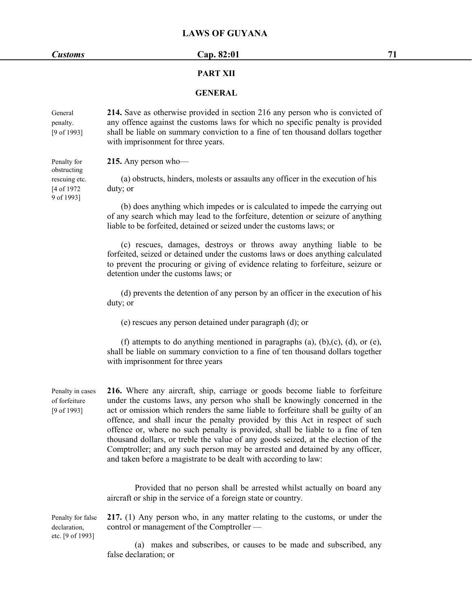# *Customs* **Cap. 82:01 71**

# **PART XII**

## **GENERAL**

General **214.** Save as otherwise provided in section 216 any person who is convicted of penalty. any offence against the customs laws for which no specific penalty is provided [9 of 1993] shall be liable on summary conviction to a fine of ten thousand dollars together with imprisonment for three years.

Penalty for **215.** Any person who obstructing [4 of 1972 duty; or

9 of 1993]

rescuing etc. (a) obstructs, hinders, molests orassaults any officer in the execution of his

(b) does anything which impedes or is calculated to impede the carrying out of any search which may lead to the forfeiture, detention or seizure of anything liable to be forfeited, detained or seized under the customs laws; or

(c) rescues, damages, destroys or throws away anything liable to be forfeited, seized or detained under the customs laws or does anything calculated to prevent the procuring or giving of evidence relating to forfeiture, seizure or detention under the customs laws; or

(d) prevents the detention of any person by an officer in the execution of his duty; or

(e) rescues any person detained under paragraph (d); or

(f) attempts to do anything mentioned in paragraphs  $(a)$ ,  $(b)$ , $(c)$ ,  $(d)$ , or  $(e)$ , shall be liable on summary conviction to a fine of ten thousand dollars together with imprisonment for three years

Penalty in cases **216.** Where any aircraft, ship, carriage or goods become liable to forfeiture of forfeiture under the customs laws, any person who shall be knowingly concerned in the [9 of 1993] act or omission which renders the same liable to forfeiture shall be guilty of an offence, and shall incur the penalty provided by this Act in respect of such offence or, where no such penalty is provided, shall be liable to a fine of ten thousand dollars, or treble the value of any goods seized, at the election of the Comptroller; and any such person may be arrested and detained by any officer, and taken before a magistrate to be dealt with according to law:

> Provided that no person shall be arrested whilst actually on board any aircraft or ship in the service of a foreign state or country.

Penalty for false **217.** (1) Any person who, in any matter relating to the customs, or under the declaration, control or management of the Comptroller etc. [9 of 1993]

> (a) makes and subscribes, or causes to be made and subscribed, any false declaration; or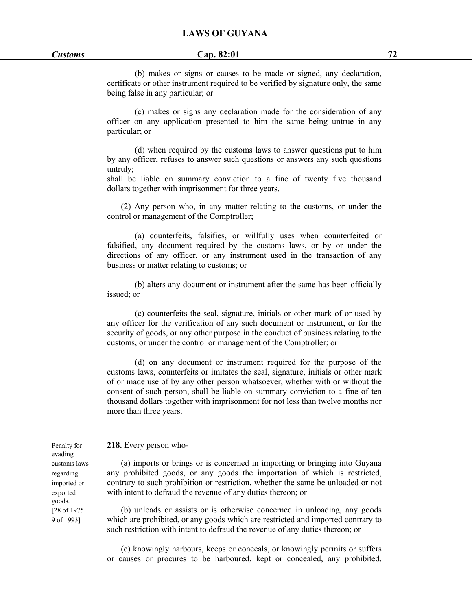(b) makes or signs or causes to be made or signed, any declaration, certificate or other instrument required to be verified by signature only, the same being false in any particular; or

(c) makes or signs any declaration made for the consideration of any officer on any application presented to him the same being untrue in any particular; or

(d) when required by the customs laws to answer questions put to him by any officer, refuses to answer such questions or answers any such questions untruly;

shall be liable on summary conviction to a fine of twenty five thousand dollars together with imprisonment for three years.

(2) Any person who, in any matter relating to the customs, or under the control or management of the Comptroller;

(a) counterfeits, falsifies, or willfully uses when counterfeited or falsified, any document required by the customs laws, or by or under the directions of any officer, or any instrument used in the transaction of any business or matter relating to customs; or

(b) alters any document or instrument after the same has been officially issued; or

(c) counterfeits the seal, signature, initials or other mark of or used by any officer for the verification of any such document or instrument, or for the security of goods, or any other purpose in the conduct of business relating to the customs, or under the control or management of the Comptroller; or

(d) on any document or instrument required for the purpose of the customs laws, counterfeits or imitates the seal, signature, initials or other mark of or made use of by any other person whatsoever, whether with or without the consent of such person, shall be liable on summary conviction to a fine of ten thousand dollars together with imprisonment for not less than twelve months nor more than three years.

Penalty for **218.** Every person who-

customs laws (a) imports or brings or is concerned in importing or bringing into Guyana regarding any prohibited goods, or any goods the importation of which is restricted, imported or contrary to such prohibition or restriction, whether the same be unloaded or not exported with intent to defraud the revenue of any duties thereon; or

[28 of 1975 (b) unloads or assists or is otherwise concerned in unloading, any goods 9 of 1993] which are prohibited, or any goods which are restricted and imported contrary to such restriction with intent to defraud the revenue of any duties thereon; or

> (c) knowingly harbours, keeps or conceals, or knowingly permits or suffers or causes or procures to be harboured, kept or concealed, any prohibited,

evading goods.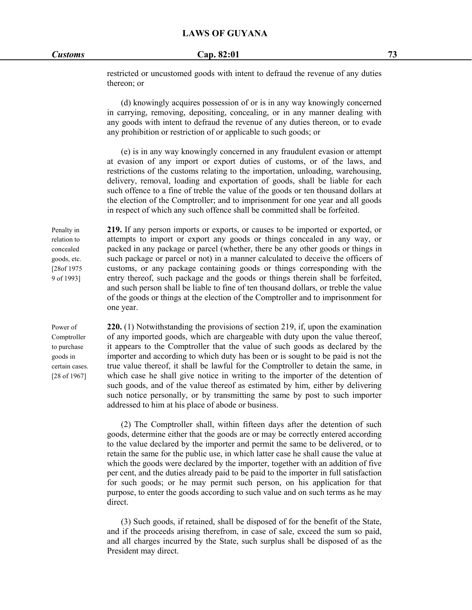thereon; or

restricted or uncustomed goods with intent to defraud the revenue of any duties

(d) knowingly acquires possession of or is in any way knowingly concerned in carrying, removing, depositing, concealing, or in any manner dealing with any goods with intent to defraud the revenue of any duties thereon, or to evade any prohibition or restriction of or applicable to such goods; or

(e) is in any way knowingly concerned in any fraudulent evasion or attempt at evasion of any import or export duties of customs, or of the laws, and restrictions of the customs relating to the importation, unloading, warehousing, delivery, removal, loading and exportation of goods, shall be liable for each such offence to a fine of treble the value of the goods or ten thousand dollars at the election of the Comptroller; and to imprisonment for one year and all goods in respect of which any such offence shall be committed shall be forfeited.

Penalty in **219.** If any person imports or exports, or causes to be imported or exported, or relation to attempts to import or export any goods or things concealed in any way, or concealed packed in any package or parcel (whether, there be any other goods orthings in goods, etc. such package or parcel or not) in a manner calculated to deceive the officers of [28of 1975 customs, or any package containing goods or things corresponding with the 9 of 1993] entry thereof, such package and the goods or things therein shall be forfeited, and such person shall be liable to fine of ten thousand dollars, or treble the value of the goods or things at the election of the Comptroller and to imprisonment for one year.

Power of **220.** (1) Notwithstanding the provisions of section 219, if, upon the examination Comptroller of any imported goods, which are chargeable with duty upon the value thereof, to purchase it appears to the Comptroller that the value of such goods as declared by the goods in importer and according to which duty has been or issought to be paid is not the certain cases. true value thereof, it shall be lawful for the Comptroller to detain the same, in [28 of 1967] which case he shall give notice in writing to the importer of the detention of such goods, and of the value thereof as estimated by him, either by delivering such notice personally, or by transmitting the same by post to such importer addressed to him at his place of abode or business.

> (2) The Comptroller shall, within fifteen days after the detention of such goods, determine either that the goods are or may be correctly entered according to the value declared by the importer and permit the same to be delivered, or to retain the same for the public use, in which latter case he shall cause the value at which the goods were declared by the importer, together with an addition of five per cent, and the duties already paid to be paid to the importer in full satisfaction for such goods; or he may permit such person, on his application for that purpose, to enter the goods according to such value and on such terms as he may direct.

> (3) Such goods, if retained, shall be disposed of for the benefit of the State, and if the proceeds arising therefrom, in case of sale, exceed the sum so paid, and all charges incurred by the State, such surplus shall be disposed of as the President may direct.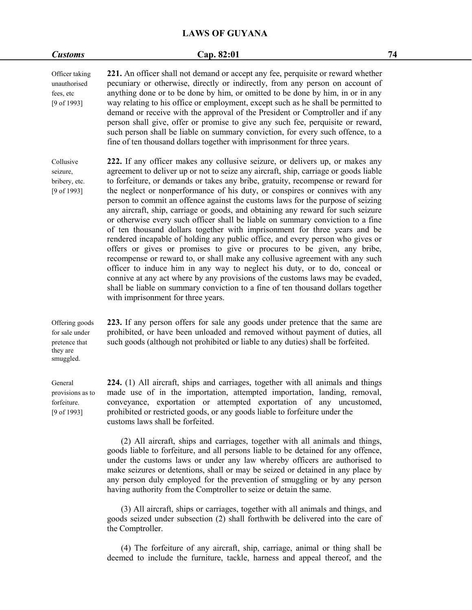| <b>Customs</b>                                                             | Cap. 82:01                                                                                                                                                                                                                                                                                                                                                                                                                                                                                                                                                                                                                                                                                                                                                                                                                                                                                                                                                                                                                                                                                                                                                                                                             | 74 |
|----------------------------------------------------------------------------|------------------------------------------------------------------------------------------------------------------------------------------------------------------------------------------------------------------------------------------------------------------------------------------------------------------------------------------------------------------------------------------------------------------------------------------------------------------------------------------------------------------------------------------------------------------------------------------------------------------------------------------------------------------------------------------------------------------------------------------------------------------------------------------------------------------------------------------------------------------------------------------------------------------------------------------------------------------------------------------------------------------------------------------------------------------------------------------------------------------------------------------------------------------------------------------------------------------------|----|
| Officer taking<br>unauthorised<br>fees, etc<br>$[9$ of 1993]               | 221. An officer shall not demand or accept any fee, perquisite or reward whether<br>pecuniary or otherwise, directly or indirectly, from any person on account of<br>anything done or to be done by him, or omitted to be done by him, in or in any<br>way relating to his office or employment, except such as he shall be permitted to<br>demand or receive with the approval of the President or Comptroller and if any<br>person shall give, offer or promise to give any such fee, perquisite or reward,<br>such person shall be liable on summary conviction, for every such offence, to a<br>fine of ten thousand dollars together with imprisonment for three years.                                                                                                                                                                                                                                                                                                                                                                                                                                                                                                                                           |    |
| Collusive<br>seizure,<br>bribery, etc.<br>$[9 \text{ of } 1993]$           | 222. If any officer makes any collusive seizure, or delivers up, or makes any<br>agreement to deliver up or not to seize any aircraft, ship, carriage or goods liable<br>to forfeiture, or demands or takes any bribe, gratuity, recompense or reward for<br>the neglect or nonperformance of his duty, or conspires or connives with any<br>person to commit an offence against the customs laws for the purpose of seizing<br>any aircraft, ship, carriage or goods, and obtaining any reward for such seizure<br>or otherwise every such officer shall be liable on summary conviction to a fine<br>of ten thousand dollars together with imprisonment for three years and be<br>rendered incapable of holding any public office, and every person who gives or<br>offers or gives or promises to give or procures to be given, any bribe,<br>recompense or reward to, or shall make any collusive agreement with any such<br>officer to induce him in any way to neglect his duty, or to do, conceal or<br>connive at any act where by any provisions of the customs laws may be evaded,<br>shall be liable on summary conviction to a fine of ten thousand dollars together<br>with imprisonment for three years. |    |
| Offering goods<br>for sale under<br>pretence that<br>they are<br>smuggled. | 223. If any person offers for sale any goods under pretence that the same are<br>prohibited, or have been unloaded and removed without payment of duties, all<br>such goods (although not prohibited or liable to any duties) shall be forfeited.                                                                                                                                                                                                                                                                                                                                                                                                                                                                                                                                                                                                                                                                                                                                                                                                                                                                                                                                                                      |    |
| General<br>provisions as to<br>forfeiture.<br>[9 of 1993]                  | 224. (1) All aircraft, ships and carriages, together with all animals and things<br>made use of in the importation, attempted importation, landing, removal,<br>conveyance, exportation or attempted exportation of any uncustomed,<br>prohibited or restricted goods, or any goods liable to forfeiture under the<br>customs laws shall be forfeited.                                                                                                                                                                                                                                                                                                                                                                                                                                                                                                                                                                                                                                                                                                                                                                                                                                                                 |    |
|                                                                            | (2) All aircraft, ships and carriages, together with all animals and things,<br>goods liable to forfeiture, and all persons liable to be detained for any offence,<br>under the customs laws or under any law whereby officers are authorised to<br>make seizures or detentions, shall or may be seized or detained in any place by<br>any person duly employed for the prevention of smuggling or by any person<br>having authority from the Comptroller to seize or detain the same.                                                                                                                                                                                                                                                                                                                                                                                                                                                                                                                                                                                                                                                                                                                                 |    |
|                                                                            | (3) All aircraft, ships or carriages, together with all animals and things, and<br>goods seized under subsection (2) shall forthwith be delivered into the care of                                                                                                                                                                                                                                                                                                                                                                                                                                                                                                                                                                                                                                                                                                                                                                                                                                                                                                                                                                                                                                                     |    |

(4) The forfeiture of any aircraft, ship, carriage, animal or thing shall be deemed to include the furniture, tackle, harness and appeal thereof, and the

the Comptroller.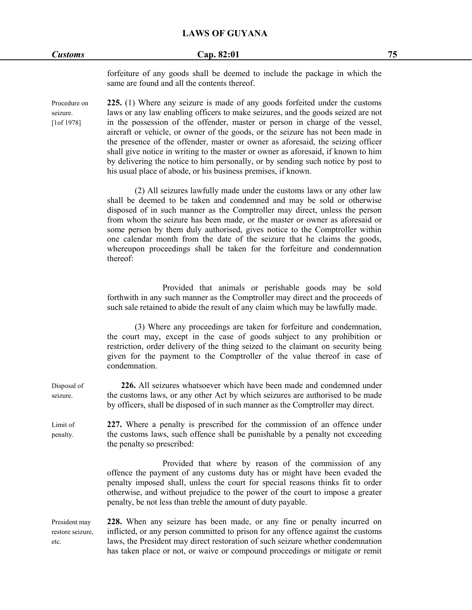forfeiture of any goods shall be deemed to include the package in which the same are found and all the contents thereof.

Procedure on **225.** (1) Where any seizure ismade of any goods forfeited under the customs seizure. laws orany law enabling officers to make seizures, and the goods seized are not [1of 1978] in the possession of the offender, master or person in charge of the vessel, aircraft or vehicle, or owner of the goods, or the seizure has not been made in the presence of the offender, master or owner as aforesaid, the seizing officer shall give notice in writing to the master or owner as aforesaid, if known to him by delivering the notice to him personally, or by sending such notice by post to his usual place of abode, or his business premises, if known.

> (2) All seizures lawfully made under the customs laws or any other law shall be deemed to be taken and condemned and may be sold or otherwise disposed of in such manner as the Comptroller may direct, unless the person from whom the seizure has been made, or the master or owner as aforesaid or some person by them duly authorised, gives notice to the Comptroller within one calendar month from the date of the seizure that he claims the goods, whereupon proceedings shall be taken for the forfeiture and condemnation thereof:

> Provided that animals or perishable goods may be sold forthwith in any such manner as the Comptroller may direct and the proceeds of such sale retained to abide the result of any claim which may be lawfully made.

> (3) Where any proceedings are taken for forfeiture and condemnation, the court may, except in the case of goods subject to any prohibition or restriction, order delivery of the thing seized to the claimant on security being given for the payment to the Comptroller of the value thereof in case of condemnation.

Disposal of **226.** All seizures whatsoever which have been made and condemned under seizure. the customs laws, or any other Act by which seizures are authorised to be made by officers, shall be disposed of in such manner as the Comptroller may direct.

Limit of **227.** Where a penalty is prescribed for the commission of an offence under penalty. the customs laws, such offence shall be punishable by a penalty not exceeding the penalty so prescribed:

> Provided that where by reason of the commission of any offence the payment of any customs duty has or might have been evaded the penalty imposed shall, unless the court for special reasons thinks fit to order otherwise, and without prejudice to the power of the court to impose a greater penalty, be not less than treble the amount of duty payable.

President may **228.** When any seizure has been made, or any fine or penalty incurred on restore seizure, inflicted, or any person committed to prison for any offence against the customs etc. laws, the President may direct restoration of such seizure whether condemnation has taken place or not, or waive or compound proceedings or mitigate or remit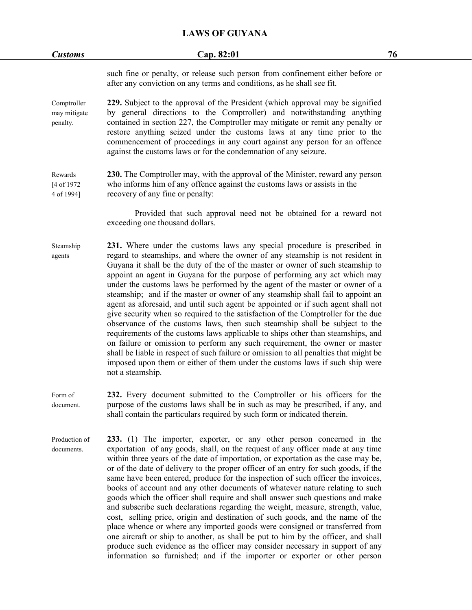| <b>Customs</b>                          | Cap. 82:01                                                                                                                                                                                                                                                                                                                                                                                                                                                                                                                                                                                                                                                                                                                                                                                                                                                                                                                                                                                                                                                                                                          | 76 |
|-----------------------------------------|---------------------------------------------------------------------------------------------------------------------------------------------------------------------------------------------------------------------------------------------------------------------------------------------------------------------------------------------------------------------------------------------------------------------------------------------------------------------------------------------------------------------------------------------------------------------------------------------------------------------------------------------------------------------------------------------------------------------------------------------------------------------------------------------------------------------------------------------------------------------------------------------------------------------------------------------------------------------------------------------------------------------------------------------------------------------------------------------------------------------|----|
|                                         | such fine or penalty, or release such person from confinement either before or<br>after any conviction on any terms and conditions, as he shall see fit.                                                                                                                                                                                                                                                                                                                                                                                                                                                                                                                                                                                                                                                                                                                                                                                                                                                                                                                                                            |    |
| Comptroller<br>may mitigate<br>penalty. | 229. Subject to the approval of the President (which approval may be signified<br>by general directions to the Comptroller) and notwithstanding anything<br>contained in section 227, the Comptroller may mitigate or remit any penalty or<br>restore anything seized under the customs laws at any time prior to the<br>commencement of proceedings in any court against any person for an offence<br>against the customs laws or for the condemnation of any seizure.                                                                                                                                                                                                                                                                                                                                                                                                                                                                                                                                                                                                                                             |    |
| Rewards<br>[4 of 1972]<br>4 of 1994]    | 230. The Comptroller may, with the approval of the Minister, reward any person<br>who informs him of any offence against the customs laws or assists in the<br>recovery of any fine or penalty:                                                                                                                                                                                                                                                                                                                                                                                                                                                                                                                                                                                                                                                                                                                                                                                                                                                                                                                     |    |
|                                         | Provided that such approval need not be obtained for a reward not<br>exceeding one thousand dollars.                                                                                                                                                                                                                                                                                                                                                                                                                                                                                                                                                                                                                                                                                                                                                                                                                                                                                                                                                                                                                |    |
| Steamship<br>agents                     | 231. Where under the customs laws any special procedure is prescribed in<br>regard to steamships, and where the owner of any steamship is not resident in<br>Guyana it shall be the duty of the of the master or owner of such steamship to<br>appoint an agent in Guyana for the purpose of performing any act which may<br>under the customs laws be performed by the agent of the master or owner of a<br>steamship; and if the master or owner of any steamship shall fail to appoint an<br>agent as aforesaid, and until such agent be appointed or if such agent shall not<br>give security when so required to the satisfaction of the Comptroller for the due<br>observance of the customs laws, then such steamship shall be subject to the<br>requirements of the customs laws applicable to ships other than steamships, and<br>on failure or omission to perform any such requirement, the owner or master<br>shall be liable in respect of such failure or omission to all penalties that might be<br>imposed upon them or either of them under the customs laws if such ship were<br>not a steamship. |    |
| Form of<br>document.                    | 232. Every document submitted to the Comptroller or his officers for the<br>purpose of the customs laws shall be in such as may be prescribed, if any, and<br>shall contain the particulars required by such form or indicated therein.                                                                                                                                                                                                                                                                                                                                                                                                                                                                                                                                                                                                                                                                                                                                                                                                                                                                             |    |
| Production of<br>documents.             | 233. (1) The importer, exporter, or any other person concerned in the<br>exportation of any goods, shall, on the request of any officer made at any time<br>within three years of the date of importation, or exportation as the case may be,<br>or of the date of delivery to the proper officer of an entry for such goods, if the<br>same have been entered, produce for the inspection of such officer the invoices,<br>books of account and any other documents of whatever nature relating to such<br>goods which the officer shall require and shall answer such questions and make<br>and subscribe such declarations regarding the weight, measure, strength, value,<br>cost, selling price, origin and destination of such goods, and the name of the<br>place whence or where any imported goods were consigned or transferred from<br>one aircraft or ship to another, as shall be put to him by the officer, and shall<br>produce such evidence as the officer may consider necessary in support of any<br>information so furnished; and if the importer or exporter or other person                   |    |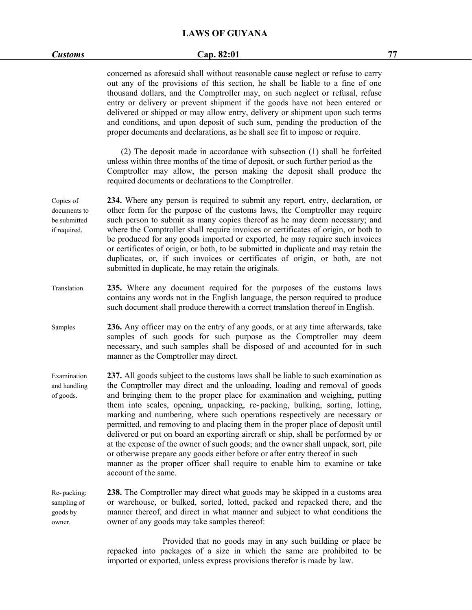| <b>Customs</b>                                            | Cap. 82:01                                                                                                                                                                                                                                                                                                                                                                                                                                                                                                                                                                                                                                                                                                                                                                                                                                                       | 77 |
|-----------------------------------------------------------|------------------------------------------------------------------------------------------------------------------------------------------------------------------------------------------------------------------------------------------------------------------------------------------------------------------------------------------------------------------------------------------------------------------------------------------------------------------------------------------------------------------------------------------------------------------------------------------------------------------------------------------------------------------------------------------------------------------------------------------------------------------------------------------------------------------------------------------------------------------|----|
|                                                           | concerned as aforesaid shall without reasonable cause neglect or refuse to carry<br>out any of the provisions of this section, he shall be liable to a fine of one<br>thousand dollars, and the Comptroller may, on such neglect or refusal, refuse<br>entry or delivery or prevent shipment if the goods have not been entered or<br>delivered or shipped or may allow entry, delivery or shipment upon such terms<br>and conditions, and upon deposit of such sum, pending the production of the<br>proper documents and declarations, as he shall see fit to impose or require.                                                                                                                                                                                                                                                                               |    |
|                                                           | (2) The deposit made in accordance with subsection (1) shall be forfeited<br>unless within three months of the time of deposit, or such further period as the<br>Comptroller may allow, the person making the deposit shall produce the<br>required documents or declarations to the Comptroller.                                                                                                                                                                                                                                                                                                                                                                                                                                                                                                                                                                |    |
| Copies of<br>documents to<br>be submitted<br>if required. | 234. Where any person is required to submit any report, entry, declaration, or<br>other form for the purpose of the customs laws, the Comptroller may require<br>such person to submit as many copies thereof as he may deem necessary; and<br>where the Comptroller shall require invoices or certificates of origin, or both to<br>be produced for any goods imported or exported, he may require such invoices<br>or certificates of origin, or both, to be submitted in duplicate and may retain the<br>duplicates, or, if such invoices or certificates of origin, or both, are not<br>submitted in duplicate, he may retain the originals.                                                                                                                                                                                                                 |    |
| Translation                                               | 235. Where any document required for the purposes of the customs laws<br>contains any words not in the English language, the person required to produce<br>such document shall produce therewith a correct translation thereof in English.                                                                                                                                                                                                                                                                                                                                                                                                                                                                                                                                                                                                                       |    |
| Samples                                                   | 236. Any officer may on the entry of any goods, or at any time afterwards, take<br>samples of such goods for such purpose as the Comptroller may deem<br>necessary, and such samples shall be disposed of and accounted for in such<br>manner as the Comptroller may direct.                                                                                                                                                                                                                                                                                                                                                                                                                                                                                                                                                                                     |    |
| Examination<br>and handling<br>of goods.                  | 237. All goods subject to the customs laws shall be liable to such examination as<br>the Comptroller may direct and the unloading, loading and removal of goods<br>and bringing them to the proper place for examination and weighing, putting<br>them into scales, opening, unpacking, re-packing, bulking, sorting, lotting,<br>marking and numbering, where such operations respectively are necessary or<br>permitted, and removing to and placing them in the proper place of deposit until<br>delivered or put on board an exporting aircraft or ship, shall be performed by or<br>at the expense of the owner of such goods; and the owner shall unpack, sort, pile<br>or otherwise prepare any goods either before or after entry thereof in such<br>manner as the proper officer shall require to enable him to examine or take<br>account of the same. |    |
| Re-packing:<br>sampling of<br>goods by<br>owner.          | 238. The Comptroller may direct what goods may be skipped in a customs area<br>or warehouse, or bulked, sorted, lotted, packed and repacked there, and the<br>manner thereof, and direct in what manner and subject to what conditions the<br>owner of any goods may take samples thereof:                                                                                                                                                                                                                                                                                                                                                                                                                                                                                                                                                                       |    |
|                                                           |                                                                                                                                                                                                                                                                                                                                                                                                                                                                                                                                                                                                                                                                                                                                                                                                                                                                  |    |

Provided that no goods may in any such building or place be repacked into packages of a size in which the same are prohibited to be imported or exported, unless express provisions therefor is made by law.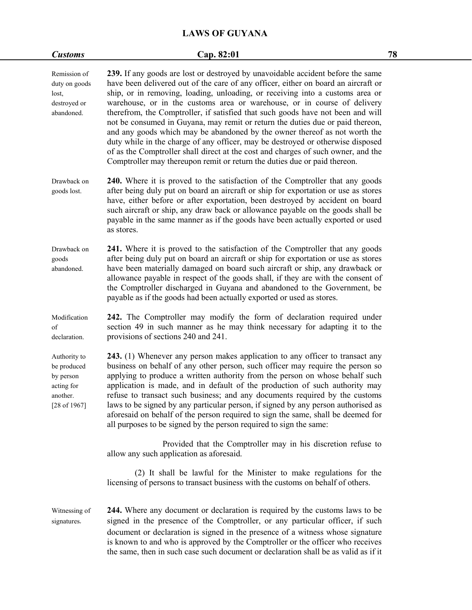| <b>Customs</b>                                                                     | Cap. 82:01                                                                                                                                                                                                                                                                                                                                                                                                                                                                                                                                                                                                                                                                                                                                                                                                                                 | 78 |
|------------------------------------------------------------------------------------|--------------------------------------------------------------------------------------------------------------------------------------------------------------------------------------------------------------------------------------------------------------------------------------------------------------------------------------------------------------------------------------------------------------------------------------------------------------------------------------------------------------------------------------------------------------------------------------------------------------------------------------------------------------------------------------------------------------------------------------------------------------------------------------------------------------------------------------------|----|
| Remission of<br>duty on goods<br>lost,<br>destroyed or<br>abandoned.               | 239. If any goods are lost or destroyed by unavoidable accident before the same<br>have been delivered out of the care of any officer, either on board an aircraft or<br>ship, or in removing, loading, unloading, or receiving into a customs area or<br>warehouse, or in the customs area or warehouse, or in course of delivery<br>therefrom, the Comptroller, if satisfied that such goods have not been and will<br>not be consumed in Guyana, may remit or return the duties due or paid thereon,<br>and any goods which may be abandoned by the owner thereof as not worth the<br>duty while in the charge of any officer, may be destroyed or otherwise disposed<br>of as the Comptroller shall direct at the cost and charges of such owner, and the<br>Comptroller may thereupon remit or return the duties due or paid thereon. |    |
| Drawback on<br>goods lost.                                                         | 240. Where it is proved to the satisfaction of the Comptroller that any goods<br>after being duly put on board an aircraft or ship for exportation or use as stores<br>have, either before or after exportation, been destroyed by accident on board<br>such aircraft or ship, any draw back or allowance payable on the goods shall be<br>payable in the same manner as if the goods have been actually exported or used<br>as stores.                                                                                                                                                                                                                                                                                                                                                                                                    |    |
| Drawback on<br>goods<br>abandoned.                                                 | 241. Where it is proved to the satisfaction of the Comptroller that any goods<br>after being duly put on board an aircraft or ship for exportation or use as stores<br>have been materially damaged on board such aircraft or ship, any drawback or<br>allowance payable in respect of the goods shall, if they are with the consent of<br>the Comptroller discharged in Guyana and abandoned to the Government, be<br>payable as if the goods had been actually exported or used as stores.                                                                                                                                                                                                                                                                                                                                               |    |
| Modification<br>οf<br>declaration.                                                 | 242. The Comptroller may modify the form of declaration required under<br>section 49 in such manner as he may think necessary for adapting it to the<br>provisions of sections 240 and 241.                                                                                                                                                                                                                                                                                                                                                                                                                                                                                                                                                                                                                                                |    |
| Authority to<br>be produced<br>by person<br>acting for<br>another.<br>[28 of 1967] | 243. (1) Whenever any person makes application to any officer to transact any<br>business on behalf of any other person, such officer may require the person so<br>applying to produce a written authority from the person on whose behalf such<br>application is made, and in default of the production of such authority may<br>refuse to transact such business; and any documents required by the customs<br>laws to be signed by any particular person, if signed by any person authorised as<br>aforesaid on behalf of the person required to sign the same, shall be deemed for<br>all purposes to be signed by the person required to sign the same:                                                                                                                                                                               |    |
|                                                                                    | Provided that the Comptroller may in his discretion refuse to<br>allow any such application as aforesaid.                                                                                                                                                                                                                                                                                                                                                                                                                                                                                                                                                                                                                                                                                                                                  |    |
|                                                                                    | (2) It shall be lawful for the Minister to make regulations for the<br>licensing of persons to transact business with the customs on behalf of others.                                                                                                                                                                                                                                                                                                                                                                                                                                                                                                                                                                                                                                                                                     |    |
| Witnessing of<br>signatures.                                                       | 244. Where any document or declaration is required by the customs laws to be<br>signed in the presence of the Comptroller, or any particular officer, if such<br>document or declaration is signed in the presence of a witness whose signature<br>is known to and who is approved by the Comptroller or the officer who receives<br>the same, then in such case such document or declaration shall be as valid as if it                                                                                                                                                                                                                                                                                                                                                                                                                   |    |

*Customs* **Cap. 82:01 78**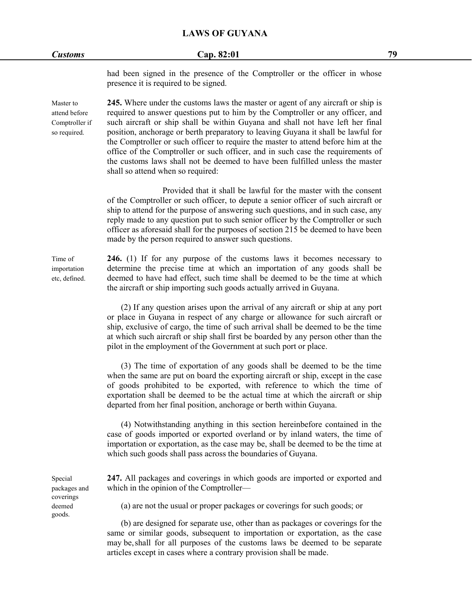### *Customs* **Cap. 82:01 79**

had been signed in the presence of the Comptroller or the officer in whose presence it is required to be signed.

Master to **245.** Where under the customs laws the master or agent of any aircraft or ship is attend before required to answerquestions put to him by the Comptroller or any officer, and Comptroller if such aircraft or ship shall be within Guyana and shall not have left her final so required. position, anchorage or berth preparatory to leaving Guyana it shall be lawful for the Comptroller or such officer to require the master to attend before him at the office of the Comptroller or such officer, and in such case the requirements of the customs laws shall not be deemed to have been fulfilled unless the master shall so attend when so required:

> Provided that it shall be lawful for the master with the consent of the Comptroller or such officer, to depute a senior officer of such aircraft or ship to attend for the purpose of answering such questions, and in such case, any reply made to any question put to such senior officer by the Comptroller or such officer as aforesaid shall for the purposes of section 215 be deemed to have been made by the person required to answer such questions.

Time of **246.** (1) If for any purpose of the customs laws it becomes necessary to importation determine the precise time at which an importation of any goods shall be etc, defined. deemed to have had effect, such time shall be deemed to be the time atwhich the aircraft or ship importing such goods actually arrived in Guyana.

> (2) If any question arises upon the arrival of any aircraft or ship at any port or place in Guyana in respect of any charge or allowance for such aircraft or ship, exclusive of cargo, the time of such arrival shall be deemed to be the time at which such aircraft or ship shall first be boarded by any person other than the pilot in the employment of the Government at such port or place.

> (3) The time of exportation of any goods shall be deemed to be the time when the same are put on board the exporting aircraft or ship, except in the case of goods prohibited to be exported, with reference to which the time of exportation shall be deemed to be the actual time at which the aircraft or ship departed from her final position, anchorage or berth within Guyana.

> (4) Notwithstanding anything in this section hereinbefore contained in the case of goods imported or exported overland or by inland waters, the time of importation or exportation, as the case may be, shall be deemed to be the time at which such goods shall pass across the boundaries of Guyana.

Special **247.** All packages and coverings in which goods are imported or exported and packages and which in the opinion of the Comptroller—

deemed (a) are not the usual or proper packages or coverings for such goods; or

(b) are designed for separate use, other than as packages or coverings for the same or similar goods, subsequent to importation or exportation, as the case may be,shall for all purposes of the customs laws be deemed to be separate articles except in cases where a contrary provision shall be made.

coverings goods.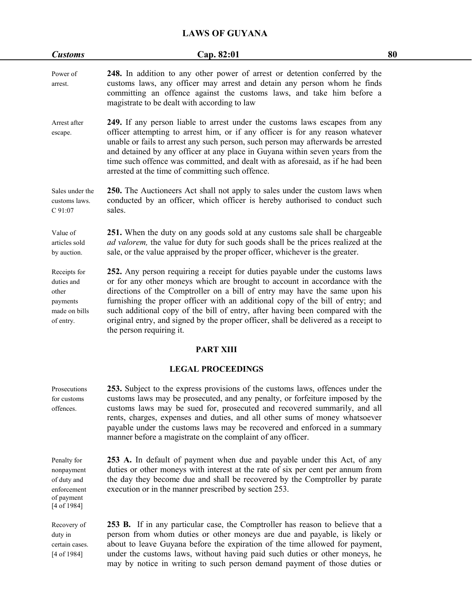| <b>Customs</b>                                                                | Cap. 82:01                                                                                                                                                                                                                                                                                                                                                                                                                                                                                                                           | 80 |
|-------------------------------------------------------------------------------|--------------------------------------------------------------------------------------------------------------------------------------------------------------------------------------------------------------------------------------------------------------------------------------------------------------------------------------------------------------------------------------------------------------------------------------------------------------------------------------------------------------------------------------|----|
| Power of<br>arrest.                                                           | 248. In addition to any other power of arrest or detention conferred by the<br>customs laws, any officer may arrest and detain any person whom he finds<br>committing an offence against the customs laws, and take him before a<br>magistrate to be dealt with according to law                                                                                                                                                                                                                                                     |    |
| Arrest after<br>escape.                                                       | 249. If any person liable to arrest under the customs laws escapes from any<br>officer attempting to arrest him, or if any officer is for any reason whatever<br>unable or fails to arrest any such person, such person may afterwards be arrested<br>and detained by any officer at any place in Guyana within seven years from the<br>time such offence was committed, and dealt with as aforesaid, as if he had been<br>arrested at the time of committing such offence.                                                          |    |
| Sales under the<br>customs laws.<br>C91:07                                    | 250. The Auctioneers Act shall not apply to sales under the custom laws when<br>conducted by an officer, which officer is hereby authorised to conduct such<br>sales.                                                                                                                                                                                                                                                                                                                                                                |    |
| Value of<br>articles sold<br>by auction.                                      | 251. When the duty on any goods sold at any customs sale shall be chargeable<br>ad valorem, the value for duty for such goods shall be the prices realized at the<br>sale, or the value appraised by the proper officer, whichever is the greater.                                                                                                                                                                                                                                                                                   |    |
| Receipts for<br>duties and<br>other<br>payments<br>made on bills<br>of entry. | 252. Any person requiring a receipt for duties payable under the customs laws<br>or for any other moneys which are brought to account in accordance with the<br>directions of the Comptroller on a bill of entry may have the same upon his<br>furnishing the proper officer with an additional copy of the bill of entry; and<br>such additional copy of the bill of entry, after having been compared with the<br>original entry, and signed by the proper officer, shall be delivered as a receipt to<br>the person requiring it. |    |

#### **PART XIII**

### **LEGAL PROCEEDINGS**

Prosecutions **253.** Subject to the express provisions of the customs laws, offences under the for customs customs laws may be prosecuted, and any penalty, or forfeiture imposed by the offences. customs laws may be sued for, prosecuted and recovered summarily, and all rents, charges, expenses and duties, and all other sums of money whatsoever payable under the customs laws may be recovered and enforced in a summary manner before a magistrate on the complaint of any officer.

of payment [4 of 1984]

Penalty for **253 A.** In default of payment when due and payable under this Act, of any nonpayment duties or other moneys with interest at the rate of six per cent per annum from of duty and the day they become due and shall be recovered by the Comptroller by parate enforcement execution or in the manner prescribed by section 253.

Recovery of **253 B.** If in any particular case, the Comptroller has reason to believe that a duty in person from whom duties or other moneys are due and payable, is likely or certain cases. about to leave Guyana before the expiration of the time allowed for payment, [4 of 1984] under the customs laws, without having paid such duties or other moneys, he may by notice in writing to such person demand payment of those duties or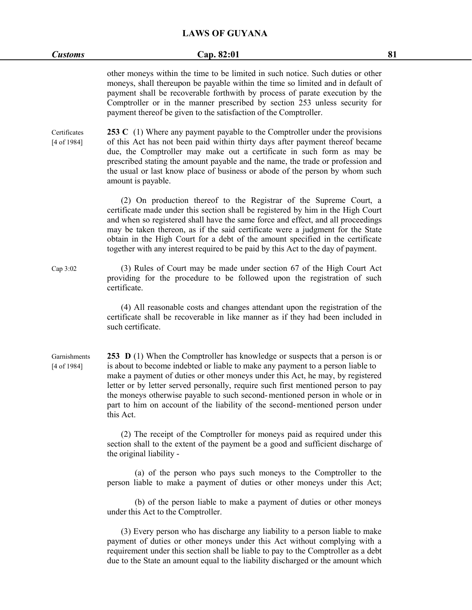| <b>Customs</b>              | Cap. 82:01                                                                                                                                                                                                                                                                                                                                                                                                                                                                                                                | 81 |
|-----------------------------|---------------------------------------------------------------------------------------------------------------------------------------------------------------------------------------------------------------------------------------------------------------------------------------------------------------------------------------------------------------------------------------------------------------------------------------------------------------------------------------------------------------------------|----|
|                             | other moneys within the time to be limited in such notice. Such duties or other<br>moneys, shall thereupon be payable within the time so limited and in default of<br>payment shall be recoverable forthwith by process of parate execution by the<br>Comptroller or in the manner prescribed by section 253 unless security for<br>payment thereof be given to the satisfaction of the Comptroller.                                                                                                                      |    |
| Certificates<br>[4 of 1984] | 253 $C(1)$ Where any payment payable to the Comptroller under the provisions<br>of this Act has not been paid within thirty days after payment thereof became<br>due, the Comptroller may make out a certificate in such form as may be<br>prescribed stating the amount payable and the name, the trade or profession and<br>the usual or last know place of business or abode of the person by whom such<br>amount is payable.                                                                                          |    |
|                             | (2) On production thereof to the Registrar of the Supreme Court, a<br>certificate made under this section shall be registered by him in the High Court<br>and when so registered shall have the same force and effect, and all proceedings<br>may be taken thereon, as if the said certificate were a judgment for the State<br>obtain in the High Court for a debt of the amount specified in the certificate<br>together with any interest required to be paid by this Act to the day of payment.                       |    |
| Cap 3:02                    | (3) Rules of Court may be made under section 67 of the High Court Act<br>providing for the procedure to be followed upon the registration of such<br>certificate.                                                                                                                                                                                                                                                                                                                                                         |    |
|                             | (4) All reasonable costs and changes attendant upon the registration of the<br>certificate shall be recoverable in like manner as if they had been included in<br>such certificate.                                                                                                                                                                                                                                                                                                                                       |    |
| Garnishments<br>[4 of 1984] | <b>253</b> D (1) When the Comptroller has knowledge or suspects that a person is or<br>is about to become indebted or liable to make any payment to a person liable to<br>make a payment of duties or other moneys under this Act, he may, by registered<br>letter or by letter served personally, require such first mentioned person to pay<br>the moneys otherwise payable to such second-mentioned person in whole or in<br>part to him on account of the liability of the second-mentioned person under<br>this Act. |    |
|                             | (2) The receipt of the Comptroller for moneys paid as required under this<br>section shall to the extent of the payment be a good and sufficient discharge of<br>the original liability -                                                                                                                                                                                                                                                                                                                                 |    |
|                             | (a) of the person who pays such moneys to the Comptroller to the<br>person liable to make a payment of duties or other moneys under this Act;                                                                                                                                                                                                                                                                                                                                                                             |    |
|                             | (b) of the person liable to make a payment of duties or other moneys<br>under this Act to the Comptroller.                                                                                                                                                                                                                                                                                                                                                                                                                |    |
|                             | (3) Every person who has discharge any liability to a person liable to make<br>payment of duties or other moneys under this Act without complying with a<br>requirement under this section shall be liable to pay to the Comptroller as a debt                                                                                                                                                                                                                                                                            |    |

due to the State an amount equal to the liability discharged or the amount which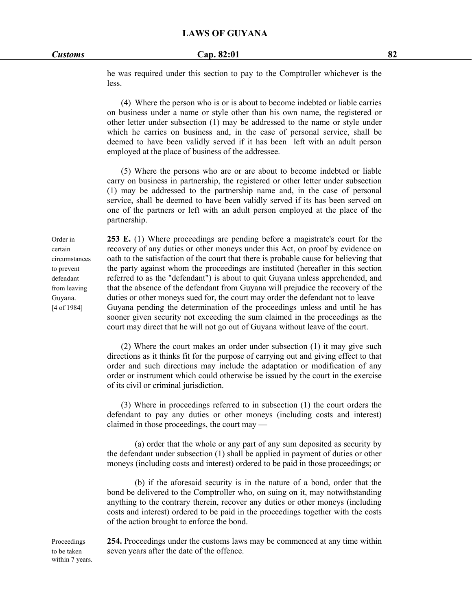he was required under this section to pay to the Comptroller whichever is the less.<br>(4) Where the person who is or is about to become indebted or liable carries

on business under a name or style other than his own name, the registered or other letter under subsection (1) may be addressed to the name or style under which he carries on business and, in the case of personal service, shall be deemed to have been validly served if it has been left with an adult person employed at the place of business of the addressee.

(5) Where the persons who are or are about to become indebted or liable carry on business in partnership, the registered or other letter under subsection (1) may be addressed to the partnership name and, in the case of personal service, shall be deemed to have been validly served if its has been served on one of the partners or left with an adult person employed at the place of the partnership.

Order in **253 E.** (1) Where proceedings are pending before a magistrate's court for the certain recovery of any duties or other moneys under this Act, on proof by evidence on circumstances oath to the satisfaction of the court that there is probable cause for believing that to prevent the party against whom the proceedings are instituted (hereafter in this section defendant referred to as the "defendant") is about to quit Guyana unless apprehended, and from leaving that the absence of the defendant from Guyana will prejudice the recovery of the Guyana. duties or other moneys sued for, the court may order the defendant not to leave [4 of 1984] Guyana pending the determination of the proceedings unless and until he has sooner given security not exceeding the sum claimed in the proceedings as the court may direct that he will not go out of Guyana without leave of the court.

> (2) Where the court makes an order under subsection (1) it may give such directions as it thinks fit for the purpose of carrying out and giving effect to that order and such directions may include the adaptation or modification of any order or instrument which could otherwise be issued by the court in the exercise of its civil or criminal jurisdiction.

> (3) Where in proceedings referred to in subsection (1) the court orders the defendant to pay any duties or other moneys (including costs and interest) claimed in those proceedings, the court may —

> (a) order that the whole or any part of any sum deposited as security by the defendant under subsection (1) shall be applied in payment of duties or other moneys (including costs and interest) ordered to be paid in those proceedings; or

> (b) if the aforesaid security is in the nature of a bond, order that the bond be delivered to the Comptroller who, on suing on it, may notwithstanding anything to the contrary therein, recover any duties or other moneys (including costs and interest) ordered to be paid in the proceedings together with the costs of the action brought to enforce the bond.

Proceedings **254.** Proceedings under the customs laws may be commenced at any time within to be taken seven years after the date of the offence.

within 7 years.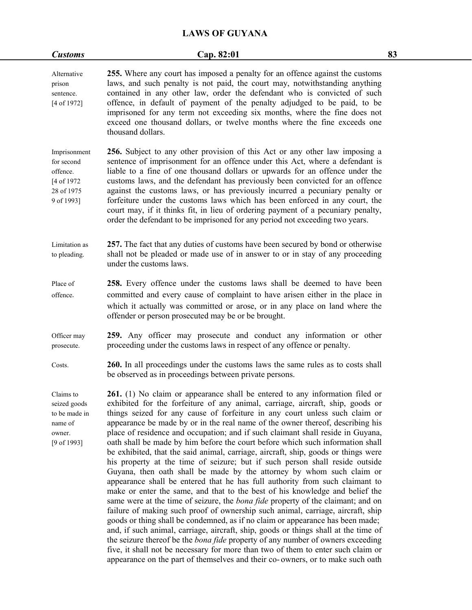| <b>Customs</b>                                                                    | Cap. 82:01                                                                                                                                                                                                                                                                                                                                                                                                                                                                                                                                                                                                                                                                                                                                                                                                                                                                                                                                                                                                                                                                                                                                                                                                                                                                                                                                                                                                                                                                                                                                        | 83 |
|-----------------------------------------------------------------------------------|---------------------------------------------------------------------------------------------------------------------------------------------------------------------------------------------------------------------------------------------------------------------------------------------------------------------------------------------------------------------------------------------------------------------------------------------------------------------------------------------------------------------------------------------------------------------------------------------------------------------------------------------------------------------------------------------------------------------------------------------------------------------------------------------------------------------------------------------------------------------------------------------------------------------------------------------------------------------------------------------------------------------------------------------------------------------------------------------------------------------------------------------------------------------------------------------------------------------------------------------------------------------------------------------------------------------------------------------------------------------------------------------------------------------------------------------------------------------------------------------------------------------------------------------------|----|
| Alternative<br>prison<br>sentence.<br>[4 of 1972]                                 | 255. Where any court has imposed a penalty for an offence against the customs<br>laws, and such penalty is not paid, the court may, notwithstanding anything<br>contained in any other law, order the defendant who is convicted of such<br>offence, in default of payment of the penalty adjudged to be paid, to be<br>imprisoned for any term not exceeding six months, where the fine does not<br>exceed one thousand dollars, or twelve months where the fine exceeds one<br>thousand dollars.                                                                                                                                                                                                                                                                                                                                                                                                                                                                                                                                                                                                                                                                                                                                                                                                                                                                                                                                                                                                                                                |    |
| Imprisonment<br>for second<br>offence.<br>[4 of 1972]<br>28 of 1975<br>9 of 1993] | 256. Subject to any other provision of this Act or any other law imposing a<br>sentence of imprisonment for an offence under this Act, where a defendant is<br>liable to a fine of one thousand dollars or upwards for an offence under the<br>customs laws, and the defendant has previously been convicted for an offence<br>against the customs laws, or has previously incurred a pecuniary penalty or<br>forfeiture under the customs laws which has been enforced in any court, the<br>court may, if it thinks fit, in lieu of ordering payment of a pecuniary penalty,<br>order the defendant to be imprisoned for any period not exceeding two years.                                                                                                                                                                                                                                                                                                                                                                                                                                                                                                                                                                                                                                                                                                                                                                                                                                                                                     |    |
| Limitation as<br>to pleading.                                                     | 257. The fact that any duties of customs have been secured by bond or otherwise<br>shall not be pleaded or made use of in answer to or in stay of any proceeding<br>under the customs laws.                                                                                                                                                                                                                                                                                                                                                                                                                                                                                                                                                                                                                                                                                                                                                                                                                                                                                                                                                                                                                                                                                                                                                                                                                                                                                                                                                       |    |
| Place of<br>offence.                                                              | 258. Every offence under the customs laws shall be deemed to have been<br>committed and every cause of complaint to have arisen either in the place in<br>which it actually was committed or arose, or in any place on land where the<br>offender or person prosecuted may be or be brought.                                                                                                                                                                                                                                                                                                                                                                                                                                                                                                                                                                                                                                                                                                                                                                                                                                                                                                                                                                                                                                                                                                                                                                                                                                                      |    |
| Officer may<br>prosecute.                                                         | 259. Any officer may prosecute and conduct any information or other<br>proceeding under the customs laws in respect of any offence or penalty.                                                                                                                                                                                                                                                                                                                                                                                                                                                                                                                                                                                                                                                                                                                                                                                                                                                                                                                                                                                                                                                                                                                                                                                                                                                                                                                                                                                                    |    |
| Costs.                                                                            | 260. In all proceedings under the customs laws the same rules as to costs shall<br>be observed as in proceedings between private persons.                                                                                                                                                                                                                                                                                                                                                                                                                                                                                                                                                                                                                                                                                                                                                                                                                                                                                                                                                                                                                                                                                                                                                                                                                                                                                                                                                                                                         |    |
| Claims to<br>seized goods<br>to be made in<br>name of<br>owner.<br>[9 of 1993]    | <b>261.</b> (1) No claim or appearance shall be entered to any information filed or<br>exhibited for the forfeiture of any animal, carriage, aircraft, ship, goods or<br>things seized for any cause of forfeiture in any court unless such claim or<br>appearance be made by or in the real name of the owner thereof, describing his<br>place of residence and occupation; and if such claimant shall reside in Guyana,<br>oath shall be made by him before the court before which such information shall<br>be exhibited, that the said animal, carriage, aircraft, ship, goods or things were<br>his property at the time of seizure; but if such person shall reside outside<br>Guyana, then oath shall be made by the attorney by whom such claim or<br>appearance shall be entered that he has full authority from such claimant to<br>make or enter the same, and that to the best of his knowledge and belief the<br>same were at the time of seizure, the <i>bona fide</i> property of the claimant; and on<br>failure of making such proof of ownership such animal, carriage, aircraft, ship<br>goods or thing shall be condemned, as if no claim or appearance has been made;<br>and, if such animal, carriage, aircraft, ship, goods or things shall at the time of<br>the seizure thereof be the <i>bona fide</i> property of any number of owners exceeding<br>five, it shall not be necessary for more than two of them to enter such claim or<br>appearance on the part of themselves and their co-owners, or to make such oath |    |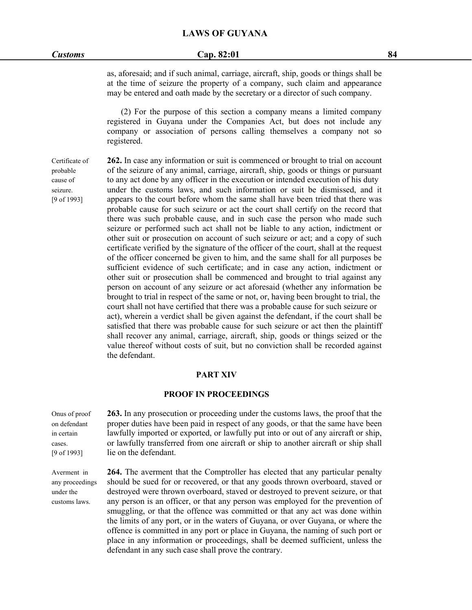as, aforesaid; and if such animal, carriage, aircraft, ship, goods or things shall be at the time of seizure the property of a company, such claim and appearance may be entered and oath made by the secretary or a director of such company.

(2) For the purpose of this section a company means a limited company registered in Guyana under the Companies Act, but does not include any company or association of persons calling themselves a company not so registered.

Certificate of **262.** In case any information or suit is commenced or brought to trial on account probable of the seizure of any animal, carriage, aircraft, ship, goods or things orpursuant cause of to any act done by any officer in the execution or intended execution of his duty seizure. under the customs laws, and such information or suit be dismissed, and it [9 of 1993] appears to the court before whom the same shall have been tried that there was probable cause for such seizure or act the court shall certify on the record that there was such probable cause, and in such case the person who made such seizure or performed such act shall not be liable to any action, indictment or other suit or prosecution on account of such seizure or act; and a copy of such certificate verified by the signature of the officer of the court, shall at the request of the officer concerned be given to him, and the same shall for all purposes be sufficient evidence of such certificate; and in case any action, indictment or other suit or prosecution shall be commenced and brought to trial against any person on account of any seizure or act aforesaid (whether any information be brought to trial in respect of the same or not, or, having been brought to trial, the court shall not have certified that there was a probable cause for such seizure or act), wherein a verdict shall be given against the defendant, if the court shall be satisfied that there was probable cause for such seizure or act then the plaintiff shall recover any animal, carriage, aircraft, ship, goods or things seized or the value thereof without costs of suit, but no conviction shall be recorded against the defendant.

#### **PART XIV**

### **PROOF IN PROCEEDINGS**

Onus of proof **263.** In any prosecution or proceeding under the customs laws, the proof that the on defendant proper duties have been paid in respect of any goods, or that the same have been in certain lawfully imported or exported, or lawfully put into or out of any aircraft or ship, cases. or lawfully transferred from one aircraft or ship to another aircraft or ship shall [9 of 1993] lie on the defendant.

Averment in **264.** The averment that the Comptroller has elected that any particular penalty any proceedings should be sued for or recovered, or that any goods thrown overboard, staved or under the destroyed were thrown overboard, staved or destroyed to prevent seizure, or that customs laws. any person is an officer, or that any person was employed for the prevention of smuggling, or that the offence was committed or that any act was done within the limits of any port, or in the waters of Guyana, or over Guyana, or where the offence is committed in any port or place in Guyana, the naming of such port or place in any information or proceedings, shall be deemed sufficient, unless the defendant in any such case shall prove the contrary.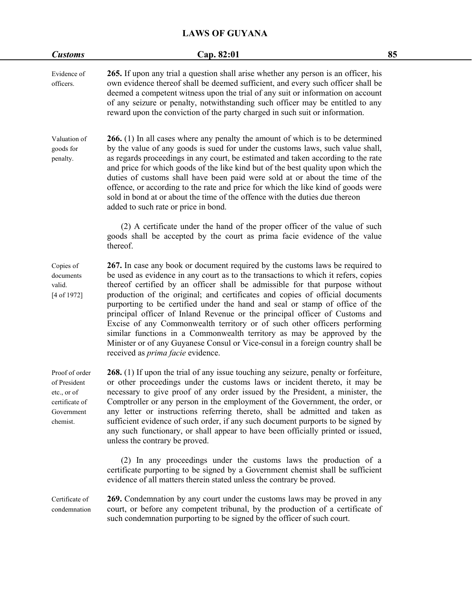| <b>Customs</b>                                                                            | Cap. 82:01                                                                                                                                                                                                                                                                                                                                                                                                                                                                                                                                                                                                                                                                                                                                                                                 | 85 |
|-------------------------------------------------------------------------------------------|--------------------------------------------------------------------------------------------------------------------------------------------------------------------------------------------------------------------------------------------------------------------------------------------------------------------------------------------------------------------------------------------------------------------------------------------------------------------------------------------------------------------------------------------------------------------------------------------------------------------------------------------------------------------------------------------------------------------------------------------------------------------------------------------|----|
| Evidence of<br>officers.                                                                  | 265. If upon any trial a question shall arise whether any person is an officer, his<br>own evidence thereof shall be deemed sufficient, and every such officer shall be<br>deemed a competent witness upon the trial of any suit or information on account<br>of any seizure or penalty, notwithstanding such officer may be entitled to any<br>reward upon the conviction of the party charged in such suit or information.                                                                                                                                                                                                                                                                                                                                                               |    |
| Valuation of<br>goods for<br>penalty.                                                     | <b>266.</b> (1) In all cases where any penalty the amount of which is to be determined<br>by the value of any goods is sued for under the customs laws, such value shall,<br>as regards proceedings in any court, be estimated and taken according to the rate<br>and price for which goods of the like kind but of the best quality upon which the<br>duties of customs shall have been paid were sold at or about the time of the<br>offence, or according to the rate and price for which the like kind of goods were<br>sold in bond at or about the time of the offence with the duties due thereon<br>added to such rate or price in bond.                                                                                                                                           |    |
|                                                                                           | (2) A certificate under the hand of the proper officer of the value of such<br>goods shall be accepted by the court as prima facie evidence of the value<br>thereof.                                                                                                                                                                                                                                                                                                                                                                                                                                                                                                                                                                                                                       |    |
| Copies of<br>documents<br>valid.<br>[4 of 1972]                                           | 267. In case any book or document required by the customs laws be required to<br>be used as evidence in any court as to the transactions to which it refers, copies<br>thereof certified by an officer shall be admissible for that purpose without<br>production of the original; and certificates and copies of official documents<br>purporting to be certified under the hand and seal or stamp of office of the<br>principal officer of Inland Revenue or the principal officer of Customs and<br>Excise of any Commonwealth territory or of such other officers performing<br>similar functions in a Commonwealth territory as may be approved by the<br>Minister or of any Guyanese Consul or Vice-consul in a foreign country shall be<br>received as <i>prima facie</i> evidence. |    |
| Proof of order<br>of President<br>etc., or of<br>certificate of<br>Government<br>chemist. | 268. (1) If upon the trial of any issue touching any seizure, penalty or forfeiture,<br>or other proceedings under the customs laws or incident thereto, it may be<br>necessary to give proof of any order issued by the President, a minister, the<br>Comptroller or any person in the employment of the Government, the order, or<br>any letter or instructions referring thereto, shall be admitted and taken as<br>sufficient evidence of such order, if any such document purports to be signed by<br>any such functionary, or shall appear to have been officially printed or issued,<br>unless the contrary be proved.                                                                                                                                                              |    |
|                                                                                           | (2) In any proceedings under the customs laws the production of a<br>certificate purporting to be signed by a Government chemist shall be sufficient<br>evidence of all matters therein stated unless the contrary be proved.                                                                                                                                                                                                                                                                                                                                                                                                                                                                                                                                                              |    |
| Certificate of<br>condemnation                                                            | 269. Condemnation by any court under the customs laws may be proved in any<br>court, or before any competent tribunal, by the production of a certificate of<br>such condemnation purporting to be signed by the officer of such court.                                                                                                                                                                                                                                                                                                                                                                                                                                                                                                                                                    |    |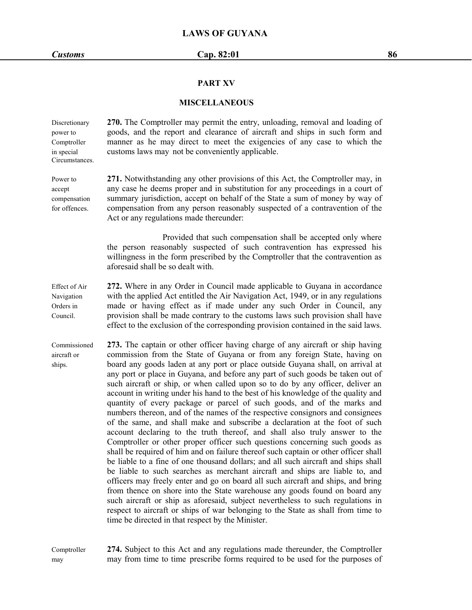### *Customs* **Cap. 82:01 86**

### **PART XV**

### **MISCELLANEOUS**

| Discretionary<br>power to<br>Comptroller<br>in special<br>Circumstances. | 270. The Comptroller may permit the entry, unloading, removal and loading of<br>goods, and the report and clearance of aircraft and ships in such form and<br>manner as he may direct to meet the exigencies of any case to which the<br>customs laws may not be conveniently applicable.                                                                                                                                                                                                                                                                                                                                                                                                                                                                                                                                                                                                                                                                                                                                                                                                                                                                                                                                                                                                                                                                                                                                                                                                                                                                                |
|--------------------------------------------------------------------------|--------------------------------------------------------------------------------------------------------------------------------------------------------------------------------------------------------------------------------------------------------------------------------------------------------------------------------------------------------------------------------------------------------------------------------------------------------------------------------------------------------------------------------------------------------------------------------------------------------------------------------------------------------------------------------------------------------------------------------------------------------------------------------------------------------------------------------------------------------------------------------------------------------------------------------------------------------------------------------------------------------------------------------------------------------------------------------------------------------------------------------------------------------------------------------------------------------------------------------------------------------------------------------------------------------------------------------------------------------------------------------------------------------------------------------------------------------------------------------------------------------------------------------------------------------------------------|
| Power to<br>accept<br>compensation<br>for offences.                      | 271. Notwithstanding any other provisions of this Act, the Comptroller may, in<br>any case he deems proper and in substitution for any proceedings in a court of<br>summary jurisdiction, accept on behalf of the State a sum of money by way of<br>compensation from any person reasonably suspected of a contravention of the<br>Act or any regulations made thereunder:                                                                                                                                                                                                                                                                                                                                                                                                                                                                                                                                                                                                                                                                                                                                                                                                                                                                                                                                                                                                                                                                                                                                                                                               |
|                                                                          | Provided that such compensation shall be accepted only where<br>the person reasonably suspected of such contravention has expressed his<br>willingness in the form prescribed by the Comptroller that the contravention as<br>aforesaid shall be so dealt with.                                                                                                                                                                                                                                                                                                                                                                                                                                                                                                                                                                                                                                                                                                                                                                                                                                                                                                                                                                                                                                                                                                                                                                                                                                                                                                          |
| Effect of Air<br>Navigation<br>Orders in<br>Council.                     | 272. Where in any Order in Council made applicable to Guyana in accordance<br>with the applied Act entitled the Air Navigation Act, 1949, or in any regulations<br>made or having effect as if made under any such Order in Council, any<br>provision shall be made contrary to the customs laws such provision shall have<br>effect to the exclusion of the corresponding provision contained in the said laws.                                                                                                                                                                                                                                                                                                                                                                                                                                                                                                                                                                                                                                                                                                                                                                                                                                                                                                                                                                                                                                                                                                                                                         |
| Commissioned<br>aircraft or<br>ships.                                    | 273. The captain or other officer having charge of any aircraft or ship having<br>commission from the State of Guyana or from any foreign State, having on<br>board any goods laden at any port or place outside Guyana shall, on arrival at<br>any port or place in Guyana, and before any part of such goods be taken out of<br>such aircraft or ship, or when called upon so to do by any officer, deliver an<br>account in writing under his hand to the best of his knowledge of the quality and<br>quantity of every package or parcel of such goods, and of the marks and<br>numbers thereon, and of the names of the respective consignors and consignees<br>of the same, and shall make and subscribe a declaration at the foot of such<br>account declaring to the truth thereof, and shall also truly answer to the<br>Comptroller or other proper officer such questions concerning such goods as<br>shall be required of him and on failure thereof such captain or other officer shall<br>be liable to a fine of one thousand dollars; and all such aircraft and ships shall<br>be liable to such searches as merchant aircraft and ships are liable to, and<br>officers may freely enter and go on board all such aircraft and ships, and bring<br>from thence on shore into the State warehouse any goods found on board any<br>such aircraft or ship as aforesaid, subject nevertheless to such regulations in<br>respect to aircraft or ships of war belonging to the State as shall from time to<br>time be directed in that respect by the Minister. |

Comptroller **274.** Subject to this Act and any regulations made thereunder, the Comptroller may may from time to time prescribe forms required to be used for the purposes of